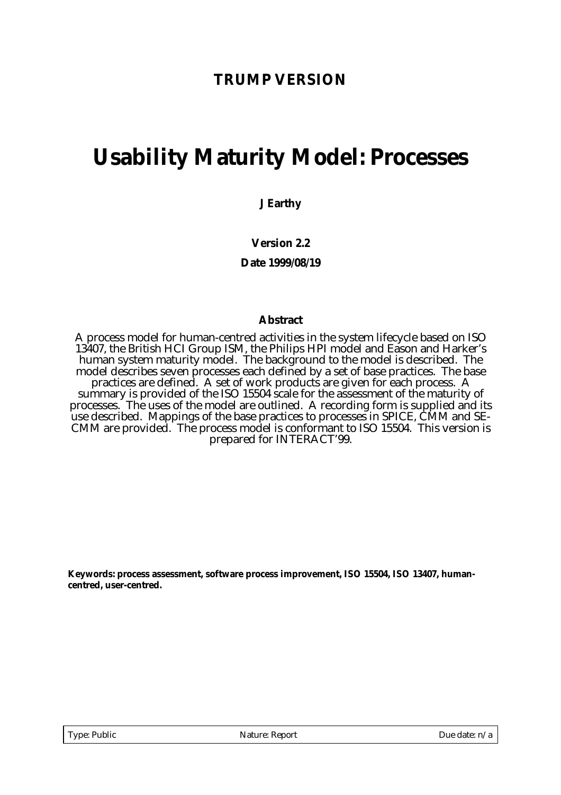## **TRUMP VERSION**

# **Usability Maturity Model: Processes**

**J Earthy**

**Version 2.2**

**Date 1999/08/19**

#### **Abstract**

A process model for human-centred activities in the system lifecycle based on ISO 13407, the British HCI Group ISM, the Philips HPI model and Eason and Harker's human system maturity model. The background to the model is described. The model describes seven processes each defined by a set of base practices. The base practices are defined. A set of work products are given for each process. A summary is provided of the ISO 15504 scale for the assessment of the maturity of processes. The uses of the model are outlined. A recording form is supplied and its use described. Mappings of the base practices to processes in SPICE, CMM and SE-CMM are provided. The process model is conformant to ISO 15504. This version is prepared for INTERACT'99.

**Keywords: process assessment, software process improvement, ISO 15504, ISO 13407, humancentred, user-centred.**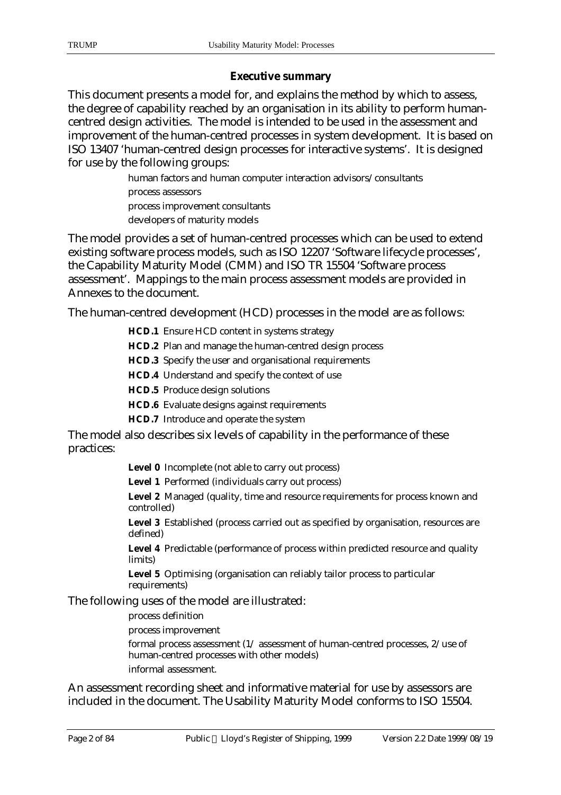#### **Executive summary**

This document presents a model for, and explains the method by which to assess, the degree of capability reached by an organisation in its ability to perform humancentred design activities. The model is intended to be used in the assessment and improvement of the human-centred processes in system development. It is based on ISO 13407 'human-centred design processes for interactive systems'. It is designed for use by the following groups:

> human factors and human computer interaction advisors/consultants process assessors process improvement consultants developers of maturity models

The model provides a set of human-centred processes which can be used to extend existing software process models, such as ISO 12207 'Software lifecycle processes', the Capability Maturity Model (CMM) and ISO TR 15504 'Software process assessment'. Mappings to the main process assessment models are provided in Annexes to the document.

The human-centred development (HCD) processes in the model are as follows:

**HCD.1** Ensure HCD content in systems strategy

**HCD.2** Plan and manage the human-centred design process

**HCD.3** Specify the user and organisational requirements

**HCD.4** Understand and specify the context of use

**HCD.5** Produce design solutions

**HCD.6** Evaluate designs against requirements

**HCD.7** Introduce and operate the system

The model also describes six levels of capability in the performance of these practices:

**Level 0** Incomplete (not able to carry out process)

**Level 1** Performed (individuals carry out process)

Level 2 Managed (quality, time and resource requirements for process known and controlled)

**Level 3** Established (process carried out as specified by organisation, resources are defined)

**Level 4** Predictable (performance of process within predicted resource and quality limits)

**Level 5** Optimising (organisation can reliably tailor process to particular requirements)

The following uses of the model are illustrated:

process definition

process improvement

formal process assessment (1/ assessment of human-centred processes, 2/use of human-centred processes with other models)

informal assessment.

An assessment recording sheet and informative material for use by assessors are included in the document. The Usability Maturity Model conforms to ISO 15504.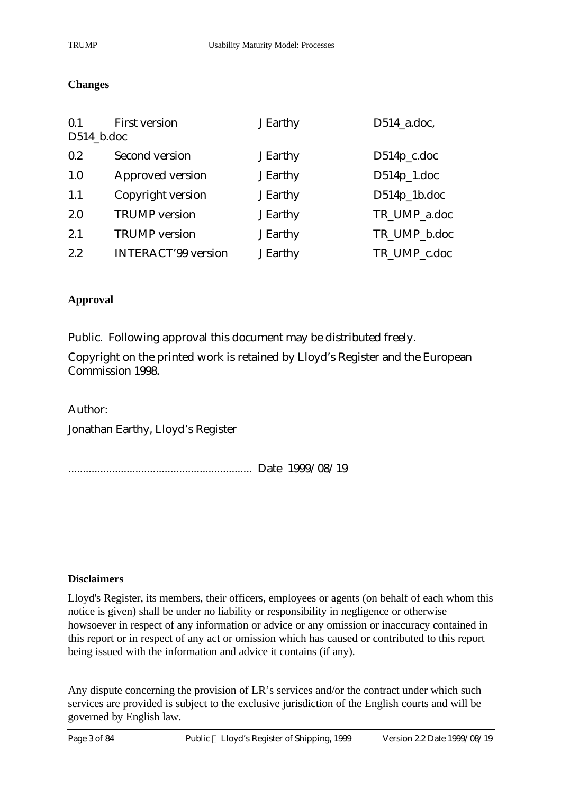#### **Changes**

| 0.1<br>$D514_b.doc$ | <b>First version</b>       | J Earthy | $D514$ <sub>_a.doc,</sub> |
|---------------------|----------------------------|----------|---------------------------|
| 0.2                 | Second version             | J Earthy | $D514p_c.doc$             |
| 1.0                 | Approved version           | J Earthy | $D514p_1.doc$             |
| 1.1                 | Copyright version          | J Earthy | $D514p_1b.doc$            |
| 2.0                 | <b>TRUMP</b> version       | J Earthy | TR_UMP_a.doc              |
| 2.1                 | <b>TRUMP</b> version       | J Earthy | TR_UMP_b.doc              |
| 2.2                 | <b>INTERACT'99 version</b> | J Earthy | TR UMP c.doc              |

#### **Approval**

Public. Following approval this document may be distributed freely.

Copyright on the printed work is retained by Lloyd's Register and the European Commission 1998.

Author:

Jonathan Earthy, Lloyd's Register

............................................................... Date 1999/08/19

#### **Disclaimers**

Lloyd's Register, its members, their officers, employees or agents (on behalf of each whom this notice is given) shall be under no liability or responsibility in negligence or otherwise howsoever in respect of any information or advice or any omission or inaccuracy contained in this report or in respect of any act or omission which has caused or contributed to this report being issued with the information and advice it contains (if any).

Any dispute concerning the provision of LR's services and/or the contract under which such services are provided is subject to the exclusive jurisdiction of the English courts and will be governed by English law.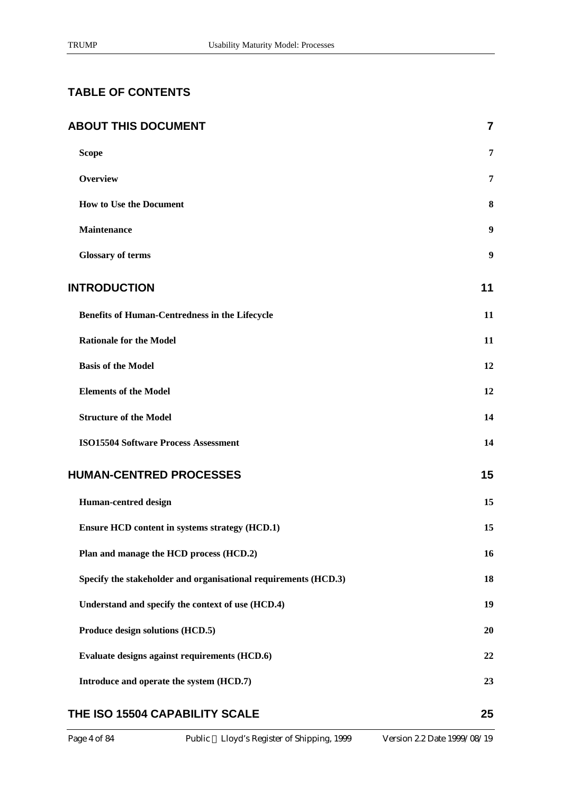## **TABLE OF CONTENTS**

| <b>ABOUT THIS DOCUMENT</b>                                      | $\overline{7}$   |
|-----------------------------------------------------------------|------------------|
| <b>Scope</b>                                                    | 7                |
| <b>Overview</b>                                                 | 7                |
| <b>How to Use the Document</b>                                  | 8                |
| Maintenance                                                     | 9                |
| <b>Glossary of terms</b>                                        | $\boldsymbol{9}$ |
| <b>INTRODUCTION</b>                                             | 11               |
| Benefits of Human-Centredness in the Lifecycle                  | 11               |
| <b>Rationale for the Model</b>                                  | 11               |
| <b>Basis of the Model</b>                                       | 12               |
| <b>Elements of the Model</b>                                    | 12               |
| <b>Structure of the Model</b>                                   | 14               |
| <b>ISO15504 Software Process Assessment</b>                     | 14               |
| <b>HUMAN-CENTRED PROCESSES</b>                                  | 15               |
| <b>Human-centred design</b>                                     | 15               |
| Ensure HCD content in systems strategy (HCD.1)                  | 15               |
| Plan and manage the HCD process (HCD.2)                         | 16               |
| Specify the stakeholder and organisational requirements (HCD.3) | 18               |
| Understand and specify the context of use (HCD.4)               | 19               |
| Produce design solutions (HCD.5)                                | 20               |
| Evaluate designs against requirements (HCD.6)                   | 22               |
| Introduce and operate the system (HCD.7)                        | 23               |
|                                                                 |                  |

## **THE ISO 15504 CAPABILITY SCALE 25**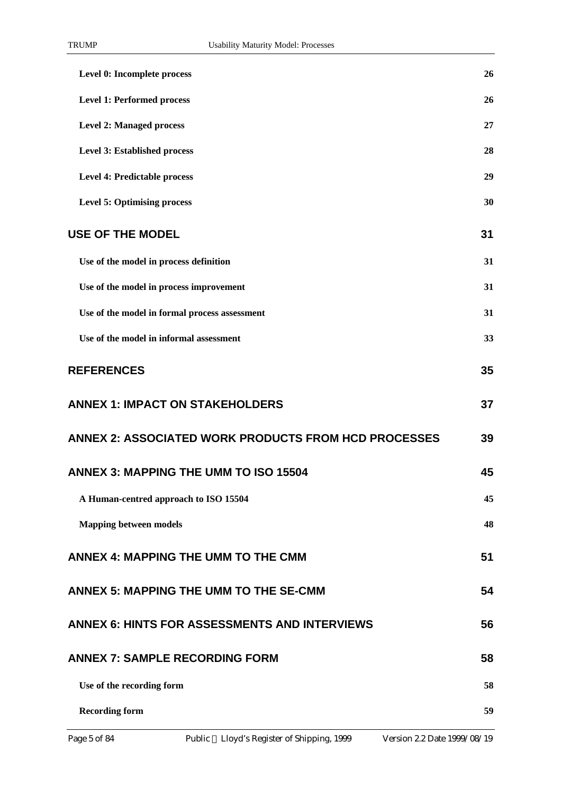| Level 0: Incomplete process                                 | 26 |
|-------------------------------------------------------------|----|
| <b>Level 1: Performed process</b>                           | 26 |
| <b>Level 2: Managed process</b>                             | 27 |
| Level 3: Established process                                | 28 |
| <b>Level 4: Predictable process</b>                         | 29 |
| <b>Level 5: Optimising process</b>                          | 30 |
| <b>USE OF THE MODEL</b>                                     | 31 |
| Use of the model in process definition                      | 31 |
| Use of the model in process improvement                     | 31 |
| Use of the model in formal process assessment               | 31 |
| Use of the model in informal assessment                     | 33 |
| <b>REFERENCES</b>                                           | 35 |
| <b>ANNEX 1: IMPACT ON STAKEHOLDERS</b>                      | 37 |
| <b>ANNEX 2: ASSOCIATED WORK PRODUCTS FROM HCD PROCESSES</b> | 39 |
| <b>ANNEX 3: MAPPING THE UMM TO ISO 15504</b>                | 45 |
| A Human-centred approach to ISO 15504                       | 45 |
| <b>Mapping between models</b>                               | 48 |
| <b>ANNEX 4: MAPPING THE UMM TO THE CMM</b>                  | 51 |
| <b>ANNEX 5: MAPPING THE UMM TO THE SE-CMM</b>               | 54 |
| <b>ANNEX 6: HINTS FOR ASSESSMENTS AND INTERVIEWS</b>        | 56 |
| <b>ANNEX 7: SAMPLE RECORDING FORM</b>                       | 58 |
| Use of the recording form                                   | 58 |
| <b>Recording form</b>                                       | 59 |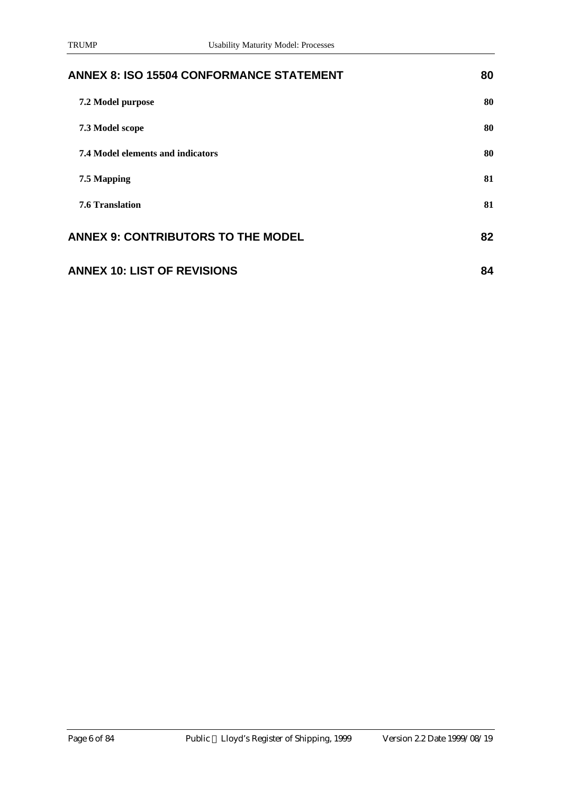| <b>ANNEX 8: ISO 15504 CONFORMANCE STATEMENT</b> | 80 |
|-------------------------------------------------|----|
| 7.2 Model purpose                               | 80 |
| 7.3 Model scope                                 | 80 |
| <b>7.4 Model elements and indicators</b>        | 80 |
| 7.5 Mapping                                     | 81 |
| <b>7.6 Translation</b>                          | 81 |
| <b>ANNEX 9: CONTRIBUTORS TO THE MODEL</b>       | 82 |
| <b>ANNEX 10: LIST OF REVISIONS</b>              | 84 |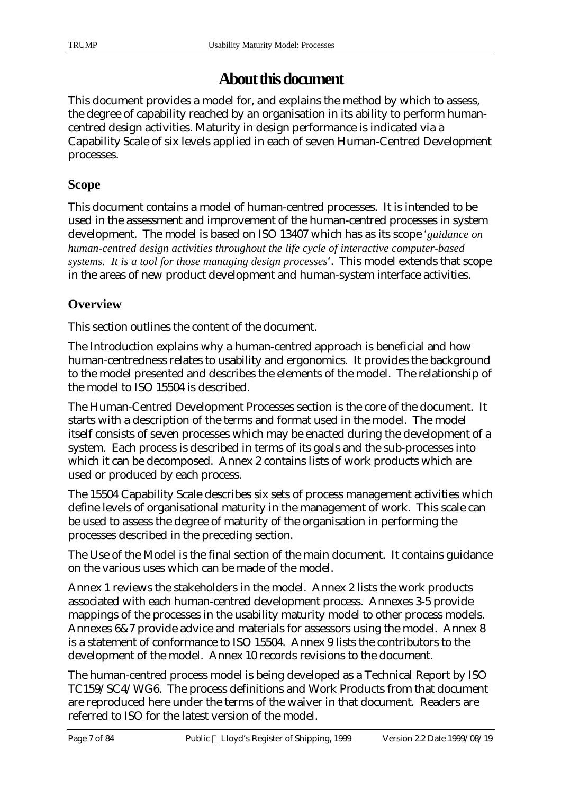## **About this document**

This document provides a model for, and explains the method by which to assess, the degree of capability reached by an organisation in its ability to perform humancentred design activities. Maturity in design performance is indicated via a Capability Scale of six levels applied in each of seven Human-Centred Development processes.

## **Scope**

This document contains a model of human-centred processes. It is intended to be used in the assessment and improvement of the human-centred processes in system development. The model is based on ISO 13407 which has as its scope *'guidance on human-centred design activities throughout the life cycle of interactive computer-based systems. It is a tool for those managing design processes*'. This model extends that scope in the areas of new product development and human-system interface activities.

## **Overview**

This section outlines the content of the document.

The Introduction explains why a human-centred approach is beneficial and how human-centredness relates to usability and ergonomics. It provides the background to the model presented and describes the elements of the model. The relationship of the model to ISO 15504 is described.

The Human-Centred Development Processes section is the core of the document. It starts with a description of the terms and format used in the model. The model itself consists of seven processes which may be enacted during the development of a system. Each process is described in terms of its goals and the sub-processes into which it can be decomposed. Annex 2 contains lists of work products which are used or produced by each process.

The 15504 Capability Scale describes six sets of process management activities which define levels of organisational maturity in the management of work. This scale can be used to assess the degree of maturity of the organisation in performing the processes described in the preceding section.

The Use of the Model is the final section of the main document. It contains guidance on the various uses which can be made of the model.

Annex 1 reviews the stakeholders in the model. Annex 2 lists the work products associated with each human-centred development process. Annexes 3-5 provide mappings of the processes in the usability maturity model to other process models. Annexes 6&7 provide advice and materials for assessors using the model. Annex 8 is a statement of conformance to ISO 15504. Annex 9 lists the contributors to the development of the model. Annex 10 records revisions to the document.

The human-centred process model is being developed as a Technical Report by ISO TC159/SC4/WG6. The process definitions and Work Products from that document are reproduced here under the terms of the waiver in that document. Readers are referred to ISO for the latest version of the model.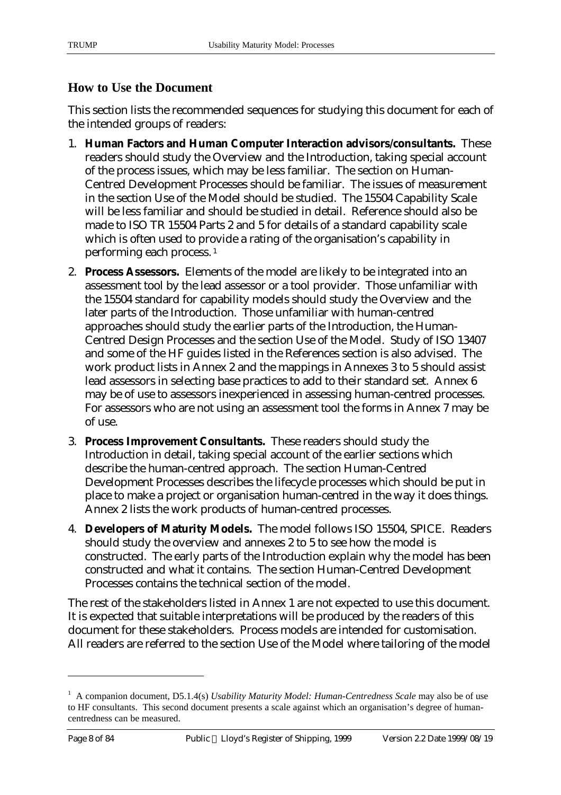## **How to Use the Document**

This section lists the recommended sequences for studying this document for each of the intended groups of readers:

- 1. **Human Factors and Human Computer Interaction advisors/consultants.** These readers should study the Overview and the Introduction, taking special account of the process issues, which may be less familiar. The section on Human-Centred Development Processes should be familiar. The issues of measurement in the section Use of the Model should be studied. The 15504 Capability Scale will be less familiar and should be studied in detail. Reference should also be made to ISO TR 15504 Parts 2 and 5 for details of a standard capability scale which is often used to provide a rating of the organisation's capability in performing each process. <sup>1</sup>
- 2. **Process Assessors.** Elements of the model are likely to be integrated into an assessment tool by the lead assessor or a tool provider. Those unfamiliar with the 15504 standard for capability models should study the Overview and the later parts of the Introduction. Those unfamiliar with human-centred approaches should study the earlier parts of the Introduction, the Human-Centred Design Processes and the section Use of the Model. Study of ISO 13407 and some of the HF guides listed in the References section is also advised. The work product lists in Annex 2 and the mappings in Annexes 3 to 5 should assist lead assessors in selecting base practices to add to their standard set. Annex 6 may be of use to assessors inexperienced in assessing human-centred processes. For assessors who are not using an assessment tool the forms in Annex 7 may be of use.
- 3. **Process Improvement Consultants.** These readers should study the Introduction in detail, taking special account of the earlier sections which describe the human-centred approach. The section Human-Centred Development Processes describes the lifecycle processes which should be put in place to make a project or organisation human-centred in the way it does things. Annex 2 lists the work products of human-centred processes.
- 4. **Developers of Maturity Models.** The model follows ISO 15504, SPICE. Readers should study the overview and annexes 2 to 5 to see how the model is constructed. The early parts of the Introduction explain why the model has been constructed and what it contains. The section Human-Centred Development Processes contains the technical section of the model.

The rest of the stakeholders listed in Annex 1 are not expected to use this document. It is expected that suitable interpretations will be produced by the readers of this document for these stakeholders. Process models are intended for customisation. All readers are referred to the section Use of the Model where tailoring of the model

 $\overline{a}$ 

<sup>&</sup>lt;sup>1</sup> A companion document, D5.1.4(s) *Usability Maturity Model: Human-Centredness Scale* may also be of use to HF consultants. This second document presents a scale against which an organisation's degree of humancentredness can be measured.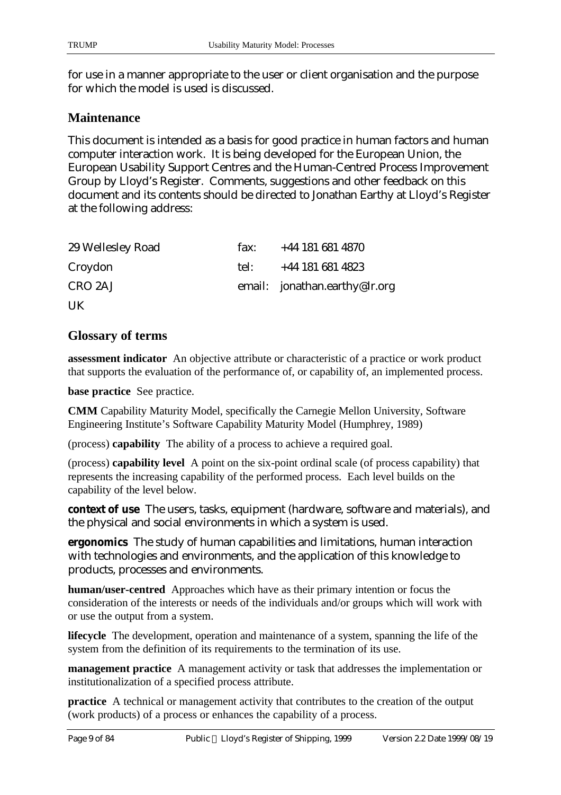for use in a manner appropriate to the user or client organisation and the purpose for which the model is used is discussed.

## **Maintenance**

This document is intended as a basis for good practice in human factors and human computer interaction work. It is being developed for the European Union, the European Usability Support Centres and the Human-Centred Process Improvement Group by Lloyd's Register. Comments, suggestions and other feedback on this document and its contents should be directed to Jonathan Earthy at Lloyd's Register at the following address:

| 29 Wellesley Road | fax: $+44$ 181 681 4870       |
|-------------------|-------------------------------|
| Croydon           | tel: $+44$ 181 681 4823       |
| CRO 2AJ           | email: jonathan.earthy@lr.org |
| UK                |                               |

## **Glossary of terms**

**assessment indicator** An objective attribute or characteristic of a practice or work product that supports the evaluation of the performance of, or capability of, an implemented process.

**base practice** See practice.

**CMM** Capability Maturity Model, specifically the Carnegie Mellon University, Software Engineering Institute's Software Capability Maturity Model (Humphrey, 1989)

(process) **capability** The ability of a process to achieve a required goal.

(process) **capability level** A point on the six-point ordinal scale (of process capability) that represents the increasing capability of the performed process. Each level builds on the capability of the level below.

**context of use** The users, tasks, equipment (hardware, software and materials), and the physical and social environments in which a system is used.

**ergonomics** The study of human capabilities and limitations, human interaction with technologies and environments, and the application of this knowledge to products, processes and environments.

**human/user-centred** Approaches which have as their primary intention or focus the consideration of the interests or needs of the individuals and/or groups which will work with or use the output from a system.

**lifecycle** The development, operation and maintenance of a system, spanning the life of the system from the definition of its requirements to the termination of its use.

**management practice** A management activity or task that addresses the implementation or institutionalization of a specified process attribute.

**practice** A technical or management activity that contributes to the creation of the output (work products) of a process or enhances the capability of a process.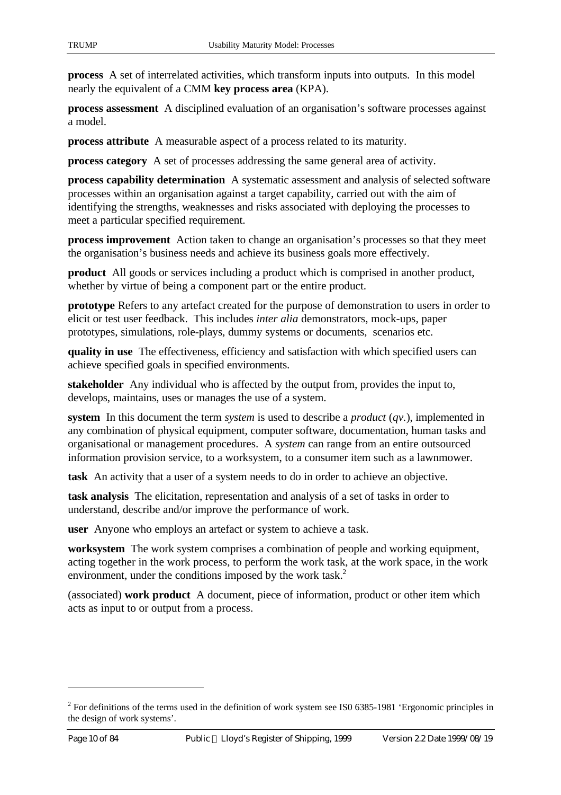**process** A set of interrelated activities, which transform inputs into outputs. In this model nearly the equivalent of a CMM **key process area** (KPA).

**process assessment** A disciplined evaluation of an organisation's software processes against a model.

**process attribute** A measurable aspect of a process related to its maturity.

**process category** A set of processes addressing the same general area of activity.

**process capability determination** A systematic assessment and analysis of selected software processes within an organisation against a target capability, carried out with the aim of identifying the strengths, weaknesses and risks associated with deploying the processes to meet a particular specified requirement.

**process improvement** Action taken to change an organisation's processes so that they meet the organisation's business needs and achieve its business goals more effectively.

**product** All goods or services including a product which is comprised in another product, whether by virtue of being a component part or the entire product.

**prototype** Refers to any artefact created for the purpose of demonstration to users in order to elicit or test user feedback. This includes *inter alia* demonstrators, mock-ups, paper prototypes, simulations, role-plays, dummy systems or documents, scenarios etc.

**quality in use** The effectiveness, efficiency and satisfaction with which specified users can achieve specified goals in specified environments.

**stakeholder** Any individual who is affected by the output from, provides the input to, develops, maintains, uses or manages the use of a system.

**system** In this document the term *system* is used to describe a *product* (*qv.*), implemented in any combination of physical equipment, computer software, documentation, human tasks and organisational or management procedures. A *system* can range from an entire outsourced information provision service, to a worksystem, to a consumer item such as a lawnmower.

**task** An activity that a user of a system needs to do in order to achieve an objective.

**task analysis** The elicitation, representation and analysis of a set of tasks in order to understand, describe and/or improve the performance of work.

**user** Anyone who employs an artefact or system to achieve a task.

**worksystem** The work system comprises a combination of people and working equipment, acting together in the work process, to perform the work task, at the work space, in the work environment, under the conditions imposed by the work task.<sup>2</sup>

(associated) **work product** A document, piece of information, product or other item which acts as input to or output from a process.

 $\overline{a}$ 

 $2^{2}$  For definitions of the terms used in the definition of work system see ISO 6385-1981 'Ergonomic principles in the design of work systems'.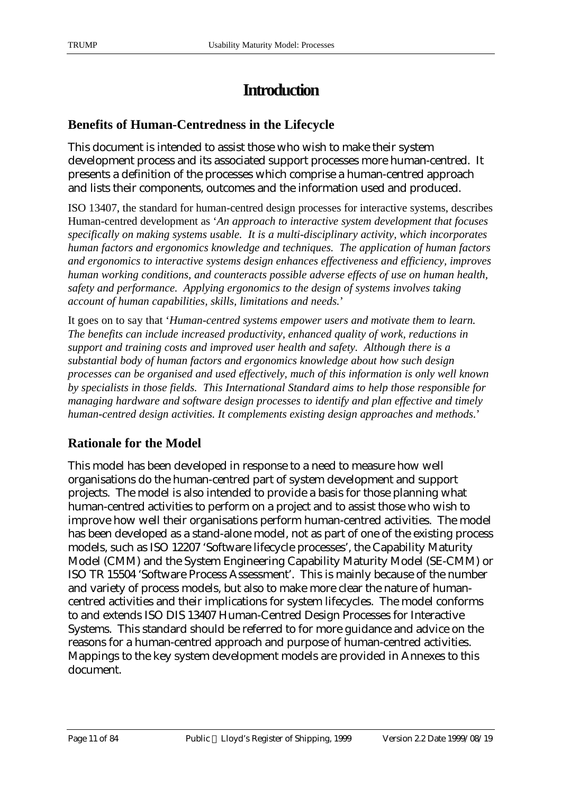## **Introduction**

## **Benefits of Human-Centredness in the Lifecycle**

This document is intended to assist those who wish to make their system development process and its associated support processes more human-centred. It presents a definition of the processes which comprise a human-centred approach and lists their components, outcomes and the information used and produced.

ISO 13407, the standard for human-centred design processes for interactive systems, describes Human-centred development as '*An approach to interactive system development that focuses specifically on making systems usable. It is a multi-disciplinary activity, which incorporates human factors and ergonomics knowledge and techniques. The application of human factors and ergonomics to interactive systems design enhances effectiveness and efficiency, improves human working conditions, and counteracts possible adverse effects of use on human health, safety and performance. Applying ergonomics to the design of systems involves taking account of human capabilities, skills, limitations and needs.*'

It goes on to say that '*Human-centred systems empower users and motivate them to learn. The benefits can include increased productivity, enhanced quality of work, reductions in support and training costs and improved user health and safety. Although there is a substantial body of human factors and ergonomics knowledge about how such design processes can be organised and used effectively, much of this information is only well known by specialists in those fields. This International Standard aims to help those responsible for managing hardware and software design processes to identify and plan effective and timely human-centred design activities. It complements existing design approaches and methods.*'

## **Rationale for the Model**

This model has been developed in response to a need to measure how well organisations do the human-centred part of system development and support projects. The model is also intended to provide a basis for those planning what human-centred activities to perform on a project and to assist those who wish to improve how well their organisations perform human-centred activities. The model has been developed as a stand-alone model, not as part of one of the existing process models, such as ISO 12207 'Software lifecycle processes', the Capability Maturity Model (CMM) and the System Engineering Capability Maturity Model (SE-CMM) or ISO TR 15504 'Software Process Assessment'. This is mainly because of the number and variety of process models, but also to make more clear the nature of humancentred activities and their implications for system lifecycles. The model conforms to and extends ISO DIS 13407 Human-Centred Design Processes for Interactive Systems. This standard should be referred to for more guidance and advice on the reasons for a human-centred approach and purpose of human-centred activities. Mappings to the key system development models are provided in Annexes to this document.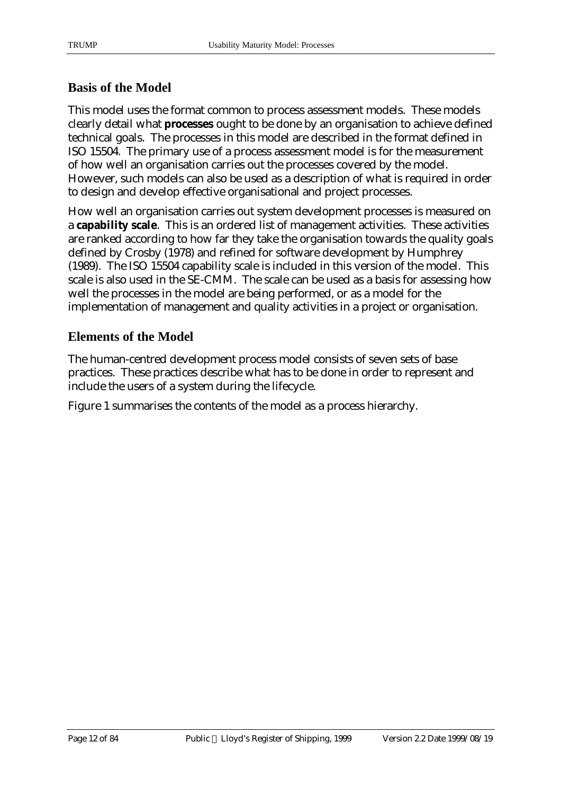## **Basis of the Model**

This model uses the format common to process assessment models. These models clearly detail what **processes** ought to be done by an organisation to achieve defined technical goals. The processes in this model are described in the format defined in ISO 15504. The primary use of a process assessment model is for the measurement of how well an organisation carries out the processes covered by the model. However, such models can also be used as a description of what is required in order to design and develop effective organisational and project processes.

How well an organisation carries out system development processes is measured on a **capability scale**. This is an ordered list of management activities. These activities are ranked according to how far they take the organisation towards the quality goals defined by Crosby (1978) and refined for software development by Humphrey (1989). The ISO 15504 capability scale is included in this version of the model. This scale is also used in the SE-CMM. The scale can be used as a basis for assessing how well the processes in the model are being performed, or as a model for the implementation of management and quality activities in a project or organisation.

## **Elements of the Model**

The human-centred development process model consists of seven sets of base practices. These practices describe what has to be done in order to represent and include the users of a system during the lifecycle.

Figure 1 summarises the contents of the model as a process hierarchy.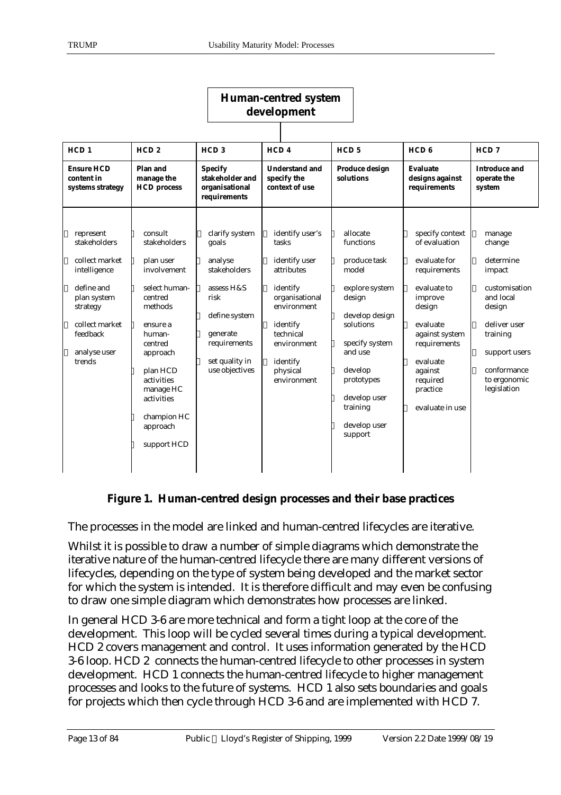## **Human-centred system development**

| HCD <sub>1</sub>                                                                                                                                             | HCD <sub>2</sub>                                                                                                                                                                                                                       | HCD <sub>3</sub>                                                                                                                                          | HCD <sub>4</sub>                                                                                                                                                                    | HCD <sub>5</sub>                                                                                                                                                                                                       | HCD <sub>6</sub>                                                                                                                                                                                                     | HCD <sub>7</sub>                                                                                                                                                           |
|--------------------------------------------------------------------------------------------------------------------------------------------------------------|----------------------------------------------------------------------------------------------------------------------------------------------------------------------------------------------------------------------------------------|-----------------------------------------------------------------------------------------------------------------------------------------------------------|-------------------------------------------------------------------------------------------------------------------------------------------------------------------------------------|------------------------------------------------------------------------------------------------------------------------------------------------------------------------------------------------------------------------|----------------------------------------------------------------------------------------------------------------------------------------------------------------------------------------------------------------------|----------------------------------------------------------------------------------------------------------------------------------------------------------------------------|
| <b>Ensure HCD</b><br>content in<br>systems strategy                                                                                                          | Plan and<br>manage the<br><b>HCD</b> process                                                                                                                                                                                           | <b>Specify</b><br>stakeholder and<br>organisational<br>requirements                                                                                       | <b>Understand and</b><br>specify the<br>context of use                                                                                                                              | <b>Produce design</b><br>solutions                                                                                                                                                                                     | <b>Evaluate</b><br>designs against<br>requirements                                                                                                                                                                   | <b>Introduce and</b><br>operate the<br>system                                                                                                                              |
| represent<br>stakeholders<br>collect market<br>intelligence<br>define and<br>plan system<br>strategy<br>collect market<br>feedback<br>analyse user<br>trends | consult<br>stakeholders<br>plan user<br>involvement<br>select human-<br>centred<br>methods<br>ensure a<br>human-<br>centred<br>approach<br>plan HCD<br>activities<br>manage HC<br>activities<br>champion HC<br>approach<br>support HCD | clarify system<br>goals<br>analyse<br>stakeholders<br>assess H&S<br>risk<br>define system<br>generate<br>requirements<br>set quality in<br>use objectives | identify user's<br>tasks<br>identify user<br>attributes<br>identify<br>organisational<br>environment<br>identify<br>technical<br>environment<br>identify<br>physical<br>environment | allocate<br>functions<br>produce task<br>model<br>explore system<br>design<br>develop design<br>solutions<br>specify system<br>and use<br>develop<br>prototypes<br>develop user<br>training<br>develop user<br>support | specify context<br>of evaluation<br>evaluate for<br>requirements<br>evaluate to<br>improve<br>design<br>evaluate<br>against system<br>requirements<br>evaluate<br>against<br>required<br>practice<br>evaluate in use | manage<br>change<br>determine<br>impact<br>customisation<br>and local<br>design<br>deliver user<br>training<br>support users<br>conformance<br>to ergonomic<br>legislation |

## **Figure 1. Human-centred design processes and their base practices**

The processes in the model are linked and human-centred lifecycles are iterative.

Whilst it is possible to draw a number of simple diagrams which demonstrate the iterative nature of the human-centred lifecycle there are many different versions of lifecycles, depending on the type of system being developed and the market sector for which the system is intended. It is therefore difficult and may even be confusing to draw one simple diagram which demonstrates how processes are linked.

In general HCD 3-6 are more technical and form a tight loop at the core of the development. This loop will be cycled several times during a typical development. HCD 2 covers management and control. It uses information generated by the HCD 3-6 loop. HCD 2 connects the human-centred lifecycle to other processes in system development. HCD 1 connects the human-centred lifecycle to higher management processes and looks to the future of systems. HCD 1 also sets boundaries and goals for projects which then cycle through HCD 3-6 and are implemented with HCD 7.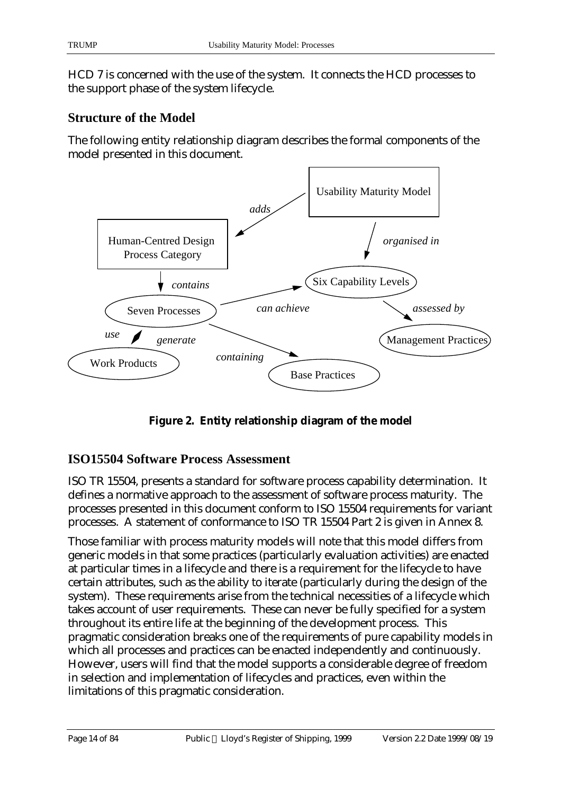HCD 7 is concerned with the use of the system. It connects the HCD processes to the support phase of the system lifecycle.

## **Structure of the Model**

The following entity relationship diagram describes the formal components of the model presented in this document.



**Figure 2. Entity relationship diagram of the model**

## **ISO15504 Software Process Assessment**

ISO TR 15504, presents a standard for software process capability determination. It defines a normative approach to the assessment of software process maturity. The processes presented in this document conform to ISO 15504 requirements for variant processes. A statement of conformance to ISO TR 15504 Part 2 is given in Annex 8.

Those familiar with process maturity models will note that this model differs from generic models in that some practices (particularly evaluation activities) are enacted at particular times in a lifecycle and there is a requirement for the lifecycle to have certain attributes, such as the ability to iterate (particularly during the design of the system). These requirements arise from the technical necessities of a lifecycle which takes account of user requirements. These can never be fully specified for a system throughout its entire life at the beginning of the development process. This pragmatic consideration breaks one of the requirements of pure capability models in which all processes and practices can be enacted independently and continuously. However, users will find that the model supports a considerable degree of freedom in selection and implementation of lifecycles and practices, even within the limitations of this pragmatic consideration.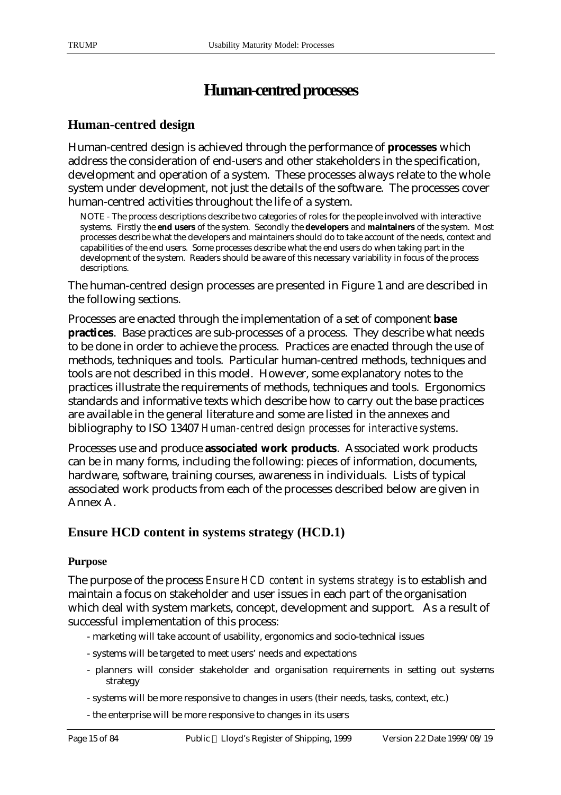## **Human-centred processes**

## **Human-centred design**

Human-centred design is achieved through the performance of **processes** which address the consideration of end-users and other stakeholders in the specification, development and operation of a system. These processes always relate to the whole system under development, not just the details of the software. The processes cover human-centred activities throughout the life of a system.

NOTE - The process descriptions describe two categories of roles for the people involved with interactive systems. Firstly the **end users** of the system. Secondly the **developers** and **maintainers** of the system. Most processes describe what the developers and maintainers should do to take account of the needs, context and capabilities of the end users. Some processes describe what the end users do when taking part in the development of the system. Readers should be aware of this necessary variability in focus of the process descriptions.

The human-centred design processes are presented in Figure 1 and are described in the following sections.

Processes are enacted through the implementation of a set of component **base practices**. Base practices are sub-processes of a process. They describe what needs to be done in order to achieve the process. Practices are enacted through the use of methods, techniques and tools. Particular human-centred methods, techniques and tools are not described in this model. However, some explanatory notes to the practices illustrate the requirements of methods, techniques and tools. Ergonomics standards and informative texts which describe how to carry out the base practices are available in the general literature and some are listed in the annexes and bibliography to ISO 13407 *Human-centred design processes for interactive systems*.

Processes use and produce **associated work products**. Associated work products can be in many forms, including the following: pieces of information, documents, hardware, software, training courses, awareness in individuals. Lists of typical associated work products from each of the processes described below are given in Annex A.

## **Ensure HCD content in systems strategy (HCD.1)**

#### **Purpose**

The purpose of the process *Ensure HCD content in systems strategy* is to establish and maintain a focus on stakeholder and user issues in each part of the organisation which deal with system markets, concept, development and support. As a result of successful implementation of this process:

- marketing will take account of usability, ergonomics and socio-technical issues
- systems will be targeted to meet users' needs and expectations
- planners will consider stakeholder and organisation requirements in setting out systems strategy
- systems will be more responsive to changes in users (their needs, tasks, context, etc.)
- the enterprise will be more responsive to changes in its users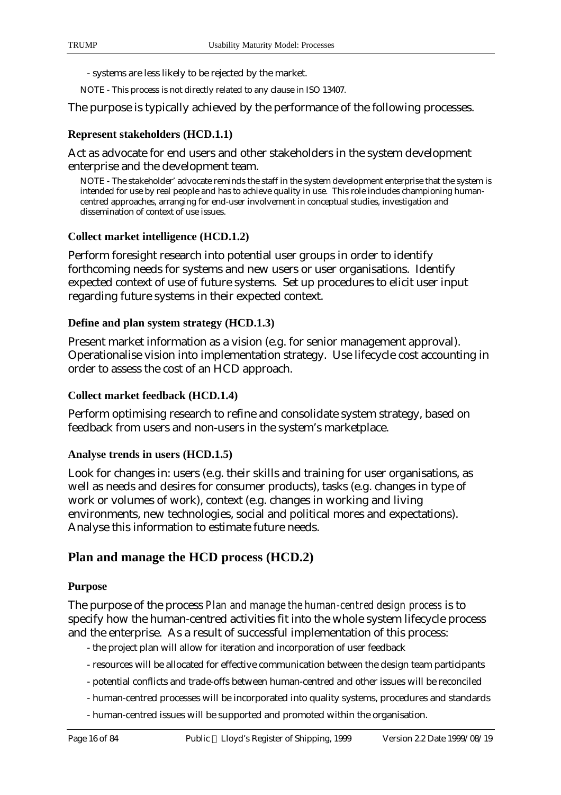- systems are less likely to be rejected by the market.

NOTE - This process is not directly related to any clause in ISO 13407.

The purpose is typically achieved by the performance of the following processes.

#### **Represent stakeholders (HCD.1.1)**

Act as advocate for end users and other stakeholders in the system development enterprise and the development team.

NOTE - The stakeholder' advocate reminds the staff in the system development enterprise that the system is intended for use by real people and has to achieve quality in use. This role includes championing humancentred approaches, arranging for end-user involvement in conceptual studies, investigation and dissemination of context of use issues.

#### **Collect market intelligence (HCD.1.2)**

Perform foresight research into potential user groups in order to identify forthcoming needs for systems and new users or user organisations. Identify expected context of use of future systems. Set up procedures to elicit user input regarding future systems in their expected context.

#### **Define and plan system strategy (HCD.1.3)**

Present market information as a vision (e.g. for senior management approval). Operationalise vision into implementation strategy. Use lifecycle cost accounting in order to assess the cost of an HCD approach.

#### **Collect market feedback (HCD.1.4)**

Perform optimising research to refine and consolidate system strategy, based on feedback from users and non-users in the system's marketplace.

#### **Analyse trends in users (HCD.1.5)**

Look for changes in: users (e.g. their skills and training for user organisations, as well as needs and desires for consumer products), tasks (e.g. changes in type of work or volumes of work), context (e.g. changes in working and living environments, new technologies, social and political mores and expectations). Analyse this information to estimate future needs.

## **Plan and manage the HCD process (HCD.2)**

#### **Purpose**

The purpose of the process *Plan and manage the human-centred design process* is to specify how the human-centred activities fit into the whole system lifecycle process and the enterprise. As a result of successful implementation of this process:

- the project plan will allow for iteration and incorporation of user feedback
- resources will be allocated for effective communication between the design team participants
- potential conflicts and trade-offs between human-centred and other issues will be reconciled
- human-centred processes will be incorporated into quality systems, procedures and standards
- human-centred issues will be supported and promoted within the organisation.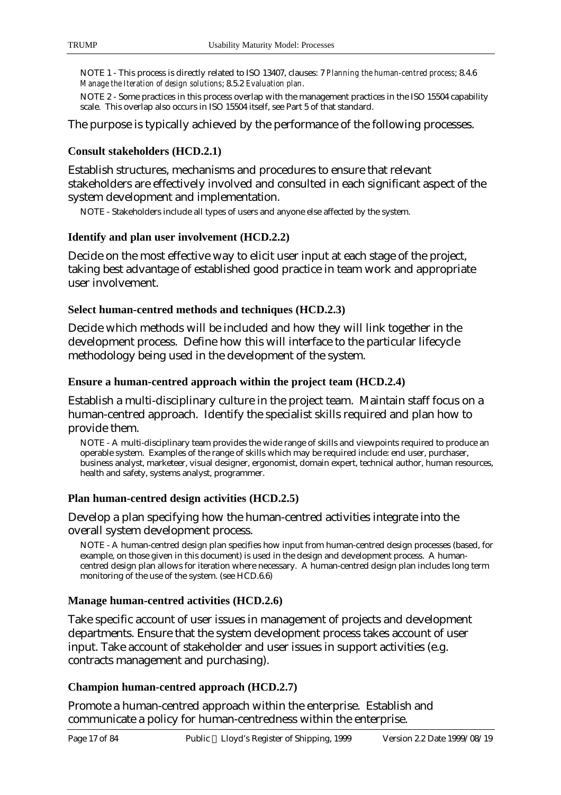NOTE 1 - This process is directly related to ISO 13407, clauses: 7 *Planning the human-centred process*; 8.4.6 *Manage the Iteration of design solutions*; 8.5.2 *Evaluation plan*.

NOTE 2 - Some practices in this process overlap with the management practices in the ISO 15504 capability scale. This overlap also occurs in ISO 15504 itself, see Part 5 of that standard.

The purpose is typically achieved by the performance of the following processes.

#### **Consult stakeholders (HCD.2.1)**

Establish structures, mechanisms and procedures to ensure that relevant stakeholders are effectively involved and consulted in each significant aspect of the system development and implementation.

NOTE - Stakeholders include all types of users and anyone else affected by the system.

#### **Identify and plan user involvement (HCD.2.2)**

Decide on the most effective way to elicit user input at each stage of the project, taking best advantage of established good practice in team work and appropriate user involvement.

#### **Select human-centred methods and techniques (HCD.2.3)**

Decide which methods will be included and how they will link together in the development process. Define how this will interface to the particular lifecycle methodology being used in the development of the system.

#### **Ensure a human-centred approach within the project team (HCD.2.4)**

Establish a multi-disciplinary culture in the project team. Maintain staff focus on a human-centred approach. Identify the specialist skills required and plan how to provide them.

NOTE - A multi-disciplinary team provides the wide range of skills and viewpoints required to produce an operable system. Examples of the range of skills which may be required include: end user, purchaser, business analyst, marketeer, visual designer, ergonomist, domain expert, technical author, human resources, health and safety, systems analyst, programmer.

#### **Plan human-centred design activities (HCD.2.5)**

Develop a plan specifying how the human-centred activities integrate into the overall system development process.

NOTE - A human-centred design plan specifies how input from human-centred design processes (based, for example, on those given in this document) is used in the design and development process. A humancentred design plan allows for iteration where necessary. A human-centred design plan includes long term monitoring of the use of the system. (see HCD.6.6)

#### **Manage human-centred activities (HCD.2.6)**

Take specific account of user issues in management of projects and development departments. Ensure that the system development process takes account of user input. Take account of stakeholder and user issues in support activities (e.g. contracts management and purchasing).

#### **Champion human-centred approach (HCD.2.7)**

Promote a human-centred approach within the enterprise. Establish and communicate a policy for human-centredness within the enterprise.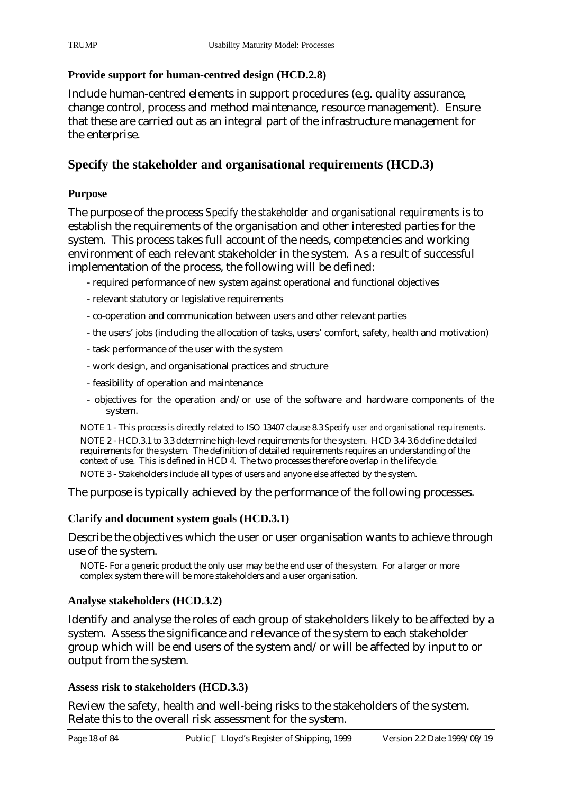#### **Provide support for human-centred design (HCD.2.8)**

Include human-centred elements in support procedures (e.g. quality assurance, change control, process and method maintenance, resource management). Ensure that these are carried out as an integral part of the infrastructure management for the enterprise.

## **Specify the stakeholder and organisational requirements (HCD.3)**

#### **Purpose**

The purpose of the process *Specify the stakeholder and organisational requirements* is to establish the requirements of the organisation and other interested parties for the system. This process takes full account of the needs, competencies and working environment of each relevant stakeholder in the system. As a result of successful implementation of the process, the following will be defined:

- required performance of new system against operational and functional objectives
- relevant statutory or legislative requirements
- co-operation and communication between users and other relevant parties
- the users' jobs (including the allocation of tasks, users' comfort, safety, health and motivation)
- task performance of the user with the system
- work design, and organisational practices and structure
- feasibility of operation and maintenance
- objectives for the operation and/or use of the software and hardware components of the system.

NOTE 1 - This process is directly related to ISO 13407 clause 8.3 *Specify user and organisational requirements*. NOTE 2 - HCD.3.1 to 3.3 determine high-level requirements for the system. HCD 3.4-3.6 define detailed requirements for the system. The definition of detailed requirements requires an understanding of the context of use. This is defined in HCD 4. The two processes therefore overlap in the lifecycle. NOTE 3 - Stakeholders include all types of users and anyone else affected by the system.

The purpose is typically achieved by the performance of the following processes.

#### **Clarify and document system goals (HCD.3.1)**

Describe the objectives which the user or user organisation wants to achieve through use of the system.

NOTE- For a generic product the only user may be the end user of the system. For a larger or more complex system there will be more stakeholders and a user organisation.

#### **Analyse stakeholders (HCD.3.2)**

Identify and analyse the roles of each group of stakeholders likely to be affected by a system. Assess the significance and relevance of the system to each stakeholder group which will be end users of the system and/or will be affected by input to or output from the system.

#### **Assess risk to stakeholders (HCD.3.3)**

Review the safety, health and well-being risks to the stakeholders of the system. Relate this to the overall risk assessment for the system.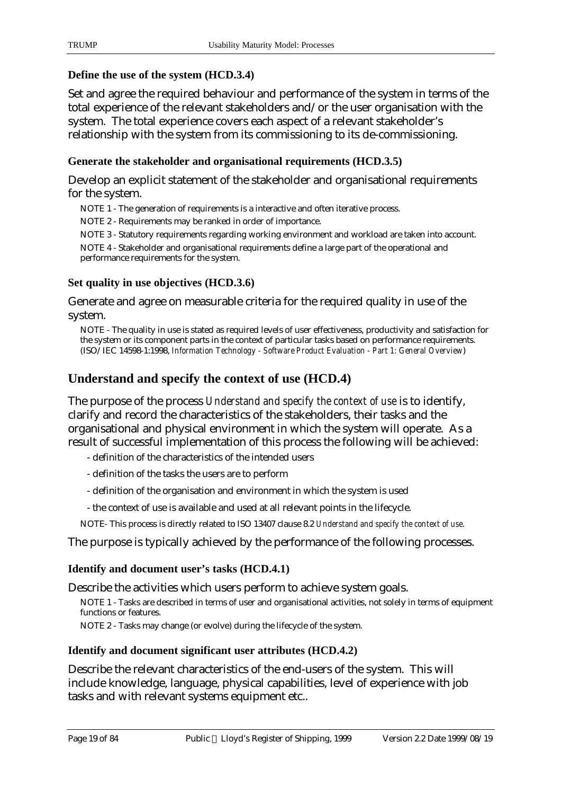#### **Define the use of the system (HCD.3.4)**

Set and agree the required behaviour and performance of the system in terms of the total experience of the relevant stakeholders and/or the user organisation with the system. The total experience covers each aspect of a relevant stakeholder's relationship with the system from its commissioning to its de-commissioning.

#### **Generate the stakeholder and organisational requirements (HCD.3.5)**

Develop an explicit statement of the stakeholder and organisational requirements for the system.

NOTE 1 - The generation of requirements is a interactive and often iterative process.

NOTE 2 - Requirements may be ranked in order of importance.

NOTE 3 - Statutory requirements regarding working environment and workload are taken into account.

NOTE 4 - Stakeholder and organisational requirements define a large part of the operational and performance requirements for the system.

#### **Set quality in use objectives (HCD.3.6)**

Generate and agree on measurable criteria for the required quality in use of the system.

NOTE - The quality in use is stated as required levels of user effectiveness, productivity and satisfaction for the system or its component parts in the context of particular tasks based on performance requirements. (ISO/IEC 14598-1:1998, *Information Technology - Software Product Evaluation - Part 1: General Overview*)

## **Understand and specify the context of use (HCD.4)**

The purpose of the process *Understand and specify the context of use* is to identify, clarify and record the characteristics of the stakeholders, their tasks and the organisational and physical environment in which the system will operate. As a result of successful implementation of this process the following will be achieved:

- definition of the characteristics of the intended users
- definition of the tasks the users are to perform
- definition of the organisation and environment in which the system is used
- the context of use is available and used at all relevant points in the lifecycle.

NOTE- This process is directly related to ISO 13407 clause 8.2 *Understand and specify the context of use*.

The purpose is typically achieved by the performance of the following processes.

## **Identify and document user's tasks (HCD.4.1)**

Describe the activities which users perform to achieve system goals.

NOTE 1 - Tasks are described in terms of user and organisational activities, not solely in terms of equipment functions or features.

NOTE 2 - Tasks may change (or evolve) during the lifecycle of the system.

## **Identify and document significant user attributes (HCD.4.2)**

Describe the relevant characteristics of the end-users of the system. This will include knowledge, language, physical capabilities, level of experience with job tasks and with relevant systems equipment etc..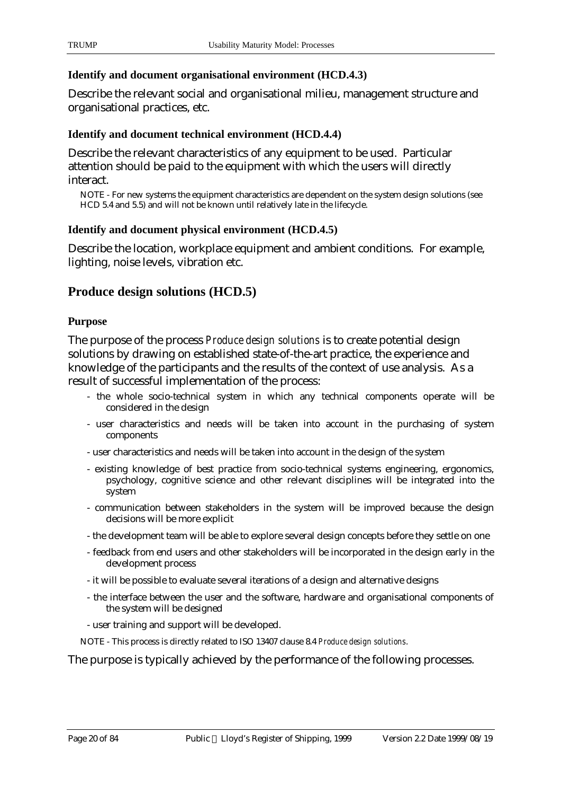#### **Identify and document organisational environment (HCD.4.3)**

Describe the relevant social and organisational milieu, management structure and organisational practices, etc.

#### **Identify and document technical environment (HCD.4.4)**

Describe the relevant characteristics of any equipment to be used. Particular attention should be paid to the equipment with which the users will directly interact.

NOTE - For new systems the equipment characteristics are dependent on the system design solutions (see HCD 5.4 and 5.5) and will not be known until relatively late in the lifecycle.

#### **Identify and document physical environment (HCD.4.5)**

Describe the location, workplace equipment and ambient conditions. For example, lighting, noise levels, vibration etc.

## **Produce design solutions (HCD.5)**

#### **Purpose**

The purpose of the process *Produce design solutions* is to create potential design solutions by drawing on established state-of-the-art practice, the experience and knowledge of the participants and the results of the context of use analysis. As a result of successful implementation of the process:

- the whole socio-technical system in which any technical components operate will be considered in the design
- user characteristics and needs will be taken into account in the purchasing of system components
- user characteristics and needs will be taken into account in the design of the system
- existing knowledge of best practice from socio-technical systems engineering, ergonomics, psychology, cognitive science and other relevant disciplines will be integrated into the system
- communication between stakeholders in the system will be improved because the design decisions will be more explicit
- the development team will be able to explore several design concepts before they settle on one
- feedback from end users and other stakeholders will be incorporated in the design early in the development process
- it will be possible to evaluate several iterations of a design and alternative designs
- the interface between the user and the software, hardware and organisational components of the system will be designed
- user training and support will be developed.
- NOTE This process is directly related to ISO 13407 clause 8.4 *Produce design solutions*.

The purpose is typically achieved by the performance of the following processes.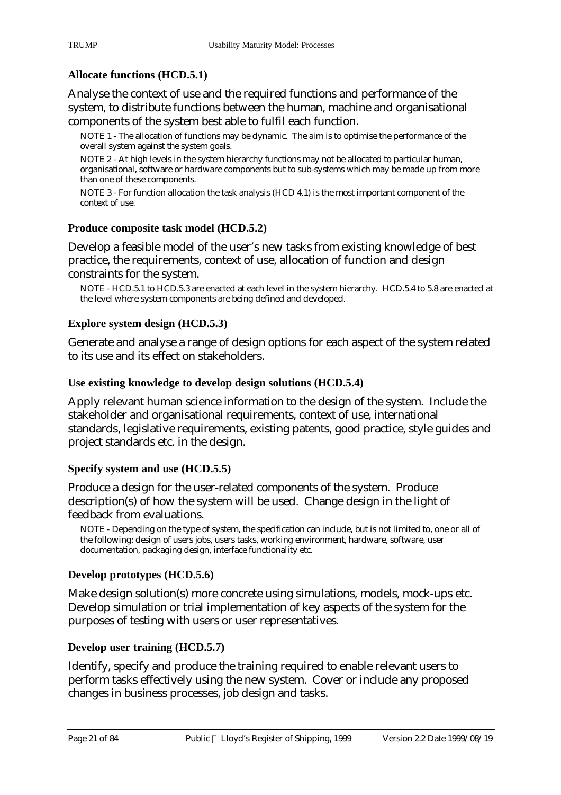#### **Allocate functions (HCD.5.1)**

Analyse the context of use and the required functions and performance of the system, to distribute functions between the human, machine and organisational components of the system best able to fulfil each function.

NOTE 1 - The allocation of functions may be dynamic. The aim is to optimise the performance of the overall system against the system goals.

NOTE 2 - At high levels in the system hierarchy functions may not be allocated to particular human, organisational, software or hardware components but to sub-systems which may be made up from more than one of these components.

NOTE 3 - For function allocation the task analysis (HCD 4.1) is the most important component of the context of use.

#### **Produce composite task model (HCD.5.2)**

Develop a feasible model of the user's new tasks from existing knowledge of best practice, the requirements, context of use, allocation of function and design constraints for the system.

NOTE - HCD.5.1 to HCD.5.3 are enacted at each level in the system hierarchy. HCD.5.4 to 5.8 are enacted at the level where system components are being defined and developed.

#### **Explore system design (HCD.5.3)**

Generate and analyse a range of design options for each aspect of the system related to its use and its effect on stakeholders.

#### **Use existing knowledge to develop design solutions (HCD.5.4)**

Apply relevant human science information to the design of the system. Include the stakeholder and organisational requirements, context of use, international standards, legislative requirements, existing patents, good practice, style guides and project standards etc. in the design.

#### **Specify system and use (HCD.5.5)**

Produce a design for the user-related components of the system. Produce description(s) of how the system will be used. Change design in the light of feedback from evaluations.

NOTE - Depending on the type of system, the specification can include, but is not limited to, one or all of the following: design of users jobs, users tasks, working environment, hardware, software, user documentation, packaging design, interface functionality etc.

#### **Develop prototypes (HCD.5.6)**

Make design solution(s) more concrete using simulations, models, mock-ups etc. Develop simulation or trial implementation of key aspects of the system for the purposes of testing with users or user representatives.

#### **Develop user training (HCD.5.7)**

Identify, specify and produce the training required to enable relevant users to perform tasks effectively using the new system. Cover or include any proposed changes in business processes, job design and tasks.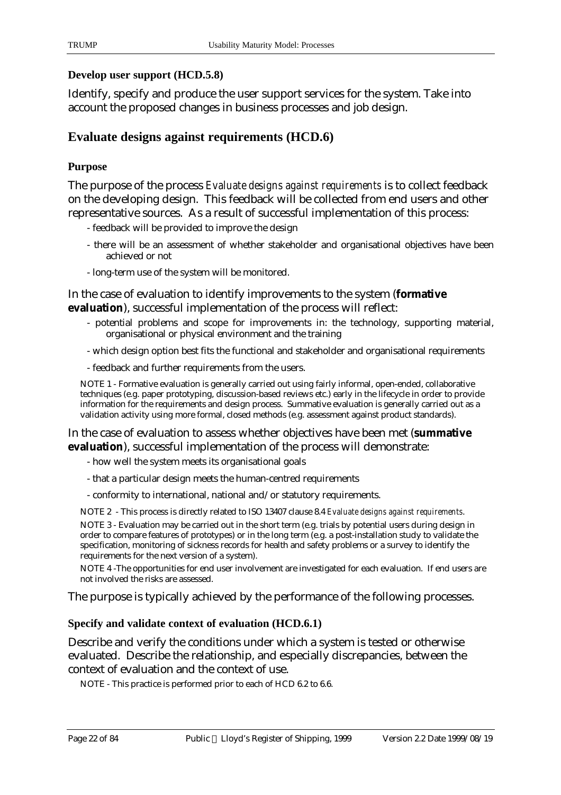#### **Develop user support (HCD.5.8)**

Identify, specify and produce the user support services for the system. Take into account the proposed changes in business processes and job design.

## **Evaluate designs against requirements (HCD.6)**

#### **Purpose**

The purpose of the process *Evaluate designs against requirements* is to collect feedback on the developing design. This feedback will be collected from end users and other representative sources. As a result of successful implementation of this process:

- feedback will be provided to improve the design
- there will be an assessment of whether stakeholder and organisational objectives have been achieved or not
- long-term use of the system will be monitored.

In the case of evaluation to identify improvements to the system (**formative evaluation**), successful implementation of the process will reflect:

- potential problems and scope for improvements in: the technology, supporting material, organisational or physical environment and the training
- which design option best fits the functional and stakeholder and organisational requirements
- feedback and further requirements from the users.

NOTE 1 - Formative evaluation is generally carried out using fairly informal, open-ended, collaborative techniques (e.g. paper prototyping, discussion-based reviews etc.) early in the lifecycle in order to provide information for the requirements and design process. Summative evaluation is generally carried out as a validation activity using more formal, closed methods (e.g. assessment against product standards).

#### In the case of evaluation to assess whether objectives have been met (**summative evaluation**), successful implementation of the process will demonstrate:

- how well the system meets its organisational goals
- that a particular design meets the human-centred requirements
- conformity to international, national and/or statutory requirements.

NOTE 2 - This process is directly related to ISO 13407 clause 8.4 *Evaluate designs against requirements*.

NOTE 3 - Evaluation may be carried out in the short term (e.g. trials by potential users during design in order to compare features of prototypes) or in the long term (e.g. a post-installation study to validate the specification, monitoring of sickness records for health and safety problems or a survey to identify the requirements for the next version of a system).

NOTE 4 -The opportunities for end user involvement are investigated for each evaluation. If end users are not involved the risks are assessed.

The purpose is typically achieved by the performance of the following processes.

#### **Specify and validate context of evaluation (HCD.6.1)**

Describe and verify the conditions under which a system is tested or otherwise evaluated. Describe the relationship, and especially discrepancies, between the context of evaluation and the context of use.

NOTE - This practice is performed prior to each of HCD 6.2 to 6.6.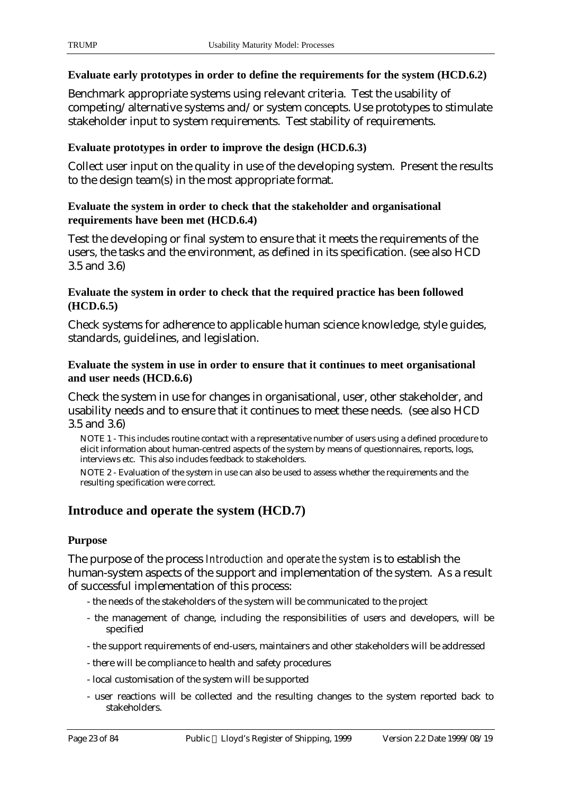#### **Evaluate early prototypes in order to define the requirements for the system (HCD.6.2)**

Benchmark appropriate systems using relevant criteria. Test the usability of competing/alternative systems and/or system concepts. Use prototypes to stimulate stakeholder input to system requirements. Test stability of requirements.

#### **Evaluate prototypes in order to improve the design (HCD.6.3)**

Collect user input on the quality in use of the developing system. Present the results to the design team(s) in the most appropriate format.

#### **Evaluate the system in order to check that the stakeholder and organisational requirements have been met (HCD.6.4)**

Test the developing or final system to ensure that it meets the requirements of the users, the tasks and the environment, as defined in its specification. (see also HCD 3.5 and 3.6)

#### **Evaluate the system in order to check that the required practice has been followed (HCD.6.5)**

Check systems for adherence to applicable human science knowledge, style guides, standards, guidelines, and legislation.

#### **Evaluate the system in use in order to ensure that it continues to meet organisational and user needs (HCD.6.6)**

Check the system in use for changes in organisational, user, other stakeholder, and usability needs and to ensure that it continues to meet these needs. (see also HCD 3.5 and 3.6)

NOTE 1 - This includes routine contact with a representative number of users using a defined procedure to elicit information about human-centred aspects of the system by means of questionnaires, reports, logs, interviews etc. This also includes feedback to stakeholders.

NOTE 2 - Evaluation of the system in use can also be used to assess whether the requirements and the resulting specification were correct.

## **Introduce and operate the system (HCD.7)**

#### **Purpose**

The purpose of the process *Introduction and operate the system* is to establish the human-system aspects of the support and implementation of the system. As a result of successful implementation of this process:

- the needs of the stakeholders of the system will be communicated to the project
- the management of change, including the responsibilities of users and developers, will be specified
- the support requirements of end-users, maintainers and other stakeholders will be addressed
- there will be compliance to health and safety procedures
- local customisation of the system will be supported
- user reactions will be collected and the resulting changes to the system reported back to stakeholders.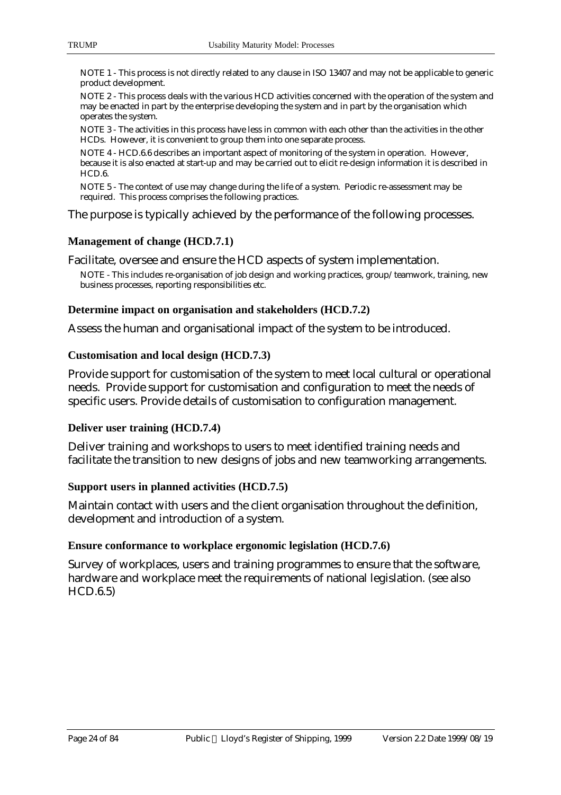NOTE 1 - This process is not directly related to any clause in ISO 13407 and may not be applicable to generic product development.

NOTE 2 - This process deals with the various HCD activities concerned with the operation of the system and may be enacted in part by the enterprise developing the system and in part by the organisation which operates the system.

NOTE 3 - The activities in this process have less in common with each other than the activities in the other HCDs. However, it is convenient to group them into one separate process.

NOTE 4 - HCD.6.6 describes an important aspect of monitoring of the system in operation. However, because it is also enacted at start-up and may be carried out to elicit re-design information it is described in HCD.6.

NOTE 5 - The context of use may change during the life of a system. Periodic re-assessment may be required. This process comprises the following practices.

The purpose is typically achieved by the performance of the following processes.

#### **Management of change (HCD.7.1)**

Facilitate, oversee and ensure the HCD aspects of system implementation.

NOTE - This includes re-organisation of job design and working practices, group/teamwork, training, new business processes, reporting responsibilities etc.

#### **Determine impact on organisation and stakeholders (HCD.7.2)**

Assess the human and organisational impact of the system to be introduced.

#### **Customisation and local design (HCD.7.3)**

Provide support for customisation of the system to meet local cultural or operational needs. Provide support for customisation and configuration to meet the needs of specific users. Provide details of customisation to configuration management.

#### **Deliver user training (HCD.7.4)**

Deliver training and workshops to users to meet identified training needs and facilitate the transition to new designs of jobs and new teamworking arrangements.

#### **Support users in planned activities (HCD.7.5)**

Maintain contact with users and the client organisation throughout the definition, development and introduction of a system.

#### **Ensure conformance to workplace ergonomic legislation (HCD.7.6)**

Survey of workplaces, users and training programmes to ensure that the software, hardware and workplace meet the requirements of national legislation. (see also HCD.6.5)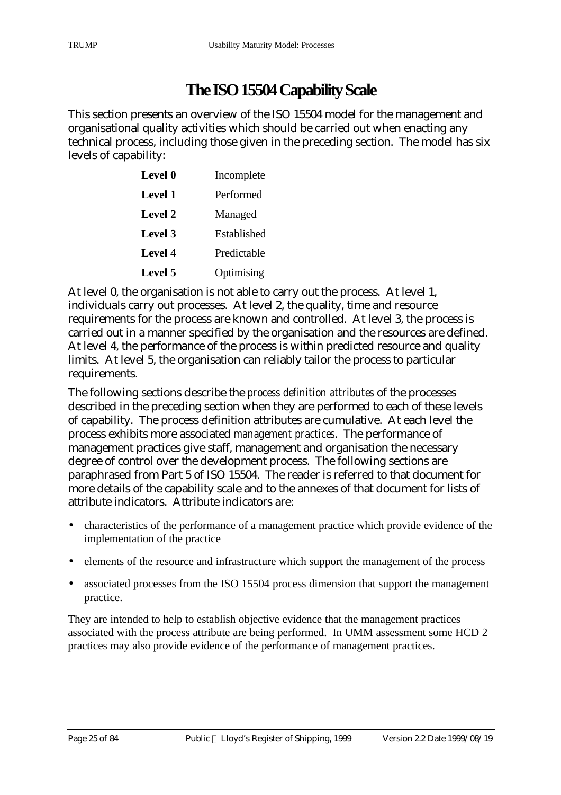## **The ISO 15504 Capability Scale**

This section presents an overview of the ISO 15504 model for the management and organisational quality activities which should be carried out when enacting any technical process, including those given in the preceding section. The model has six levels of capability:

| Level 0 | Incomplete  |
|---------|-------------|
| Level 1 | Performed   |
| Level 2 | Managed     |
| Level 3 | Established |
| Level 4 | Predictable |
| Level 5 | Optimising  |

At level 0, the organisation is not able to carry out the process. At level 1, individuals carry out processes. At level 2, the quality, time and resource requirements for the process are known and controlled. At level 3, the process is carried out in a manner specified by the organisation and the resources are defined. At level 4, the performance of the process is within predicted resource and quality limits. At level 5, the organisation can reliably tailor the process to particular requirements.

The following sections describe the *process definition attributes* of the processes described in the preceding section when they are performed to each of these levels of capability. The process definition attributes are cumulative. At each level the process exhibits more associated *management practices*. The performance of management practices give staff, management and organisation the necessary degree of control over the development process. The following sections are paraphrased from Part 5 of ISO 15504. The reader is referred to that document for more details of the capability scale and to the annexes of that document for lists of attribute indicators. Attribute indicators are:

- characteristics of the performance of a management practice which provide evidence of the implementation of the practice
- elements of the resource and infrastructure which support the management of the process
- associated processes from the ISO 15504 process dimension that support the management practice.

They are intended to help to establish objective evidence that the management practices associated with the process attribute are being performed. In UMM assessment some HCD 2 practices may also provide evidence of the performance of management practices.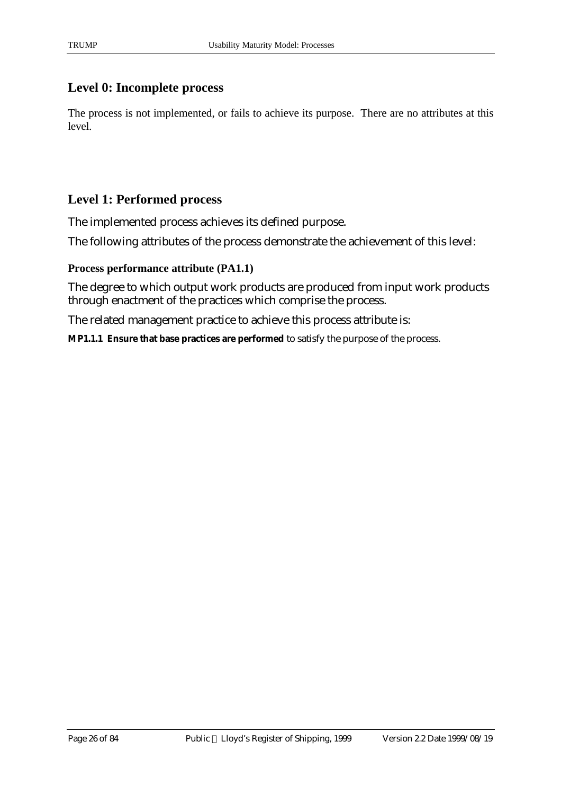## **Level 0: Incomplete process**

The process is not implemented, or fails to achieve its purpose. There are no attributes at this level.

## **Level 1: Performed process**

The implemented process achieves its defined purpose.

The following attributes of the process demonstrate the achievement of this level:

#### **Process performance attribute (PA1.1)**

The degree to which output work products are produced from input work products through enactment of the practices which comprise the process.

The related management practice to achieve this process attribute is:

**MP1.1.1 Ensure that base practices are performed** to satisfy the purpose of the process.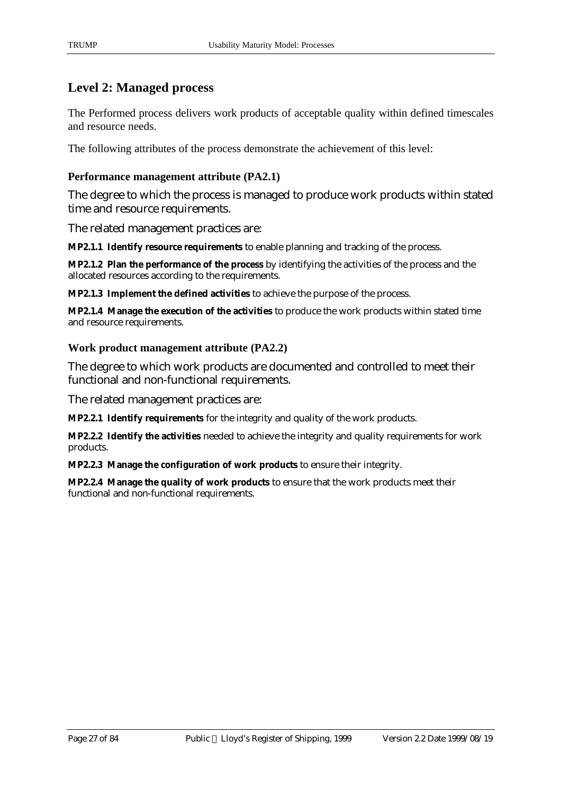## **Level 2: Managed process**

The Performed process delivers work products of acceptable quality within defined timescales and resource needs.

The following attributes of the process demonstrate the achievement of this level:

#### **Performance management attribute (PA2.1)**

The degree to which the process is managed to produce work products within stated time and resource requirements.

The related management practices are:

**MP2.1.1 Identify resource requirements** to enable planning and tracking of the process.

**MP2.1.2 Plan the performance of the process** by identifying the activities of the process and the allocated resources according to the requirements.

**MP2.1.3 Implement the defined activities** to achieve the purpose of the process.

**MP2.1.4 Manage the execution of the activities** to produce the work products within stated time and resource requirements.

#### **Work product management attribute (PA2.2)**

The degree to which work products are documented and controlled to meet their functional and non-functional requirements.

The related management practices are:

**MP2.2.1 Identify requirements** for the integrity and quality of the work products.

**MP2.2.2 Identify the activities** needed to achieve the integrity and quality requirements for work products.

**MP2.2.3 Manage the configuration of work products** to ensure their integrity.

**MP2.2.4 Manage the quality of work products** to ensure that the work products meet their functional and non-functional requirements.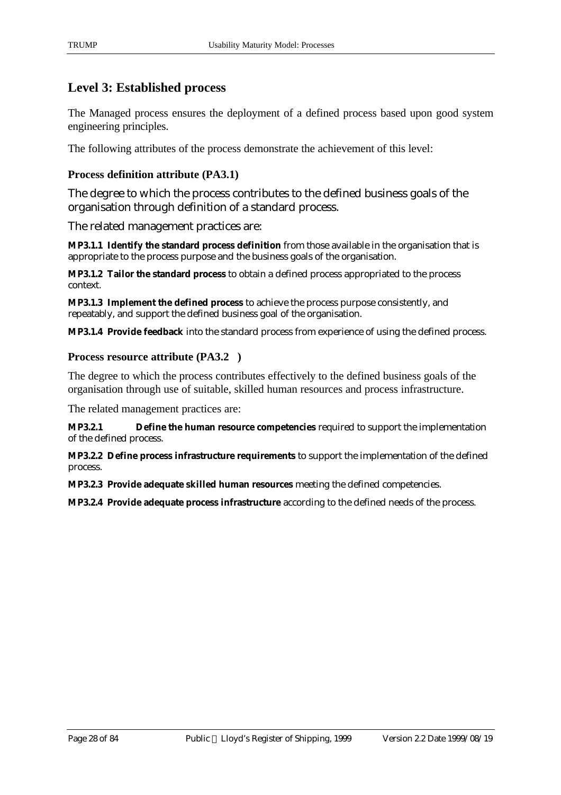## **Level 3: Established process**

The Managed process ensures the deployment of a defined process based upon good system engineering principles.

The following attributes of the process demonstrate the achievement of this level:

#### **Process definition attribute (PA3.1)**

The degree to which the process contributes to the defined business goals of the organisation through definition of a standard process.

The related management practices are:

**MP3.1.1 Identify the standard process definition** from those available in the organisation that is appropriate to the process purpose and the business goals of the organisation.

**MP3.1.2 Tailor the standard process** to obtain a defined process appropriated to the process context.

**MP3.1.3 Implement the defined process** to achieve the process purpose consistently, and repeatably, and support the defined business goal of the organisation.

**MP3.1.4 Provide feedback** into the standard process from experience of using the defined process.

#### **Process resource attribute (PA3.2 )**

The degree to which the process contributes effectively to the defined business goals of the organisation through use of suitable, skilled human resources and process infrastructure.

The related management practices are:

**MP3.2.1 Define the human resource competencies** required to support the implementation of the defined process.

**MP3.2.2 Define process infrastructure requirements** to support the implementation of the defined process.

**MP3.2.3 Provide adequate skilled human resources** meeting the defined competencies.

**MP3.2.4 Provide adequate process infrastructure** according to the defined needs of the process.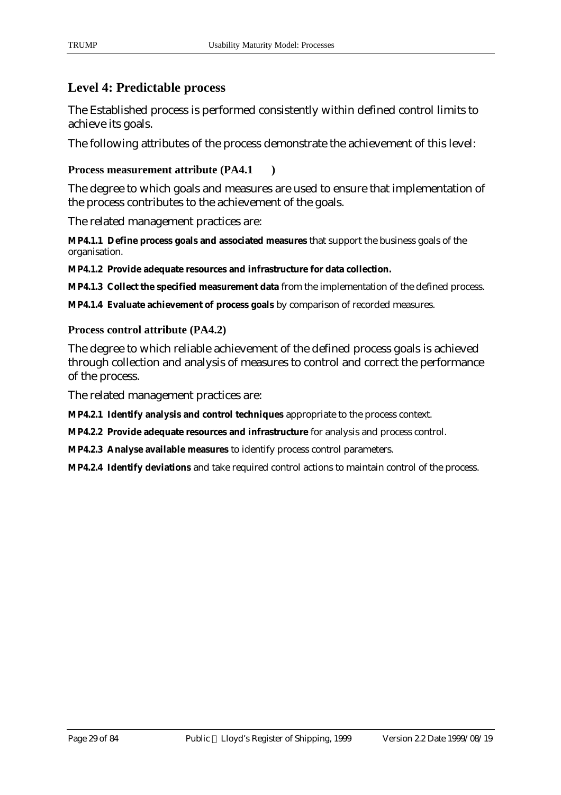## **Level 4: Predictable process**

The Established process is performed consistently within defined control limits to achieve its goals.

The following attributes of the process demonstrate the achievement of this level:

#### **Process measurement attribute (PA4.1 )**

The degree to which goals and measures are used to ensure that implementation of the process contributes to the achievement of the goals.

The related management practices are:

**MP4.1.1 Define process goals and associated measures** that support the business goals of the organisation.

#### **MP4.1.2 Provide adequate resources and infrastructure for data collection.**

**MP4.1.3 Collect the specified measurement data** from the implementation of the defined process.

**MP4.1.4 Evaluate achievement of process goals** by comparison of recorded measures.

#### **Process control attribute (PA4.2)**

The degree to which reliable achievement of the defined process goals is achieved through collection and analysis of measures to control and correct the performance of the process.

The related management practices are:

**MP4.2.1 Identify analysis and control techniques** appropriate to the process context.

**MP4.2.2 Provide adequate resources and infrastructure** for analysis and process control.

**MP4.2.3 Analyse available measures** to identify process control parameters.

**MP4.2.4 Identify deviations** and take required control actions to maintain control of the process.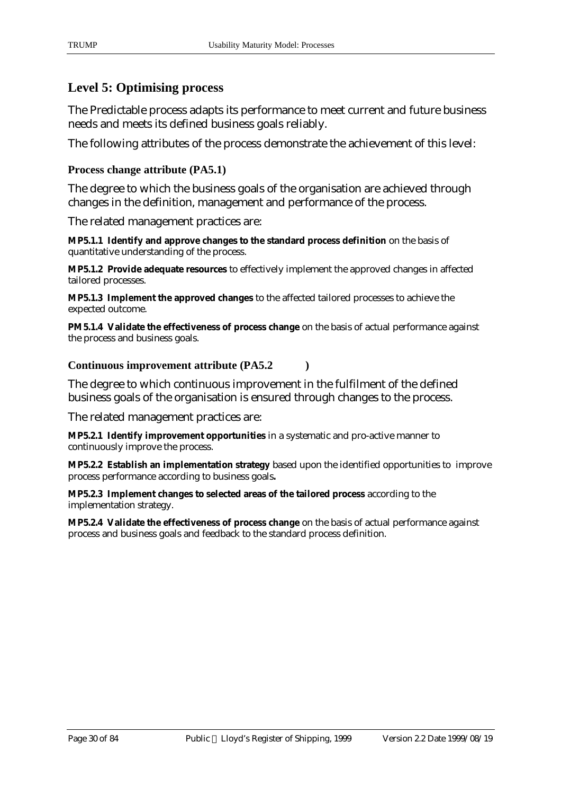## **Level 5: Optimising process**

The Predictable process adapts its performance to meet current and future business needs and meets its defined business goals reliably.

The following attributes of the process demonstrate the achievement of this level:

#### **Process change attribute (PA5.1)**

The degree to which the business goals of the organisation are achieved through changes in the definition, management and performance of the process.

The related management practices are:

**MP5.1.1 Identify and approve changes to the standard process definition** on the basis of quantitative understanding of the process.

**MP5.1.2 Provide adequate resources** to effectively implement the approved changes in affected tailored processes.

**MP5.1.3 Implement the approved changes** to the affected tailored processes to achieve the expected outcome.

**PM5.1.4 Validate the effectiveness of process change** on the basis of actual performance against the process and business goals.

#### **Continuous improvement attribute (PA5.2 )**

The degree to which continuous improvement in the fulfilment of the defined business goals of the organisation is ensured through changes to the process.

The related management practices are:

**MP5.2.1 Identify improvement opportunities** in a systematic and pro-active manner to continuously improve the process.

**MP5.2.2 Establish an implementation strategy** based upon the identified opportunities to improve process performance according to business goals**.**

**MP5.2.3 Implement changes to selected areas of the tailored process** according to the implementation strategy.

**MP5.2.4 Validate the effectiveness of process change** on the basis of actual performance against process and business goals and feedback to the standard process definition.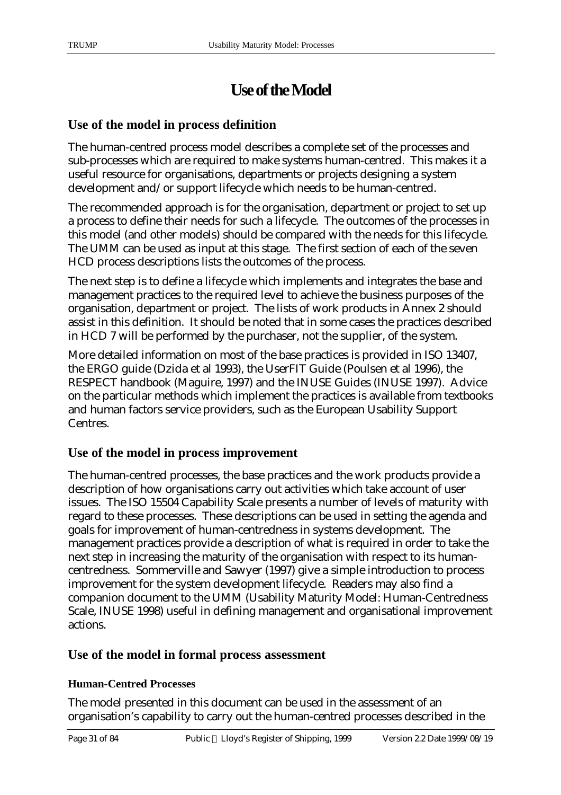## **Use of the Model**

## **Use of the model in process definition**

The human-centred process model describes a complete set of the processes and sub-processes which are required to make systems human-centred. This makes it a useful resource for organisations, departments or projects designing a system development and/or support lifecycle which needs to be human-centred.

The recommended approach is for the organisation, department or project to set up a process to define their needs for such a lifecycle. The outcomes of the processes in this model (and other models) should be compared with the needs for this lifecycle. The UMM can be used as input at this stage. The first section of each of the seven HCD process descriptions lists the outcomes of the process.

The next step is to define a lifecycle which implements and integrates the base and management practices to the required level to achieve the business purposes of the organisation, department or project. The lists of work products in Annex 2 should assist in this definition. It should be noted that in some cases the practices described in HCD 7 will be performed by the purchaser, not the supplier, of the system.

More detailed information on most of the base practices is provided in ISO 13407, the ERGO guide (Dzida et al 1993), the UserFIT Guide (Poulsen et al 1996), the RESPECT handbook (Maguire, 1997) and the INUSE Guides (INUSE 1997). Advice on the particular methods which implement the practices is available from textbooks and human factors service providers, such as the European Usability Support Centres.

## **Use of the model in process improvement**

The human-centred processes, the base practices and the work products provide a description of how organisations carry out activities which take account of user issues. The ISO 15504 Capability Scale presents a number of levels of maturity with regard to these processes. These descriptions can be used in setting the agenda and goals for improvement of human-centredness in systems development. The management practices provide a description of what is required in order to take the next step in increasing the maturity of the organisation with respect to its humancentredness. Sommerville and Sawyer (1997) give a simple introduction to process improvement for the system development lifecycle. Readers may also find a companion document to the UMM (Usability Maturity Model: Human-Centredness Scale, INUSE 1998) useful in defining management and organisational improvement actions.

## **Use of the model in formal process assessment**

## **Human-Centred Processes**

The model presented in this document can be used in the assessment of an organisation's capability to carry out the human-centred processes described in the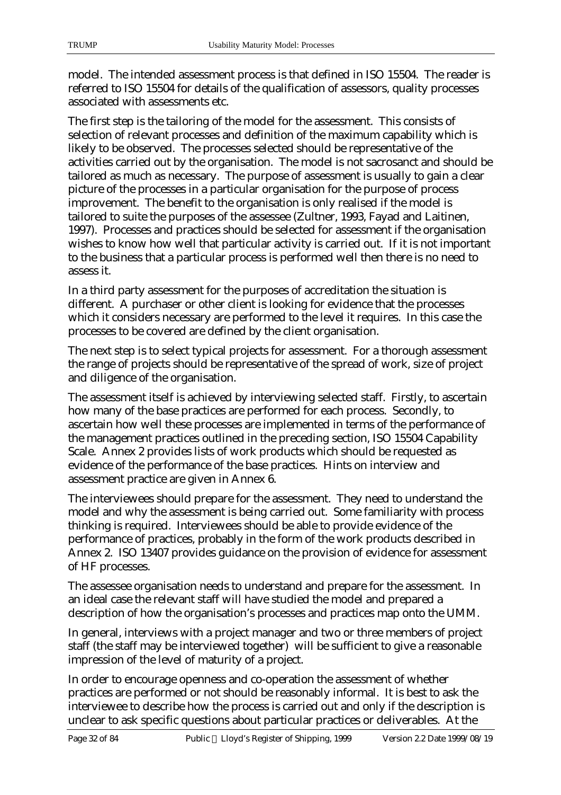model. The intended assessment process is that defined in ISO 15504. The reader is referred to ISO 15504 for details of the qualification of assessors, quality processes associated with assessments etc.

The first step is the tailoring of the model for the assessment. This consists of selection of relevant processes and definition of the maximum capability which is likely to be observed. The processes selected should be representative of the activities carried out by the organisation. The model is not sacrosanct and should be tailored as much as necessary. The purpose of assessment is usually to gain a clear picture of the processes in a particular organisation for the purpose of process improvement. The benefit to the organisation is only realised if the model is tailored to suite the purposes of the assessee (Zultner, 1993, Fayad and Laitinen, 1997). Processes and practices should be selected for assessment if the organisation wishes to know how well that particular activity is carried out. If it is not important to the business that a particular process is performed well then there is no need to assess it.

In a third party assessment for the purposes of accreditation the situation is different. A purchaser or other client is looking for evidence that the processes which it considers necessary are performed to the level it requires. In this case the processes to be covered are defined by the client organisation.

The next step is to select typical projects for assessment. For a thorough assessment the range of projects should be representative of the spread of work, size of project and diligence of the organisation.

The assessment itself is achieved by interviewing selected staff. Firstly, to ascertain how many of the base practices are performed for each process. Secondly, to ascertain how well these processes are implemented in terms of the performance of the management practices outlined in the preceding section, ISO 15504 Capability Scale. Annex 2 provides lists of work products which should be requested as evidence of the performance of the base practices. Hints on interview and assessment practice are given in Annex 6.

The interviewees should prepare for the assessment. They need to understand the model and why the assessment is being carried out. Some familiarity with process thinking is required. Interviewees should be able to provide evidence of the performance of practices, probably in the form of the work products described in Annex 2. ISO 13407 provides guidance on the provision of evidence for assessment of HF processes.

The assessee organisation needs to understand and prepare for the assessment. In an ideal case the relevant staff will have studied the model and prepared a description of how the organisation's processes and practices map onto the UMM.

In general, interviews with a project manager and two or three members of project staff (the staff may be interviewed together) will be sufficient to give a reasonable impression of the level of maturity of a project.

In order to encourage openness and co-operation the assessment of whether practices are performed or not should be reasonably informal. It is best to ask the interviewee to describe how the process is carried out and only if the description is unclear to ask specific questions about particular practices or deliverables. At the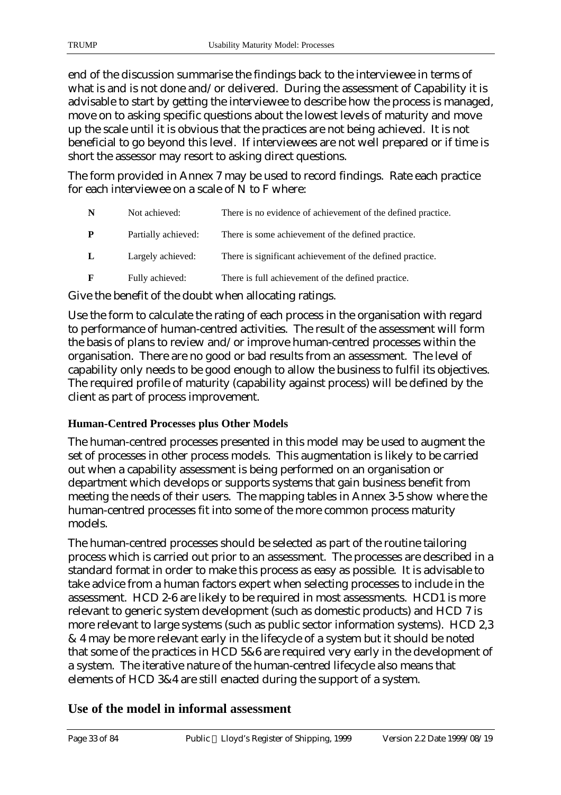end of the discussion summarise the findings back to the interviewee in terms of what is and is not done and/or delivered. During the assessment of Capability it is advisable to start by getting the interviewee to describe how the process is managed, move on to asking specific questions about the lowest levels of maturity and move up the scale until it is obvious that the practices are not being achieved. It is not beneficial to go beyond this level. If interviewees are not well prepared or if time is short the assessor may resort to asking direct questions.

The form provided in Annex 7 may be used to record findings. Rate each practice for each interviewee on a scale of N to F where:

- **N** Not achieved: There is no evidence of achievement of the defined practice. **P** Partially achieved: There is some achievement of the defined practice.
- **L** Largely achieved: There is significant achievement of the defined practice.
- **F** Fully achieved: There is full achievement of the defined practice.

Give the benefit of the doubt when allocating ratings.

Use the form to calculate the rating of each process in the organisation with regard to performance of human-centred activities. The result of the assessment will form the basis of plans to review and/or improve human-centred processes within the organisation. There are no good or bad results from an assessment. The level of capability only needs to be good enough to allow the business to fulfil its objectives. The required profile of maturity (capability against process) will be defined by the client as part of process improvement.

## **Human-Centred Processes plus Other Models**

The human-centred processes presented in this model may be used to augment the set of processes in other process models. This augmentation is likely to be carried out when a capability assessment is being performed on an organisation or department which develops or supports systems that gain business benefit from meeting the needs of their users. The mapping tables in Annex 3-5 show where the human-centred processes fit into some of the more common process maturity models.

The human-centred processes should be selected as part of the routine tailoring process which is carried out prior to an assessment. The processes are described in a standard format in order to make this process as easy as possible. It is advisable to take advice from a human factors expert when selecting processes to include in the assessment. HCD 2-6 are likely to be required in most assessments. HCD1 is more relevant to generic system development (such as domestic products) and HCD 7 is more relevant to large systems (such as public sector information systems). HCD 2,3 & 4 may be more relevant early in the lifecycle of a system but it should be noted that some of the practices in HCD 5&6 are required very early in the development of a system. The iterative nature of the human-centred lifecycle also means that elements of HCD 3&4 are still enacted during the support of a system.

## **Use of the model in informal assessment**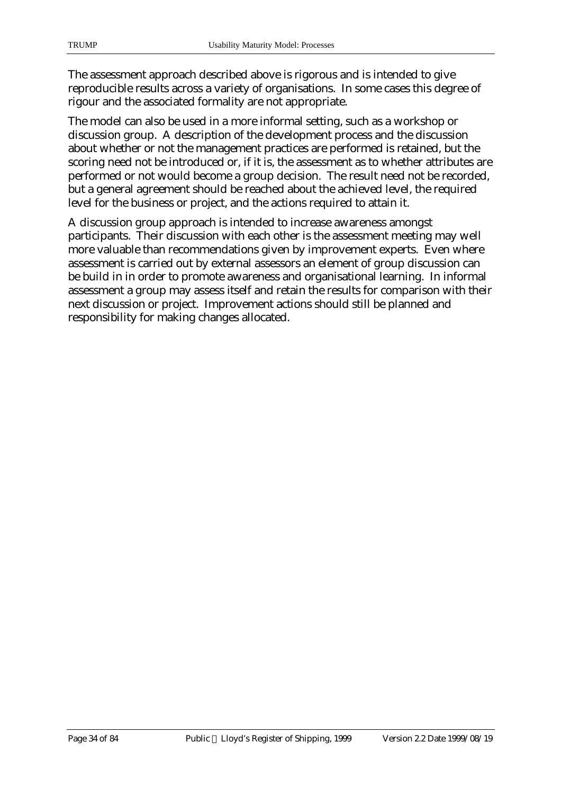The assessment approach described above is rigorous and is intended to give reproducible results across a variety of organisations. In some cases this degree of rigour and the associated formality are not appropriate.

The model can also be used in a more informal setting, such as a workshop or discussion group. A description of the development process and the discussion about whether or not the management practices are performed is retained, but the scoring need not be introduced or, if it is, the assessment as to whether attributes are performed or not would become a group decision. The result need not be recorded, but a general agreement should be reached about the achieved level, the required level for the business or project, and the actions required to attain it.

A discussion group approach is intended to increase awareness amongst participants. Their discussion with each other is the assessment meeting may well more valuable than recommendations given by improvement experts. Even where assessment is carried out by external assessors an element of group discussion can be build in in order to promote awareness and organisational learning. In informal assessment a group may assess itself and retain the results for comparison with their next discussion or project. Improvement actions should still be planned and responsibility for making changes allocated.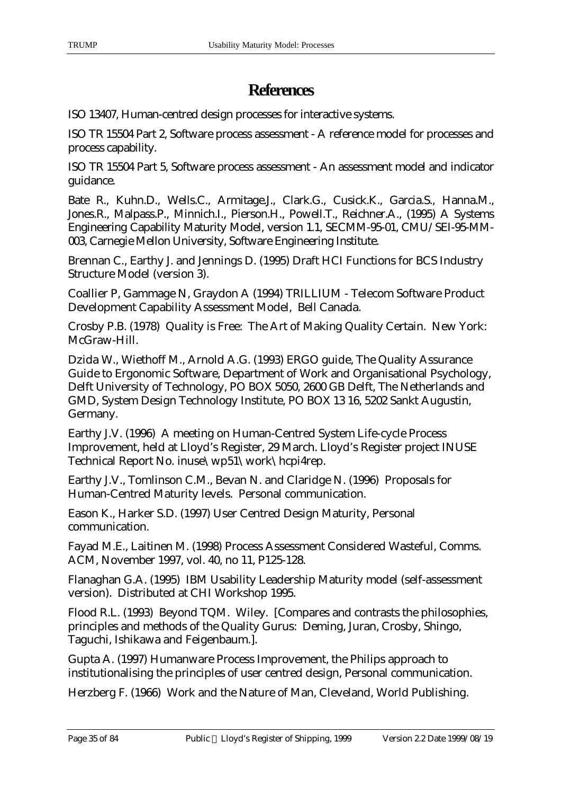## **References**

ISO 13407, Human-centred design processes for interactive systems.

ISO TR 15504 Part 2, Software process assessment - A reference model for processes and process capability.

ISO TR 15504 Part 5, Software process assessment - An assessment model and indicator guidance.

Bate R., Kuhn.D., Wells.C., Armitage.J., Clark.G., Cusick.K., Garcia.S., Hanna.M., Jones.R., Malpass.P., Minnich.I., Pierson.H., Powell.T., Reichner.A., (1995) A Systems Engineering Capability Maturity Model, version 1.1, SECMM-95-01, CMU/SEI-95-MM-003, Carnegie Mellon University, Software Engineering Institute.

Brennan C., Earthy J. and Jennings D. (1995) Draft HCI Functions for BCS Industry Structure Model (version 3).

Coallier P, Gammage N, Graydon A (1994) TRILLIUM - Telecom Software Product Development Capability Assessment Model, Bell Canada.

Crosby P.B. (1978) Quality is Free: The Art of Making Quality Certain. New York: McGraw-Hill.

Dzida W., Wiethoff M., Arnold A.G. (1993) ERGO guide, The Quality Assurance Guide to Ergonomic Software, Department of Work and Organisational Psychology, Delft University of Technology, PO BOX 5050, 2600 GB Delft, The Netherlands and GMD, System Design Technology Institute, PO BOX 13 16, 5202 Sankt Augustin, Germany.

Earthy J.V. (1996) A meeting on Human-Centred System Life-cycle Process Improvement, held at Lloyd's Register, 29 March. Lloyd's Register project INUSE Technical Report No. inuse\wp51\work\hcpi4rep.

Earthy J.V., Tomlinson C.M., Bevan N. and Claridge N. (1996) Proposals for Human-Centred Maturity levels. Personal communication.

Eason K., Harker S.D. (1997) User Centred Design Maturity, Personal communication.

Fayad M.E., Laitinen M. (1998) Process Assessment Considered Wasteful, Comms. ACM, November 1997, vol. 40, no 11, P125-128.

Flanaghan G.A. (1995) IBM Usability Leadership Maturity model (self-assessment version). Distributed at CHI Workshop 1995.

Flood R.L. (1993) Beyond TQM. Wiley. [Compares and contrasts the philosophies, principles and methods of the Quality Gurus: Deming, Juran, Crosby, Shingo, Taguchi, Ishikawa and Feigenbaum.].

Gupta A. (1997) Humanware Process Improvement, the Philips approach to institutionalising the principles of user centred design, Personal communication.

Herzberg F. (1966) Work and the Nature of Man, Cleveland, World Publishing.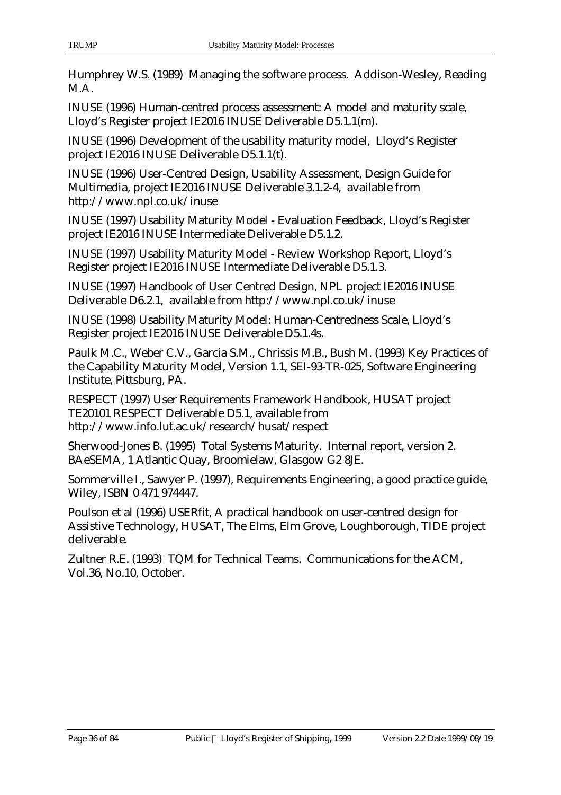Humphrey W.S. (1989) Managing the software process. Addison-Wesley, Reading M.A.

INUSE (1996) Human-centred process assessment: A model and maturity scale, Lloyd's Register project IE2016 INUSE Deliverable D5.1.1(m).

INUSE (1996) Development of the usability maturity model, Lloyd's Register project IE2016 INUSE Deliverable D5.1.1(t).

INUSE (1996) User-Centred Design, Usability Assessment, Design Guide for Multimedia, project IE2016 INUSE Deliverable 3.1.2-4, available from http://www.npl.co.uk/inuse

INUSE (1997) Usability Maturity Model - Evaluation Feedback, Lloyd's Register project IE2016 INUSE Intermediate Deliverable D5.1.2.

INUSE (1997) Usability Maturity Model - Review Workshop Report, Lloyd's Register project IE2016 INUSE Intermediate Deliverable D5.1.3.

INUSE (1997) Handbook of User Centred Design, NPL project IE2016 INUSE Deliverable D6.2.1, available from http://www.npl.co.uk/inuse

INUSE (1998) Usability Maturity Model: Human-Centredness Scale, Lloyd's Register project IE2016 INUSE Deliverable D5.1.4s.

Paulk M.C., Weber C.V., Garcia S.M., Chrissis M.B., Bush M. (1993) Key Practices of the Capability Maturity Model, Version 1.1, SEI-93-TR-025, Software Engineering Institute, Pittsburg, PA.

RESPECT (1997) User Requirements Framework Handbook, HUSAT project TE20101 RESPECT Deliverable D5.1, available from http://www.info.lut.ac.uk/research/husat/respect

Sherwood-Jones B. (1995) Total Systems Maturity. Internal report, version 2. BAeSEMA, 1 Atlantic Quay, Broomielaw, Glasgow G2 8JE.

Sommerville I., Sawyer P. (1997), Requirements Engineering, a good practice guide, Wiley, ISBN 0 471 974447.

Poulson et al (1996) USERfit, A practical handbook on user-centred design for Assistive Technology, HUSAT, The Elms, Elm Grove, Loughborough, TIDE project deliverable.

Zultner R.E. (1993) TQM for Technical Teams. Communications for the ACM, Vol.36, No.10, October.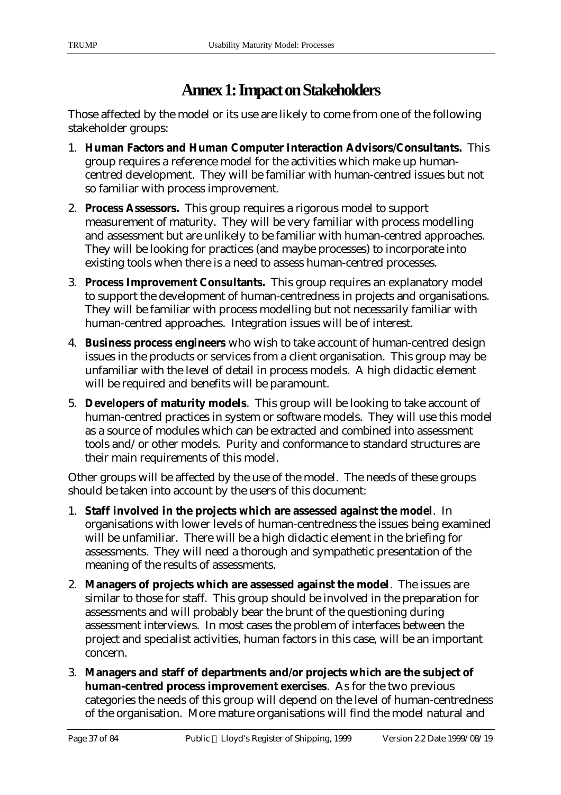# **Annex 1: Impact on Stakeholders**

Those affected by the model or its use are likely to come from one of the following stakeholder groups:

- 1. **Human Factors and Human Computer Interaction Advisors/Consultants.** This group requires a reference model for the activities which make up humancentred development. They will be familiar with human-centred issues but not so familiar with process improvement.
- 2. **Process Assessors.** This group requires a rigorous model to support measurement of maturity. They will be very familiar with process modelling and assessment but are unlikely to be familiar with human-centred approaches. They will be looking for practices (and maybe processes) to incorporate into existing tools when there is a need to assess human-centred processes.
- 3. **Process Improvement Consultants.** This group requires an explanatory model to support the development of human-centredness in projects and organisations. They will be familiar with process modelling but not necessarily familiar with human-centred approaches. Integration issues will be of interest.
- 4. **Business process engineers** who wish to take account of human-centred design issues in the products or services from a client organisation. This group may be unfamiliar with the level of detail in process models. A high didactic element will be required and benefits will be paramount.
- 5. **Developers of maturity models**. This group will be looking to take account of human-centred practices in system or software models. They will use this model as a source of modules which can be extracted and combined into assessment tools and/or other models. Purity and conformance to standard structures are their main requirements of this model.

Other groups will be affected by the use of the model. The needs of these groups should be taken into account by the users of this document:

- 1. **Staff involved in the projects which are assessed against the model**. In organisations with lower levels of human-centredness the issues being examined will be unfamiliar. There will be a high didactic element in the briefing for assessments. They will need a thorough and sympathetic presentation of the meaning of the results of assessments.
- 2. **Managers of projects which are assessed against the model**. The issues are similar to those for staff. This group should be involved in the preparation for assessments and will probably bear the brunt of the questioning during assessment interviews. In most cases the problem of interfaces between the project and specialist activities, human factors in this case, will be an important concern.
- 3. **Managers and staff of departments and/or projects which are the subject of human-centred process improvement exercises**. As for the two previous categories the needs of this group will depend on the level of human-centredness of the organisation. More mature organisations will find the model natural and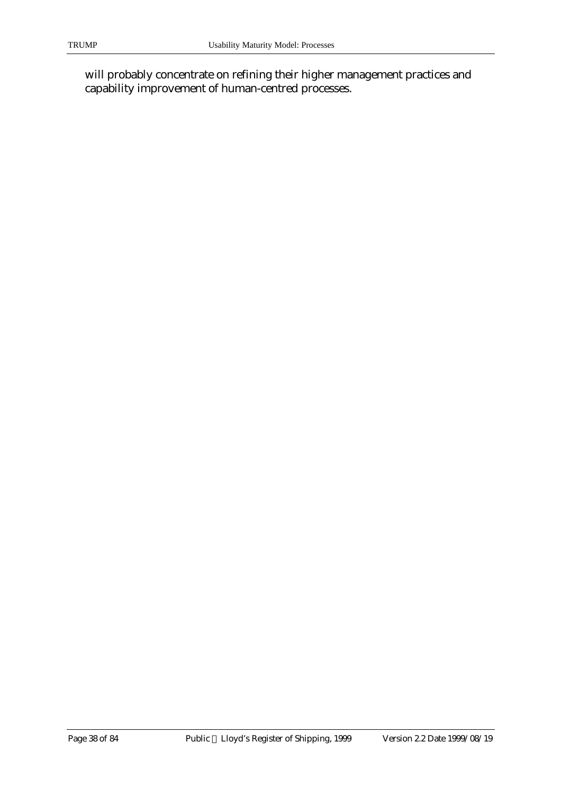will probably concentrate on refining their higher management practices and capability improvement of human-centred processes.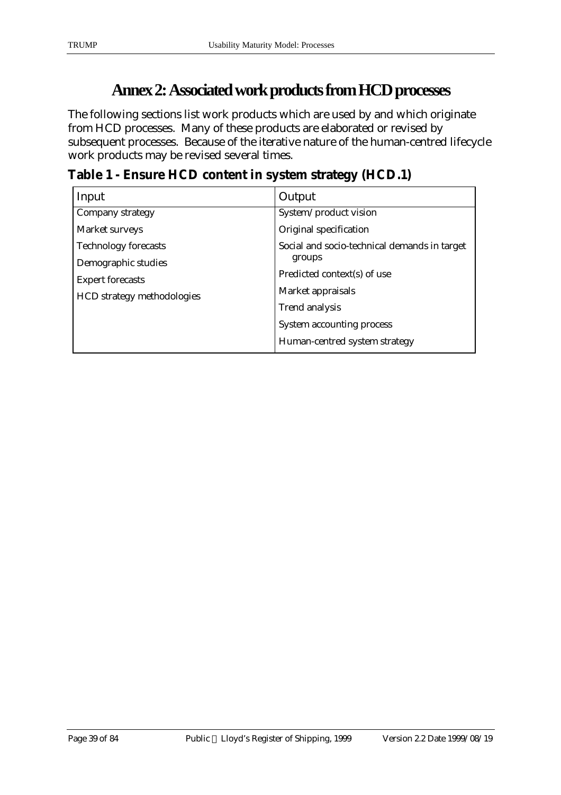## **Annex 2: Associated work products from HCD processes**

The following sections list work products which are used by and which originate from HCD processes. Many of these products are elaborated or revised by subsequent processes. Because of the iterative nature of the human-centred lifecycle work products may be revised several times.

**Table 1 - Ensure HCD content in system strategy (HCD.1)**

| Output                                       |
|----------------------------------------------|
| System/product vision                        |
| Original specification                       |
| Social and socio-technical demands in target |
| groups                                       |
| Predicted context(s) of use                  |
| Market appraisals                            |
| Trend analysis                               |
| <b>System accounting process</b>             |
| Human-centred system strategy                |
|                                              |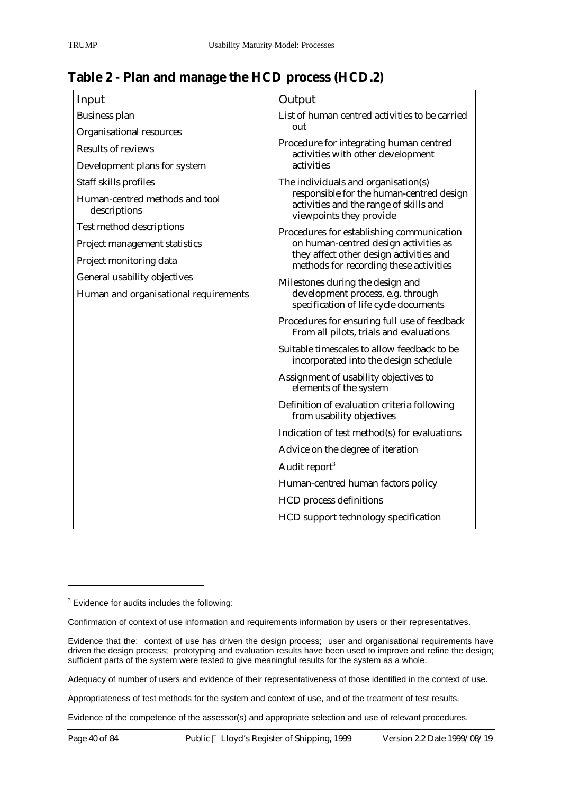| Table 2 - Plan and manage the HCD process (HCD.2) |
|---------------------------------------------------|
|---------------------------------------------------|

| Input                                          | Output                                                                                                        |
|------------------------------------------------|---------------------------------------------------------------------------------------------------------------|
| <b>Business plan</b>                           | List of human centred activities to be carried                                                                |
| Organisational resources                       | out                                                                                                           |
| <b>Results of reviews</b>                      | Procedure for integrating human centred<br>activities with other development                                  |
| Development plans for system                   | activities                                                                                                    |
| Staff skills profiles                          | The individuals and organisation(s)                                                                           |
| Human-centred methods and tool<br>descriptions | responsible for the human-centred design<br>activities and the range of skills and<br>viewpoints they provide |
| Test method descriptions                       | Procedures for establishing communication                                                                     |
| Project management statistics                  | on human-centred design activities as                                                                         |
| Project monitoring data                        | they affect other design activities and<br>methods for recording these activities                             |
| General usability objectives                   | Milestones during the design and                                                                              |
| Human and organisational requirements          | development process, e.g. through<br>specification of life cycle documents                                    |
|                                                | Procedures for ensuring full use of feedback<br>From all pilots, trials and evaluations                       |
|                                                | Suitable timescales to allow feedback to be<br>incorporated into the design schedule                          |
|                                                | Assignment of usability objectives to<br>elements of the system                                               |
|                                                | Definition of evaluation criteria following<br>from usability objectives                                      |
|                                                | Indication of test method(s) for evaluations                                                                  |
|                                                | Advice on the degree of iteration                                                                             |
|                                                | Audit report <sup>3</sup>                                                                                     |
|                                                | Human-centred human factors policy                                                                            |
|                                                | <b>HCD</b> process definitions                                                                                |
|                                                | HCD support technology specification                                                                          |

Appropriateness of test methods for the system and context of use, and of the treatment of test results.

Evidence of the competence of the assessor(s) and appropriate selection and use of relevant procedures.

 $3$  Evidence for audits includes the following:

Confirmation of context of use information and requirements information by users or their representatives.

Evidence that the: context of use has driven the design process; user and organisational requirements have driven the design process; prototyping and evaluation results have been used to improve and refine the design; sufficient parts of the system were tested to give meaningful results for the system as a whole.

Adequacy of number of users and evidence of their representativeness of those identified in the context of use.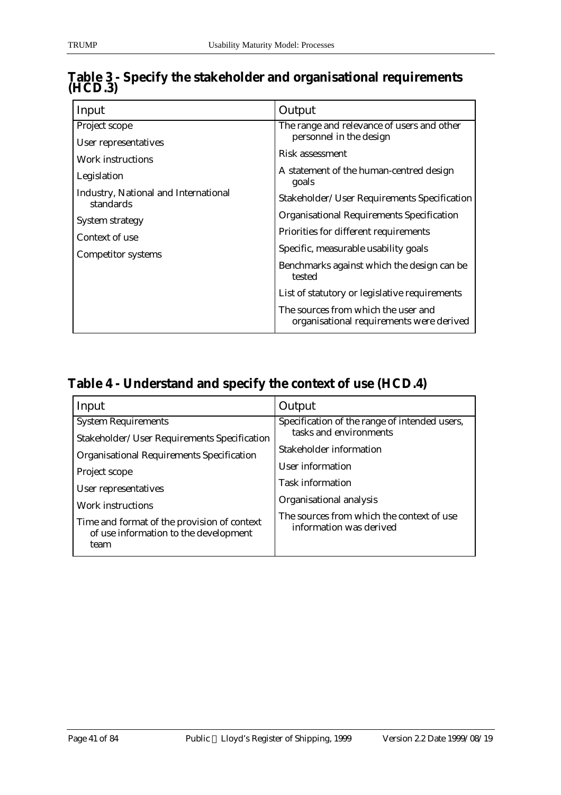| Input                                             | Output                                                                          |
|---------------------------------------------------|---------------------------------------------------------------------------------|
| Project scope                                     | The range and relevance of users and other                                      |
| User representatives                              | personnel in the design                                                         |
| Work instructions                                 | Risk assessment                                                                 |
| Legislation                                       | A statement of the human-centred design<br>goals                                |
| Industry, National and International<br>standards | Stakeholder/User Requirements Specification                                     |
| System strategy                                   | <b>Organisational Requirements Specification</b>                                |
| Context of use                                    | Priorities for different requirements                                           |
| <b>Competitor systems</b>                         | Specific, measurable usability goals                                            |
|                                                   | Benchmarks against which the design can be<br>tested                            |
|                                                   | List of statutory or legislative requirements                                   |
|                                                   | The sources from which the user and<br>organisational requirements were derived |

### **Table 3 - Specify the stakeholder and organisational requirements (HCD.3)**

### **Table 4 - Understand and specify the context of use (HCD.4)**

| Input                                                                                | Output                                                               |
|--------------------------------------------------------------------------------------|----------------------------------------------------------------------|
| <b>System Requirements</b>                                                           | Specification of the range of intended users,                        |
| Stakeholder/User Requirements Specification                                          | tasks and environments                                               |
| <b>Organisational Requirements Specification</b>                                     | Stakeholder information                                              |
| Project scope                                                                        | User information                                                     |
| User representatives                                                                 | <b>Task information</b>                                              |
| Work instructions                                                                    | Organisational analysis                                              |
| Time and format of the provision of context<br>of use information to the development | The sources from which the context of use<br>information was derived |
| team                                                                                 |                                                                      |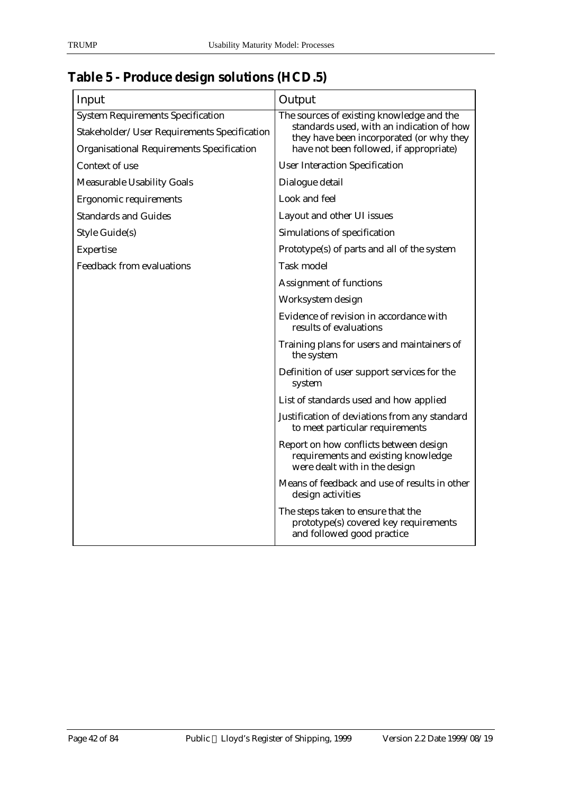## **Table 5 - Produce design solutions (HCD.5)**

| Input                                                                                                                                       | Output                                                                                                                                                                        |
|---------------------------------------------------------------------------------------------------------------------------------------------|-------------------------------------------------------------------------------------------------------------------------------------------------------------------------------|
| <b>System Requirements Specification</b><br>Stakeholder/User Requirements Specification<br><b>Organisational Requirements Specification</b> | The sources of existing knowledge and the<br>standards used, with an indication of how<br>they have been incorporated (or why they<br>have not been followed, if appropriate) |
| Context of use                                                                                                                              | <b>User Interaction Specification</b>                                                                                                                                         |
| <b>Measurable Usability Goals</b>                                                                                                           | Dialogue detail                                                                                                                                                               |
| Ergonomic requirements                                                                                                                      | Look and feel                                                                                                                                                                 |
| <b>Standards and Guides</b>                                                                                                                 | Layout and other UI issues                                                                                                                                                    |
| Style Guide(s)                                                                                                                              | Simulations of specification                                                                                                                                                  |
| Expertise                                                                                                                                   | Prototype(s) of parts and all of the system                                                                                                                                   |
| <b>Feedback from evaluations</b>                                                                                                            | <b>Task model</b>                                                                                                                                                             |
|                                                                                                                                             | <b>Assignment of functions</b>                                                                                                                                                |
|                                                                                                                                             | Worksystem design                                                                                                                                                             |
|                                                                                                                                             | Evidence of revision in accordance with<br>results of evaluations                                                                                                             |
|                                                                                                                                             | Training plans for users and maintainers of<br>the system                                                                                                                     |
|                                                                                                                                             | Definition of user support services for the<br>system                                                                                                                         |
|                                                                                                                                             | List of standards used and how applied                                                                                                                                        |
|                                                                                                                                             | Justification of deviations from any standard<br>to meet particular requirements                                                                                              |
|                                                                                                                                             | Report on how conflicts between design<br>requirements and existing knowledge<br>were dealt with in the design                                                                |
|                                                                                                                                             | Means of feedback and use of results in other<br>design activities                                                                                                            |
|                                                                                                                                             | The steps taken to ensure that the<br>prototype(s) covered key requirements<br>and followed good practice                                                                     |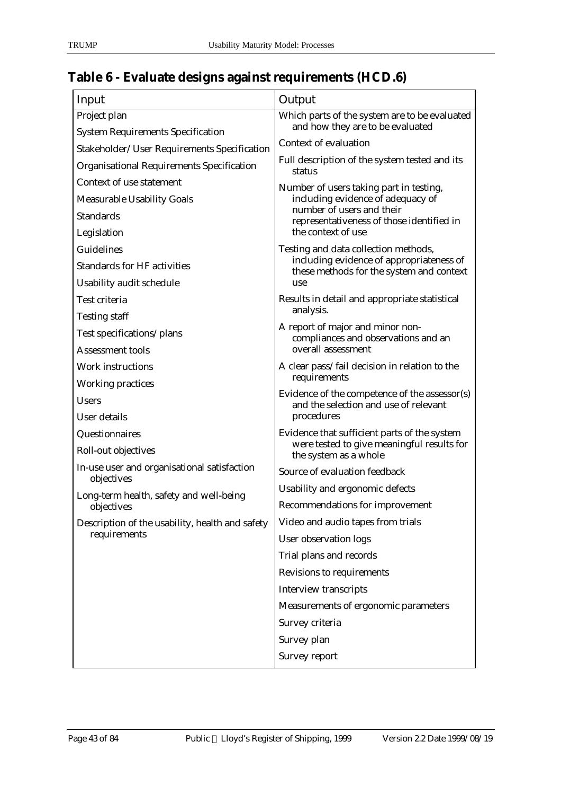## **Table 6 - Evaluate designs against requirements (HCD.6)**

| Input                                                 | Output                                                                                 |
|-------------------------------------------------------|----------------------------------------------------------------------------------------|
| Project plan                                          | Which parts of the system are to be evaluated                                          |
| <b>System Requirements Specification</b>              | and how they are to be evaluated                                                       |
| Stakeholder/User Requirements Specification           | Context of evaluation                                                                  |
| <b>Organisational Requirements Specification</b>      | Full description of the system tested and its<br>status                                |
| Context of use statement                              | Number of users taking part in testing,                                                |
| <b>Measurable Usability Goals</b>                     | including evidence of adequacy of                                                      |
| <b>Standards</b>                                      | number of users and their<br>representativeness of those identified in                 |
| Legislation                                           | the context of use                                                                     |
| Guidelines                                            | Testing and data collection methods,                                                   |
| <b>Standards for HF activities</b>                    | including evidence of appropriateness of<br>these methods for the system and context   |
| Usability audit schedule                              | use                                                                                    |
| Test criteria                                         | Results in detail and appropriate statistical                                          |
| <b>Testing staff</b>                                  | analysis.                                                                              |
| Test specifications/plans                             | A report of major and minor non-<br>compliances and observations and an                |
| <b>Assessment tools</b>                               | overall assessment                                                                     |
| Work instructions                                     | A clear pass/fail decision in relation to the                                          |
| <b>Working practices</b>                              | requirements                                                                           |
| <b>Users</b>                                          | Evidence of the competence of the assessor(s)<br>and the selection and use of relevant |
| User details                                          | procedures                                                                             |
| Questionnaires                                        | Evidence that sufficient parts of the system                                           |
| Roll-out objectives                                   | were tested to give meaningful results for<br>the system as a whole                    |
| In-use user and organisational satisfaction           | Source of evaluation feedback                                                          |
| objectives<br>Long-term health, safety and well-being | Usability and ergonomic defects                                                        |
| objectives                                            | Recommendations for improvement                                                        |
| Description of the usability, health and safety       | Video and audio tapes from trials                                                      |
| requirements                                          | User observation logs                                                                  |
|                                                       | Trial plans and records                                                                |
|                                                       | Revisions to requirements                                                              |
|                                                       | <b>Interview transcripts</b>                                                           |
|                                                       | Measurements of ergonomic parameters                                                   |
|                                                       | Survey criteria                                                                        |
|                                                       | Survey plan                                                                            |
|                                                       | Survey report                                                                          |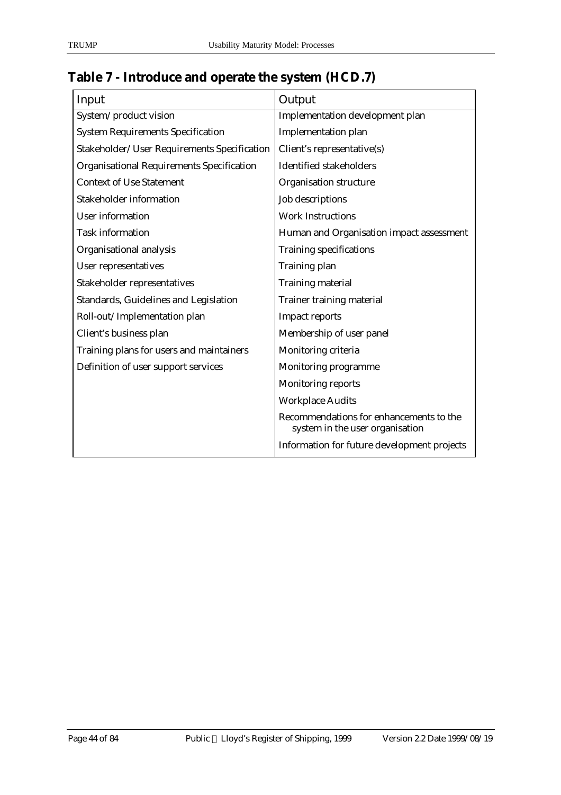## **Table 7 - Introduce and operate the system (HCD.7)**

| Input                                            | Output                                                                     |
|--------------------------------------------------|----------------------------------------------------------------------------|
| System/product vision                            | Implementation development plan                                            |
| <b>System Requirements Specification</b>         | Implementation plan                                                        |
| Stakeholder/User Requirements Specification      | Client's representative(s)                                                 |
| <b>Organisational Requirements Specification</b> | <b>Identified stakeholders</b>                                             |
| <b>Context of Use Statement</b>                  | Organisation structure                                                     |
| Stakeholder information                          | Job descriptions                                                           |
| <b>User information</b>                          | <b>Work Instructions</b>                                                   |
| <b>Task information</b>                          | Human and Organisation impact assessment                                   |
| Organisational analysis                          | <b>Training specifications</b>                                             |
| <b>User representatives</b>                      | Training plan                                                              |
| Stakeholder representatives                      | <b>Training material</b>                                                   |
| Standards, Guidelines and Legislation            | Trainer training material                                                  |
| Roll-out/Implementation plan                     | <b>Impact reports</b>                                                      |
| Client's business plan                           | Membership of user panel                                                   |
| Training plans for users and maintainers         | Monitoring criteria                                                        |
| Definition of user support services              | Monitoring programme                                                       |
|                                                  | <b>Monitoring reports</b>                                                  |
|                                                  | <b>Workplace Audits</b>                                                    |
|                                                  | Recommendations for enhancements to the<br>system in the user organisation |
|                                                  | Information for future development projects                                |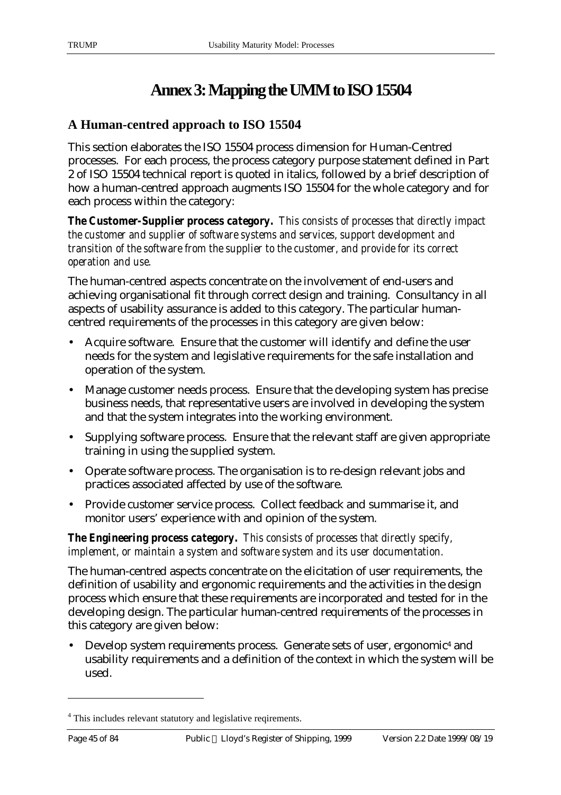# **Annex 3: Mapping the UMM to ISO 15504**

### **A Human-centred approach to ISO 15504**

This section elaborates the ISO 15504 process dimension for Human-Centred processes. For each process, the process category purpose statement defined in Part 2 of ISO 15504 technical report is quoted in italics, followed by a brief description of how a human-centred approach augments ISO 15504 for the whole category and for each process within the category:

*The Customer-Supplier process category. This consists of processes that directly impact the customer and supplier of software systems and services, support development and transition of the software from the supplier to the customer, and provide for its correct operation and use.*

The human-centred aspects concentrate on the involvement of end-users and achieving organisational fit through correct design and training. Consultancy in all aspects of usability assurance is added to this category. The particular humancentred requirements of the processes in this category are given below:

- Acquire software. Ensure that the customer will identify and define the user needs for the system and legislative requirements for the safe installation and operation of the system.
- Manage customer needs process. Ensure that the developing system has precise business needs, that representative users are involved in developing the system and that the system integrates into the working environment.
- Supplying software process. Ensure that the relevant staff are given appropriate training in using the supplied system.
- Operate software process. The organisation is to re-design relevant jobs and practices associated affected by use of the software.
- Provide customer service process. Collect feedback and summarise it, and monitor users' experience with and opinion of the system.

*The Engineering process category. This consists of processes that directly specify, implement, or maintain a system and software system and its user documentation.*

The human-centred aspects concentrate on the elicitation of user requirements, the definition of usability and ergonomic requirements and the activities in the design process which ensure that these requirements are incorporated and tested for in the developing design. The particular human-centred requirements of the processes in this category are given below:

• Develop system requirements process. Generate sets of user, ergonomic<sup>4</sup> and usability requirements and a definition of the context in which the system will be used.

<sup>&</sup>lt;sup>4</sup> This includes relevant statutory and legislative reqirements.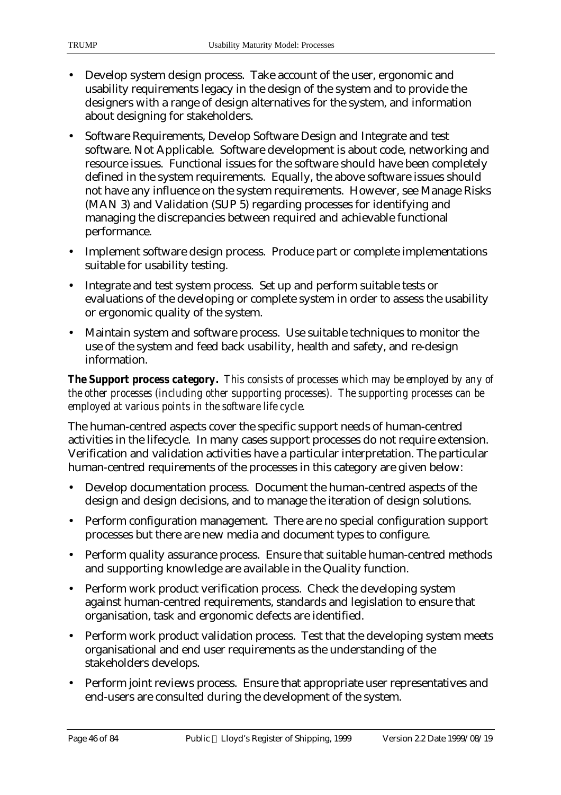- Develop system design process. Take account of the user, ergonomic and usability requirements legacy in the design of the system and to provide the designers with a range of design alternatives for the system, and information about designing for stakeholders.
- Software Requirements, Develop Software Design and Integrate and test software. Not Applicable. Software development is about code, networking and resource issues. Functional issues for the software should have been completely defined in the system requirements. Equally, the above software issues should not have any influence on the system requirements. However, see Manage Risks (MAN 3) and Validation (SUP 5) regarding processes for identifying and managing the discrepancies between required and achievable functional performance.
- Implement software design process. Produce part or complete implementations suitable for usability testing.
- Integrate and test system process. Set up and perform suitable tests or evaluations of the developing or complete system in order to assess the usability or ergonomic quality of the system.
- Maintain system and software process. Use suitable techniques to monitor the use of the system and feed back usability, health and safety, and re-design information.

*The Support process category. This consists of processes which may be employed by any of the other processes (including other supporting processes). The supporting processes can be employed at various points in the software life cycle.*

The human-centred aspects cover the specific support needs of human-centred activities in the lifecycle. In many cases support processes do not require extension. Verification and validation activities have a particular interpretation. The particular human-centred requirements of the processes in this category are given below:

- Develop documentation process. Document the human-centred aspects of the design and design decisions, and to manage the iteration of design solutions.
- Perform configuration management. There are no special configuration support processes but there are new media and document types to configure.
- Perform quality assurance process. Ensure that suitable human-centred methods and supporting knowledge are available in the Quality function.
- Perform work product verification process. Check the developing system against human-centred requirements, standards and legislation to ensure that organisation, task and ergonomic defects are identified.
- Perform work product validation process. Test that the developing system meets organisational and end user requirements as the understanding of the stakeholders develops.
- Perform joint reviews process. Ensure that appropriate user representatives and end-users are consulted during the development of the system.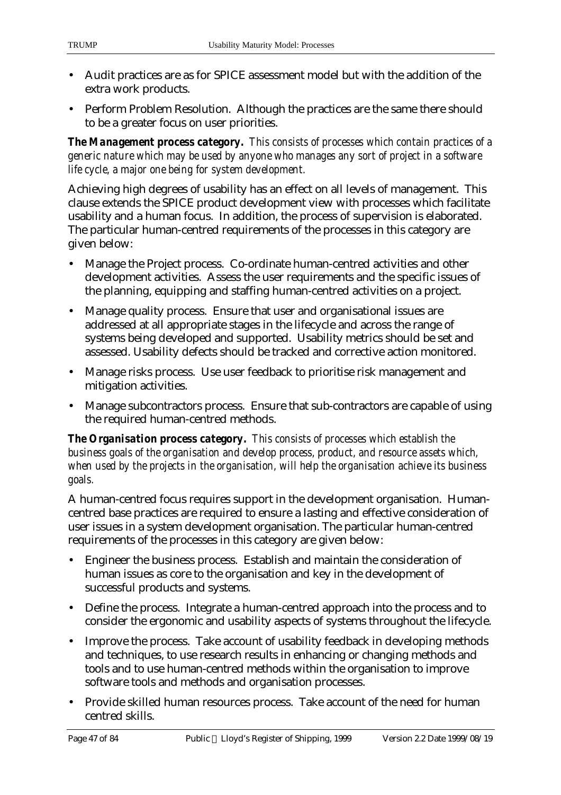- Audit practices are as for SPICE assessment model but with the addition of the extra work products.
- Perform Problem Resolution. Although the practices are the same there should to be a greater focus on user priorities.

*The Management process category. This consists of processes which contain practices of a generic nature which may be used by anyone who manages any sort of project in a software life cycle, a major one being for system development.*

Achieving high degrees of usability has an effect on all levels of management. This clause extends the SPICE product development view with processes which facilitate usability and a human focus. In addition, the process of supervision is elaborated. The particular human-centred requirements of the processes in this category are given below:

- Manage the Project process. Co-ordinate human-centred activities and other development activities. Assess the user requirements and the specific issues of the planning, equipping and staffing human-centred activities on a project.
- Manage quality process. Ensure that user and organisational issues are addressed at all appropriate stages in the lifecycle and across the range of systems being developed and supported. Usability metrics should be set and assessed. Usability defects should be tracked and corrective action monitored.
- Manage risks process. Use user feedback to prioritise risk management and mitigation activities.
- Manage subcontractors process. Ensure that sub-contractors are capable of using the required human-centred methods.

*The Organisation process category. This consists of processes which establish the business goals of the organisation and develop process, product, and resource assets which, when used by the projects in the organisation, will help the organisation achieve its business goals.*

A human-centred focus requires support in the development organisation. Humancentred base practices are required to ensure a lasting and effective consideration of user issues in a system development organisation. The particular human-centred requirements of the processes in this category are given below:

- Engineer the business process. Establish and maintain the consideration of human issues as core to the organisation and key in the development of successful products and systems.
- Define the process. Integrate a human-centred approach into the process and to consider the ergonomic and usability aspects of systems throughout the lifecycle.
- Improve the process. Take account of usability feedback in developing methods and techniques, to use research results in enhancing or changing methods and tools and to use human-centred methods within the organisation to improve software tools and methods and organisation processes.
- Provide skilled human resources process. Take account of the need for human centred skills.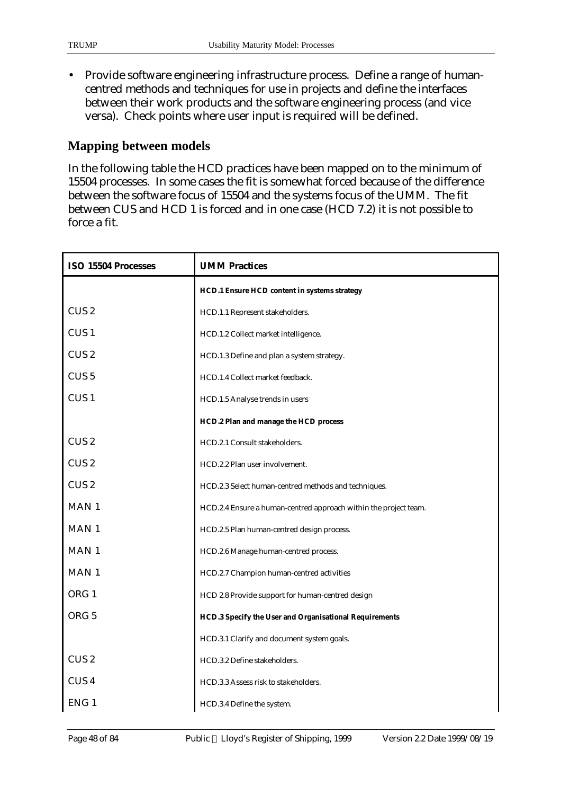• Provide software engineering infrastructure process. Define a range of humancentred methods and techniques for use in projects and define the interfaces between their work products and the software engineering process (and vice versa). Check points where user input is required will be defined.

#### **Mapping between models**

In the following table the HCD practices have been mapped on to the minimum of 15504 processes. In some cases the fit is somewhat forced because of the difference between the software focus of 15504 and the systems focus of the UMM. The fit between CUS and HCD 1 is forced and in one case (HCD 7.2) it is not possible to force a fit.

| <b>ISO 15504 Processes</b> | <b>UMM Practices</b>                                             |
|----------------------------|------------------------------------------------------------------|
|                            | <b>HCD.1 Ensure HCD content in systems strategy</b>              |
| CUS <sub>2</sub>           | HCD.1.1 Represent stakeholders.                                  |
| CUS <sub>1</sub>           | HCD.1.2 Collect market intelligence.                             |
| CUS <sub>2</sub>           | HCD.1.3 Define and plan a system strategy.                       |
| CUS <sub>5</sub>           | HCD.1.4 Collect market feedback.                                 |
| CUS <sub>1</sub>           | HCD.1.5 Analyse trends in users                                  |
|                            | HCD.2 Plan and manage the HCD process                            |
| CUS <sub>2</sub>           | HCD.2.1 Consult stakeholders.                                    |
| CUS <sub>2</sub>           | HCD.2.2 Plan user involvement.                                   |
| CUS <sub>2</sub>           | HCD.2.3 Select human-centred methods and techniques.             |
| MAN <sub>1</sub>           | HCD.2.4 Ensure a human-centred approach within the project team. |
| MAN <sub>1</sub>           | HCD.2.5 Plan human-centred design process.                       |
| MAN <sub>1</sub>           | HCD.2.6 Manage human-centred process.                            |
| MAN <sub>1</sub>           | HCD.2.7 Champion human-centred activities                        |
| ORG <sub>1</sub>           | HCD 2.8 Provide support for human-centred design                 |
| ORG <sub>5</sub>           | <b>HCD.3 Specify the User and Organisational Requirements</b>    |
|                            | HCD.3.1 Clarify and document system goals.                       |
| CUS <sub>2</sub>           | HCD.3.2 Define stakeholders.                                     |
| CUS <sub>4</sub>           | HCD.3.3 Assess risk to stakeholders.                             |
| ENG <sub>1</sub>           | HCD.3.4 Define the system.                                       |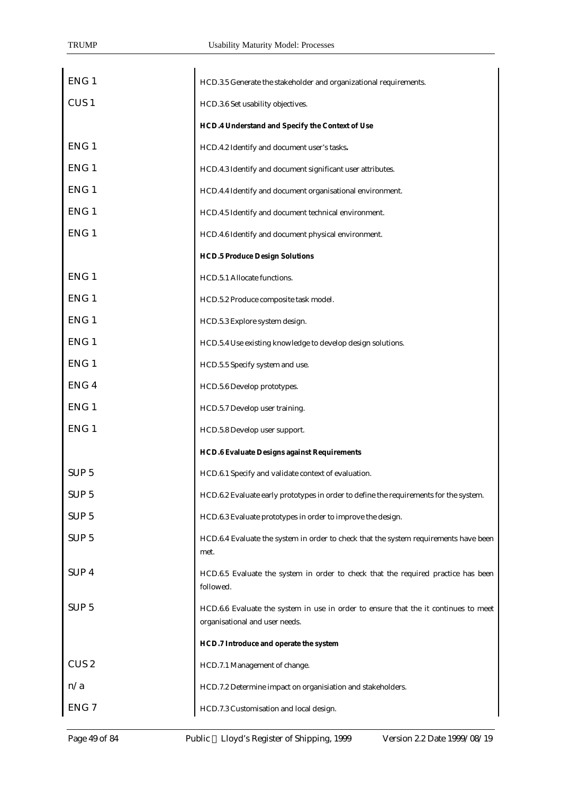| ENG <sub>1</sub> | HCD.3.5 Generate the stakeholder and organizational requirements.                                                     |
|------------------|-----------------------------------------------------------------------------------------------------------------------|
| CUS <sub>1</sub> | HCD.3.6 Set usability objectives.                                                                                     |
|                  | HCD.4 Understand and Specify the Context of Use                                                                       |
| ENG <sub>1</sub> | HCD.4.2 Identify and document user's tasks.                                                                           |
| ENG <sub>1</sub> | HCD.4.3 Identify and document significant user attributes.                                                            |
| ENG <sub>1</sub> | HCD.4.4 Identify and document organisational environment.                                                             |
| ENG <sub>1</sub> | HCD.4.5 Identify and document technical environment.                                                                  |
| ENG <sub>1</sub> | HCD.4.6 Identify and document physical environment.                                                                   |
|                  | <b>HCD.5 Produce Design Solutions</b>                                                                                 |
| ENG <sub>1</sub> | HCD.5.1 Allocate functions.                                                                                           |
| ENG <sub>1</sub> | HCD.5.2 Produce composite task model.                                                                                 |
| ENG <sub>1</sub> | HCD.5.3 Explore system design.                                                                                        |
| ENG <sub>1</sub> | HCD.5.4 Use existing knowledge to develop design solutions.                                                           |
| ENG <sub>1</sub> | HCD.5.5 Specify system and use.                                                                                       |
| ENG <sub>4</sub> | HCD.5.6 Develop prototypes.                                                                                           |
| ENG <sub>1</sub> | HCD.5.7 Develop user training.                                                                                        |
| ENG <sub>1</sub> | HCD.5.8 Develop user support.                                                                                         |
|                  | <b>HCD.6 Evaluate Designs against Requirements</b>                                                                    |
| SUP <sub>5</sub> | HCD.6.1 Specify and validate context of evaluation.                                                                   |
| SUP <sub>5</sub> | HCD.6.2 Evaluate early prototypes in order to define the requirements for the system.                                 |
| SUP <sub>5</sub> | HCD.6.3 Evaluate prototypes in order to improve the design.                                                           |
| SUP <sub>5</sub> | HCD.6.4 Evaluate the system in order to check that the system requirements have been<br>met.                          |
| SUP <sub>4</sub> | HCD.6.5 Evaluate the system in order to check that the required practice has been<br>followed.                        |
| SUP <sub>5</sub> | HCD.6.6 Evaluate the system in use in order to ensure that the it continues to meet<br>organisational and user needs. |
|                  | HCD.7 Introduce and operate the system                                                                                |
| CUS <sub>2</sub> | HCD.7.1 Management of change.                                                                                         |
| n/a              | HCD.7.2 Determine impact on organisiation and stakeholders.                                                           |
| ENG <sub>7</sub> | HCD.7.3 Customisation and local design.                                                                               |
|                  |                                                                                                                       |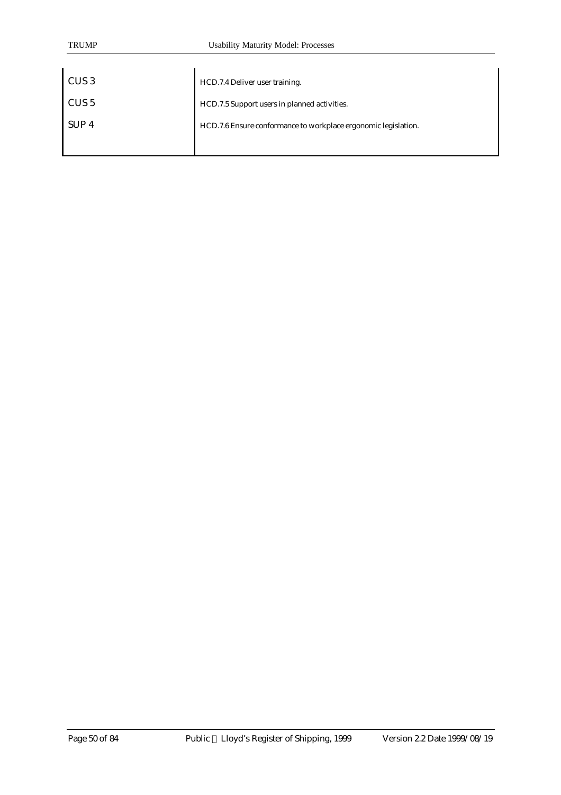| CUS <sub>3</sub> | HCD.7.4 Deliver user training.                                 |
|------------------|----------------------------------------------------------------|
| CUS <sub>5</sub> | HCD.7.5 Support users in planned activities.                   |
| SUP <sub>4</sub> | HCD.7.6 Ensure conformance to workplace ergonomic legislation. |
|                  |                                                                |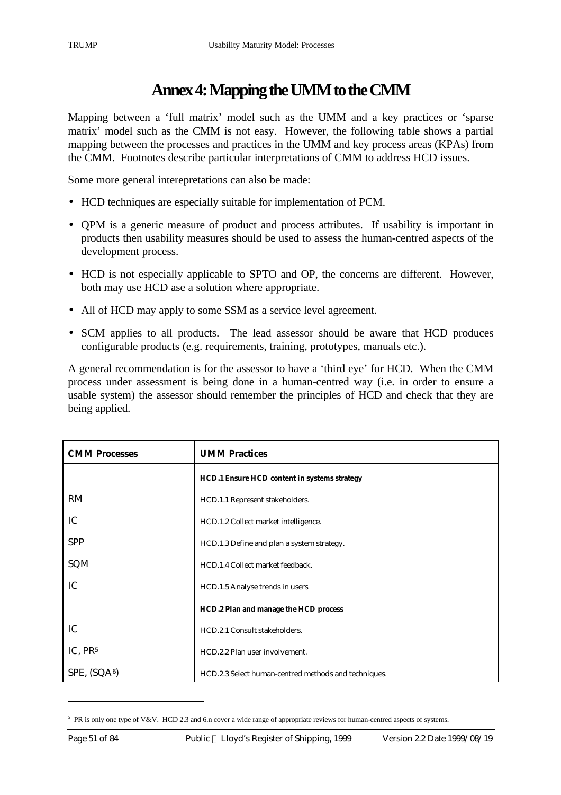# **Annex 4: Mapping the UMM to the CMM**

Mapping between a 'full matrix' model such as the UMM and a key practices or 'sparse matrix' model such as the CMM is not easy. However, the following table shows a partial mapping between the processes and practices in the UMM and key process areas (KPAs) from the CMM. Footnotes describe particular interpretations of CMM to address HCD issues.

Some more general interepretations can also be made:

- HCD techniques are especially suitable for implementation of PCM.
- QPM is a generic measure of product and process attributes. If usability is important in products then usability measures should be used to assess the human-centred aspects of the development process.
- HCD is not especially applicable to SPTO and OP, the concerns are different. However, both may use HCD ase a solution where appropriate.
- All of HCD may apply to some SSM as a service level agreement.
- SCM applies to all products. The lead assessor should be aware that HCD produces configurable products (e.g. requirements, training, prototypes, manuals etc.).

A general recommendation is for the assessor to have a 'third eye' for HCD. When the CMM process under assessment is being done in a human-centred way (i.e. in order to ensure a usable system) the assessor should remember the principles of HCD and check that they are being applied.

| <b>CMM Processes</b>     | <b>UMM Practices</b>                                 |
|--------------------------|------------------------------------------------------|
|                          | <b>HCD.1 Ensure HCD content in systems strategy</b>  |
| <b>RM</b>                | HCD.1.1 Represent stakeholders.                      |
| IC                       | HCD.1.2 Collect market intelligence.                 |
| <b>SPP</b>               | HCD.1.3 Define and plan a system strategy.           |
| SQM                      | HCD.1.4 Collect market feedback.                     |
| IC                       | HCD.1.5 Analyse trends in users                      |
|                          | <b>HCD.2 Plan and manage the HCD process</b>         |
| IC                       | HCD.2.1 Consult stakeholders.                        |
| IC, $PR5$                | HCD.2.2 Plan user involvement.                       |
| SPE, (SQA <sup>6</sup> ) | HCD.2.3 Select human-centred methods and techniques. |

<sup>&</sup>lt;sup>5</sup> PR is only one type of V&V. HCD 2.3 and 6.n cover a wide range of appropriate reviews for human-centred aspects of systems.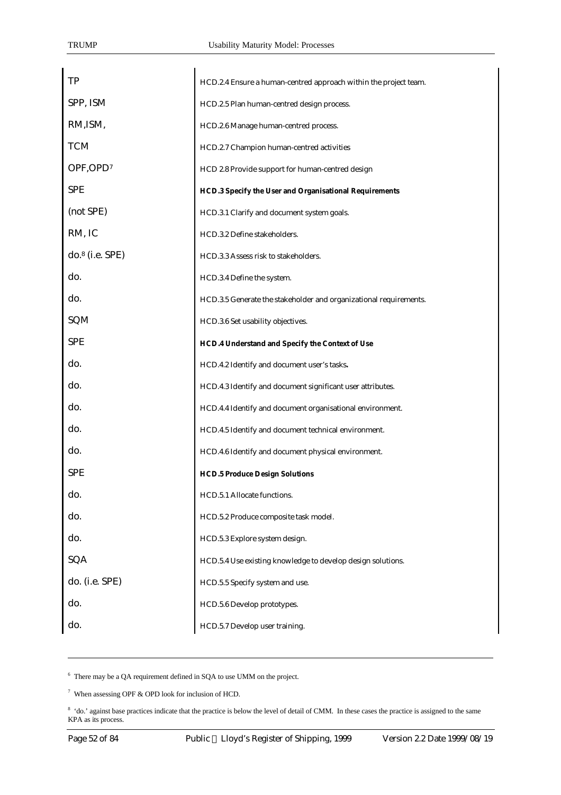| TP                   | HCD.2.4 Ensure a human-centred approach within the project team.  |
|----------------------|-------------------------------------------------------------------|
| SPP, ISM             | HCD.2.5 Plan human-centred design process.                        |
| RM, ISM,             | HCD.2.6 Manage human-centred process.                             |
| <b>TCM</b>           | HCD.2.7 Champion human-centred activities                         |
| OPF,OPD <sup>7</sup> | HCD 2.8 Provide support for human-centred design                  |
| <b>SPE</b>           | <b>HCD.3 Specify the User and Organisational Requirements</b>     |
| (not SPE)            | HCD.3.1 Clarify and document system goals.                        |
| RM, IC               | HCD.3.2 Define stakeholders.                                      |
| do.8 (i.e. SPE)      | HCD.3.3 Assess risk to stakeholders.                              |
| do.                  | HCD.3.4 Define the system.                                        |
| do.                  | HCD.3.5 Generate the stakeholder and organizational requirements. |
| SQM                  | HCD.3.6 Set usability objectives.                                 |
| <b>SPE</b>           | <b>HCD.4 Understand and Specify the Context of Use</b>            |
| do.                  | HCD.4.2 Identify and document user's tasks.                       |
| do.                  | HCD.4.3 Identify and document significant user attributes.        |
| do.                  | HCD.4.4 Identify and document organisational environment.         |
| do.                  | HCD.4.5 Identify and document technical environment.              |
| do.                  | HCD.4.6 Identify and document physical environment.               |
| <b>SPE</b>           | <b>HCD.5 Produce Design Solutions</b>                             |
| do.                  | HCD.5.1 Allocate functions.                                       |
| do.                  | HCD.5.2 Produce composite task model.                             |
| do.                  | HCD.5.3 Explore system design.                                    |
| SQA                  | HCD.5.4 Use existing knowledge to develop design solutions.       |
| do. (i.e. SPE)       | HCD.5.5 Specify system and use.                                   |
| do.                  | HCD.5.6 Develop prototypes.                                       |
| do.                  | HCD.5.7 Develop user training.                                    |

<sup>6</sup> There may be a QA requirement defined in SQA to use UMM on the project.

 $7$  When assessing OPF & OPD look for inclusion of HCD.

<sup>&</sup>lt;sup>8</sup> 'do.' against base practices indicate that the practice is below the level of detail of CMM. In these cases the practice is assigned to the same KPA as its process.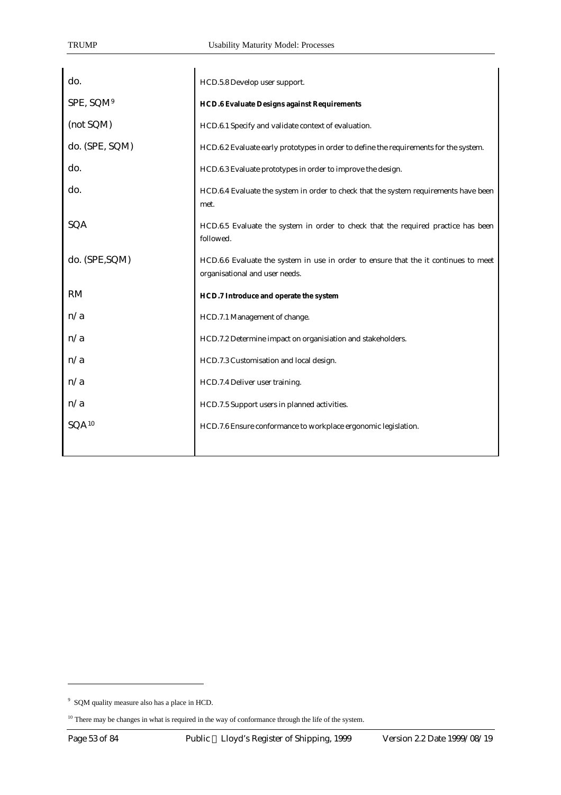| do.                   | HCD.5.8 Develop user support.                                                                                         |
|-----------------------|-----------------------------------------------------------------------------------------------------------------------|
| SPE, SQM <sup>9</sup> | <b>HCD.6 Evaluate Designs against Requirements</b>                                                                    |
| (not SQM)             | HCD.6.1 Specify and validate context of evaluation.                                                                   |
| do. (SPE, SQM)        | HCD.6.2 Evaluate early prototypes in order to define the requirements for the system.                                 |
| do.                   | HCD.6.3 Evaluate prototypes in order to improve the design.                                                           |
| do.                   | HCD.6.4 Evaluate the system in order to check that the system requirements have been<br>met.                          |
| SQA                   | HCD.6.5 Evaluate the system in order to check that the required practice has been<br>followed.                        |
| do. (SPE, SQM)        | HCD.6.6 Evaluate the system in use in order to ensure that the it continues to meet<br>organisational and user needs. |
| <b>RM</b>             | HCD.7 Introduce and operate the system                                                                                |
| n/a                   | HCD.7.1 Management of change.                                                                                         |
| n/a                   | HCD.7.2 Determine impact on organisiation and stakeholders.                                                           |
| n/a                   | HCD.7.3 Customisation and local design.                                                                               |
| n/a                   | HCD.7.4 Deliver user training.                                                                                        |
| n/a                   | HCD.7.5 Support users in planned activities.                                                                          |
| SQA <sup>10</sup>     | HCD.7.6 Ensure conformance to workplace ergonomic legislation.                                                        |
|                       |                                                                                                                       |

<sup>&</sup>lt;sup>9</sup> SQM quality measure also has a place in HCD.

<sup>&</sup>lt;sup>10</sup> There may be changes in what is required in the way of conformance through the life of the system.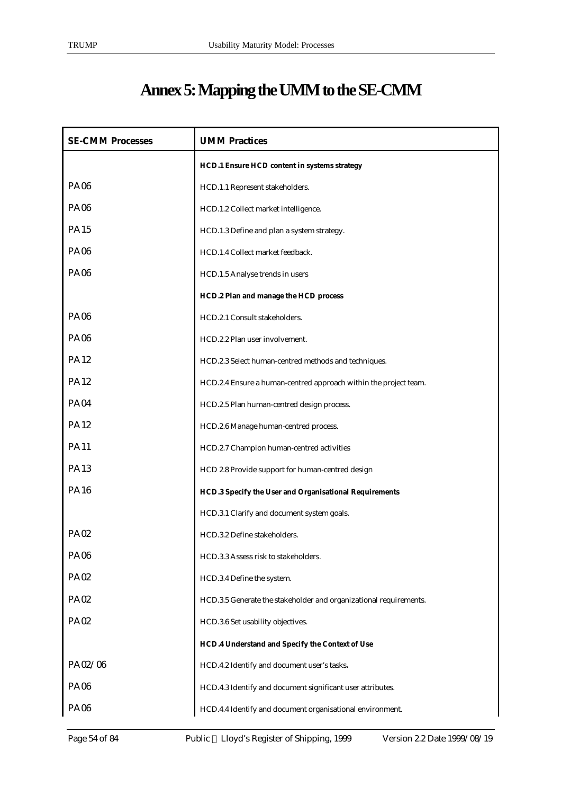# **Annex 5: Mapping the UMM to the SE-CMM**

| <b>SE-CMM Processes</b> | <b>UMM Practices</b>                                              |
|-------------------------|-------------------------------------------------------------------|
|                         | HCD.1 Ensure HCD content in systems strategy                      |
| <b>PA06</b>             | HCD.1.1 Represent stakeholders.                                   |
| <b>PA06</b>             | HCD.1.2 Collect market intelligence.                              |
| <b>PA15</b>             | HCD.1.3 Define and plan a system strategy.                        |
| <b>PA06</b>             | HCD.1.4 Collect market feedback.                                  |
| <b>PA06</b>             | HCD.1.5 Analyse trends in users                                   |
|                         | HCD.2 Plan and manage the HCD process                             |
| <b>PA06</b>             | HCD.2.1 Consult stakeholders.                                     |
| <b>PA06</b>             | HCD.2.2 Plan user involvement.                                    |
| <b>PA12</b>             | HCD.2.3 Select human-centred methods and techniques.              |
| <b>PA12</b>             | HCD.2.4 Ensure a human-centred approach within the project team.  |
| <b>PA04</b>             | HCD.2.5 Plan human-centred design process.                        |
| <b>PA12</b>             | HCD.2.6 Manage human-centred process.                             |
| <b>PA11</b>             | HCD.2.7 Champion human-centred activities                         |
| <b>PA13</b>             | HCD 2.8 Provide support for human-centred design                  |
| <b>PA16</b>             | <b>HCD.3 Specify the User and Organisational Requirements</b>     |
|                         | HCD.3.1 Clarify and document system goals.                        |
| <b>PA02</b>             | HCD.3.2 Define stakeholders.                                      |
| <b>PA06</b>             | HCD.3.3 Assess risk to stakeholders.                              |
| <b>PA02</b>             | HCD.3.4 Define the system.                                        |
| <b>PA02</b>             | HCD.3.5 Generate the stakeholder and organizational requirements. |
| <b>PA02</b>             | HCD.3.6 Set usability objectives.                                 |
|                         | <b>HCD.4 Understand and Specify the Context of Use</b>            |
| PA02/06                 | HCD.4.2 Identify and document user's tasks.                       |
| <b>PA06</b>             | HCD.4.3 Identify and document significant user attributes.        |
| <b>PA06</b>             | HCD.4.4 Identify and document organisational environment.         |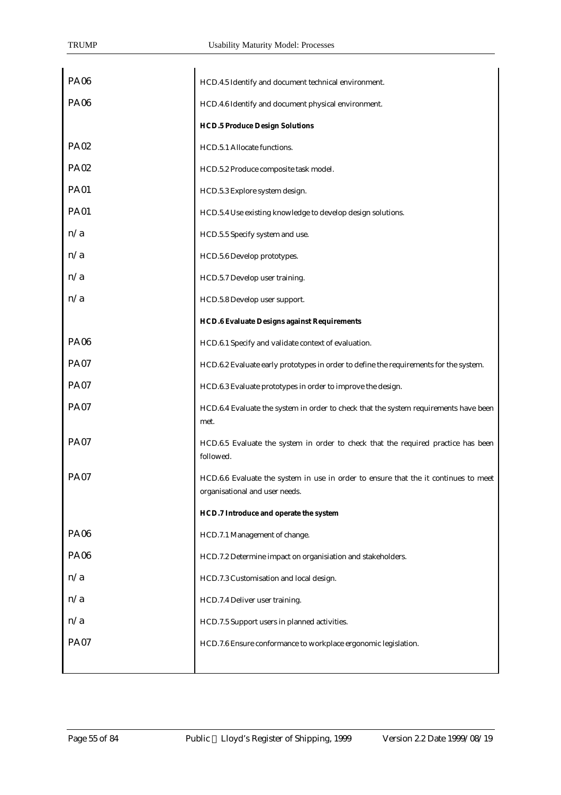| <b>PA06</b> | HCD.4.5 Identify and document technical environment.                                                                  |
|-------------|-----------------------------------------------------------------------------------------------------------------------|
| <b>PA06</b> | HCD.4.6 Identify and document physical environment.                                                                   |
|             | <b>HCD.5 Produce Design Solutions</b>                                                                                 |
| <b>PA02</b> | HCD.5.1 Allocate functions.                                                                                           |
| <b>PA02</b> | HCD.5.2 Produce composite task model.                                                                                 |
| <b>PA01</b> | HCD.5.3 Explore system design.                                                                                        |
| <b>PA01</b> | HCD.5.4 Use existing knowledge to develop design solutions.                                                           |
| n/a         | HCD.5.5 Specify system and use.                                                                                       |
| n/a         | HCD.5.6 Develop prototypes.                                                                                           |
| n/a         | HCD.5.7 Develop user training.                                                                                        |
| n/a         | HCD.5.8 Develop user support.                                                                                         |
|             | <b>HCD.6 Evaluate Designs against Requirements</b>                                                                    |
| <b>PA06</b> | HCD.6.1 Specify and validate context of evaluation.                                                                   |
| <b>PA07</b> | HCD.6.2 Evaluate early prototypes in order to define the requirements for the system.                                 |
| <b>PA07</b> | HCD.6.3 Evaluate prototypes in order to improve the design.                                                           |
| <b>PA07</b> | HCD.6.4 Evaluate the system in order to check that the system requirements have been<br>met.                          |
| <b>PA07</b> | HCD.6.5 Evaluate the system in order to check that the required practice has been<br>followed.                        |
| <b>PA07</b> | HCD.6.6 Evaluate the system in use in order to ensure that the it continues to meet<br>organisational and user needs. |
|             | HCD.7 Introduce and operate the system                                                                                |
| <b>PA06</b> | HCD.7.1 Management of change.                                                                                         |
| <b>PA06</b> | HCD.7.2 Determine impact on organisiation and stakeholders.                                                           |
| n/a         | HCD.7.3 Customisation and local design.                                                                               |
| n/a         | HCD.7.4 Deliver user training.                                                                                        |
| n/a         | HCD.7.5 Support users in planned activities.                                                                          |
| <b>PA07</b> | HCD.7.6 Ensure conformance to workplace ergonomic legislation.                                                        |
|             |                                                                                                                       |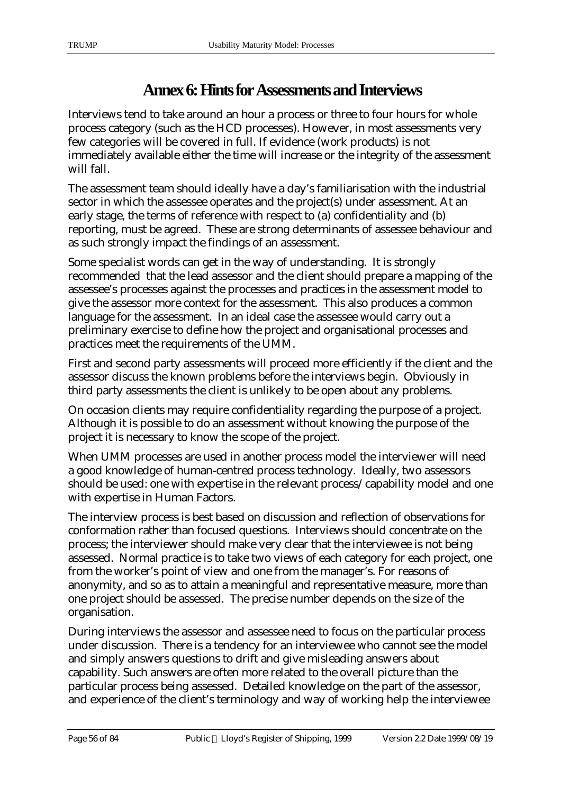### **Annex 6: Hints for Assessments and Interviews**

Interviews tend to take around an hour a process or three to four hours for whole process category (such as the HCD processes). However, in most assessments very few categories will be covered in full. If evidence (work products) is not immediately available either the time will increase or the integrity of the assessment will fall.

The assessment team should ideally have a day's familiarisation with the industrial sector in which the assessee operates and the project(s) under assessment. At an early stage, the terms of reference with respect to (a) confidentiality and (b) reporting, must be agreed. These are strong determinants of assessee behaviour and as such strongly impact the findings of an assessment.

Some specialist words can get in the way of understanding. It is strongly recommended that the lead assessor and the client should prepare a mapping of the assessee's processes against the processes and practices in the assessment model to give the assessor more context for the assessment. This also produces a common language for the assessment. In an ideal case the assessee would carry out a preliminary exercise to define how the project and organisational processes and practices meet the requirements of the UMM.

First and second party assessments will proceed more efficiently if the client and the assessor discuss the known problems before the interviews begin. Obviously in third party assessments the client is unlikely to be open about any problems.

On occasion clients may require confidentiality regarding the purpose of a project. Although it is possible to do an assessment without knowing the purpose of the project it is necessary to know the scope of the project.

When UMM processes are used in another process model the interviewer will need a good knowledge of human-centred process technology. Ideally, two assessors should be used: one with expertise in the relevant process/capability model and one with expertise in Human Factors.

The interview process is best based on discussion and reflection of observations for conformation rather than focused questions. Interviews should concentrate on the process; the interviewer should make very clear that the interviewee is not being assessed. Normal practice is to take two views of each category for each project, one from the worker's point of view and one from the manager's. For reasons of anonymity, and so as to attain a meaningful and representative measure, more than one project should be assessed. The precise number depends on the size of the organisation.

During interviews the assessor and assessee need to focus on the particular process under discussion. There is a tendency for an interviewee who cannot see the model and simply answers questions to drift and give misleading answers about capability. Such answers are often more related to the overall picture than the particular process being assessed. Detailed knowledge on the part of the assessor, and experience of the client's terminology and way of working help the interviewee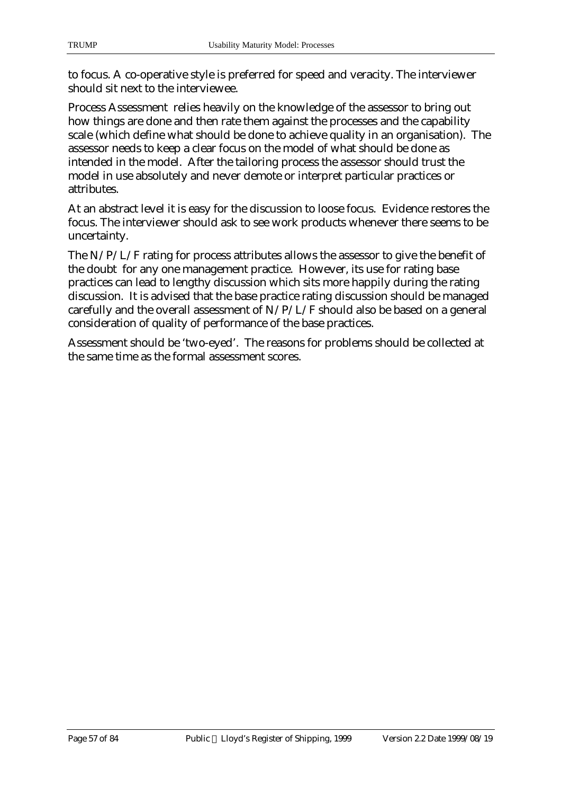to focus. A co-operative style is preferred for speed and veracity. The interviewer should sit next to the interviewee.

Process Assessment relies heavily on the knowledge of the assessor to bring out how things are done and then rate them against the processes and the capability scale (which define what should be done to achieve quality in an organisation). The assessor needs to keep a clear focus on the model of what should be done as intended in the model. After the tailoring process the assessor should trust the model in use absolutely and never demote or interpret particular practices or attributes.

At an abstract level it is easy for the discussion to loose focus. Evidence restores the focus. The interviewer should ask to see work products whenever there seems to be uncertainty.

The N/P/L/F rating for process attributes allows the assessor to give the benefit of the doubt for any one management practice. However, its use for rating base practices can lead to lengthy discussion which sits more happily during the rating discussion. It is advised that the base practice rating discussion should be managed carefully and the overall assessment of N/P/L/F should also be based on a general consideration of quality of performance of the base practices.

Assessment should be 'two-eyed'. The reasons for problems should be collected at the same time as the formal assessment scores.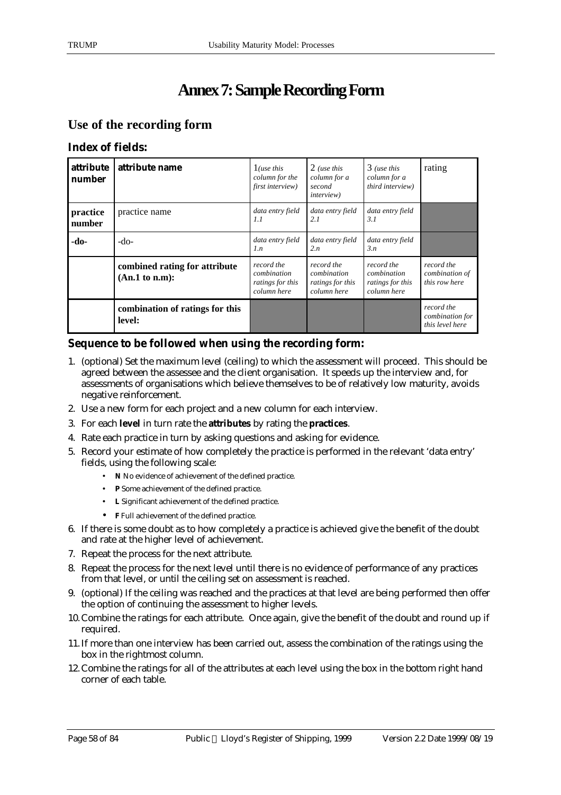# **Annex 7: Sample Recording Form**

#### **Use of the recording form**

#### **Index of fields:**

| attribute<br>number | attribute name                                  | $1$ (use this<br>column for the<br>first interview)          | $2$ (use this<br>column for a<br>second<br><i>interview</i> ) | $3$ (use this<br>column for a<br>third interview)            | rating                                           |
|---------------------|-------------------------------------------------|--------------------------------------------------------------|---------------------------------------------------------------|--------------------------------------------------------------|--------------------------------------------------|
| practice<br>number  | practice name                                   | data entry field<br>1.1                                      | data entry field<br>2.1                                       | data entry field<br>3.1                                      |                                                  |
| -do-                | $-do-$                                          | data entry field<br>1.n                                      | data entry field<br>2.n                                       | data entry field<br>3.n                                      |                                                  |
|                     | combined rating for attribute<br>(An.1 to n.m): | record the<br>combination<br>ratings for this<br>column here | record the<br>combination<br>ratings for this<br>column here  | record the<br>combination<br>ratings for this<br>column here | record the<br>combination of<br>this row here    |
|                     | combination of ratings for this<br>level:       |                                                              |                                                               |                                                              | record the<br>combination for<br>this level here |

#### **Sequence to be followed when using the recording form:**

- 1. (optional) Set the maximum level (ceiling) to which the assessment will proceed. This should be agreed between the assessee and the client organisation. It speeds up the interview and, for assessments of organisations which believe themselves to be of relatively low maturity, avoids negative reinforcement.
- 2. Use a new form for each project and a new column for each interview.
- 3. For each **level** in turn rate the **attributes** by rating the **practices**.
- 4. Rate each practice in turn by asking questions and asking for evidence.
- 5. Record your estimate of how completely the practice is performed in the relevant 'data entry' fields, using the following scale:
	- **N** No evidence of achievement of the defined practice.
	- **P** Some achievement of the defined practice.
	- **L** Significant achievement of the defined practice.
	- **F** Full achievement of the defined practice.
- 6. If there is some doubt as to how completely a practice is achieved give the benefit of the doubt and rate at the higher level of achievement.
- 7. Repeat the process for the next attribute.
- 8. Repeat the process for the next level until there is no evidence of performance of any practices from that level, or until the ceiling set on assessment is reached.
- 9. (optional) If the ceiling was reached and the practices at that level are being performed then offer the option of continuing the assessment to higher levels.
- 10. Combine the ratings for each attribute. Once again, give the benefit of the doubt and round up if required.
- 11.If more than one interview has been carried out, assess the combination of the ratings using the box in the rightmost column.
- 12. Combine the ratings for all of the attributes at each level using the box in the bottom right hand corner of each table.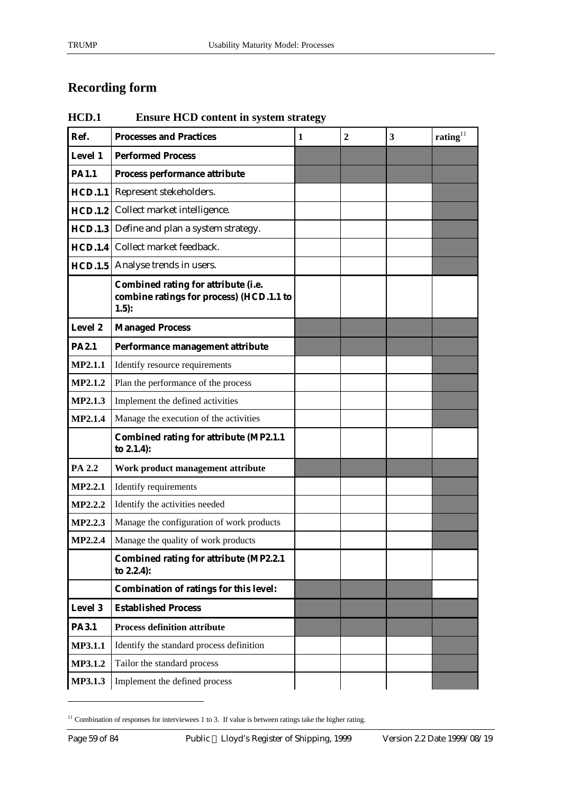### **Recording form**

#### **HCD.1 Ensure HCD content in system strategy**

| Ref.           | <b>Processes and Practices</b>                                                                    | 1 | $\overline{2}$ | 3 | rating $^{11}$ |
|----------------|---------------------------------------------------------------------------------------------------|---|----------------|---|----------------|
| <b>Level 1</b> | <b>Performed Process</b>                                                                          |   |                |   |                |
| <b>PA1.1</b>   | Process performance attribute                                                                     |   |                |   |                |
| <b>HCD.1.1</b> | Represent stekeholders.                                                                           |   |                |   |                |
| HCD.1.2        | Collect market intelligence.                                                                      |   |                |   |                |
| HCD.1.3        | Define and plan a system strategy.                                                                |   |                |   |                |
| HCD.1.4        | Collect market feedback.                                                                          |   |                |   |                |
| <b>HCD.1.5</b> | Analyse trends in users.                                                                          |   |                |   |                |
|                | <b>Combined rating for attribute (i.e.</b><br>combine ratings for process) (HCD.1.1 to<br>$1.5$ : |   |                |   |                |
| Level 2        | <b>Managed Process</b>                                                                            |   |                |   |                |
| <b>PA2.1</b>   | Performance management attribute                                                                  |   |                |   |                |
| <b>MP2.1.1</b> | Identify resource requirements                                                                    |   |                |   |                |
| <b>MP2.1.2</b> | Plan the performance of the process                                                               |   |                |   |                |
| <b>MP2.1.3</b> | Implement the defined activities                                                                  |   |                |   |                |
| <b>MP2.1.4</b> | Manage the execution of the activities                                                            |   |                |   |                |
|                | <b>Combined rating for attribute (MP2.1.1</b><br>to 2.1.4):                                       |   |                |   |                |
| <b>PA 2.2</b>  | Work product management attribute                                                                 |   |                |   |                |
| MP2.2.1        | Identify requirements                                                                             |   |                |   |                |
| <b>MP2.2.2</b> | Identify the activities needed                                                                    |   |                |   |                |
| <b>MP2.2.3</b> | Manage the configuration of work products                                                         |   |                |   |                |
| <b>MP2.2.4</b> | Manage the quality of work products                                                               |   |                |   |                |
|                | <b>Combined rating for attribute (MP2.2.1)</b><br>to 2.2.4):                                      |   |                |   |                |
|                | <b>Combination of ratings for this level:</b>                                                     |   |                |   |                |
| <b>Level 3</b> | <b>Established Process</b>                                                                        |   |                |   |                |
| <b>PA3.1</b>   | <b>Process definition attribute</b>                                                               |   |                |   |                |
| <b>MP3.1.1</b> | Identify the standard process definition                                                          |   |                |   |                |
| <b>MP3.1.2</b> | Tailor the standard process                                                                       |   |                |   |                |
| MP3.1.3        | Implement the defined process                                                                     |   |                |   |                |

 $11$  Combination of responses for interviewees 1 to 3. If value is between ratings take the higher rating.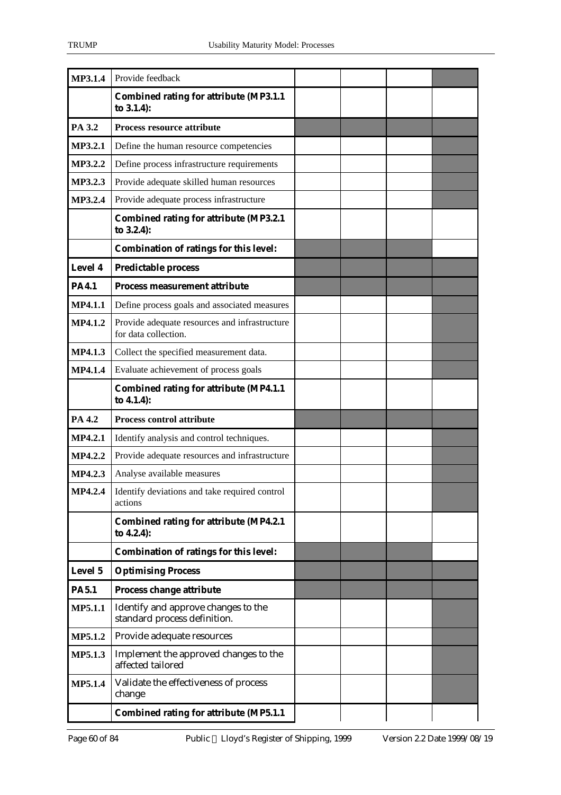| <b>MP3.1.4</b> | Provide feedback                                                      |  |  |
|----------------|-----------------------------------------------------------------------|--|--|
|                | <b>Combined rating for attribute (MP3.1.1)</b><br>to 3.1.4):          |  |  |
| PA 3.2         | <b>Process resource attribute</b>                                     |  |  |
| <b>MP3.2.1</b> | Define the human resource competencies                                |  |  |
| <b>MP3.2.2</b> | Define process infrastructure requirements                            |  |  |
| MP3.2.3        | Provide adequate skilled human resources                              |  |  |
| MP3.2.4        | Provide adequate process infrastructure                               |  |  |
|                | <b>Combined rating for attribute (MP3.2.1)</b><br>to 3.2.4):          |  |  |
|                | <b>Combination of ratings for this level:</b>                         |  |  |
| Level 4        | <b>Predictable process</b>                                            |  |  |
| <b>PA4.1</b>   | <b>Process measurement attribute</b>                                  |  |  |
| <b>MP4.1.1</b> | Define process goals and associated measures                          |  |  |
| <b>MP4.1.2</b> | Provide adequate resources and infrastructure<br>for data collection. |  |  |
| <b>MP4.1.3</b> | Collect the specified measurement data.                               |  |  |
| <b>MP4.1.4</b> | Evaluate achievement of process goals                                 |  |  |
|                | <b>Combined rating for attribute (MP4.1.1</b><br>to 4.1.4):           |  |  |
| PA 4.2         | <b>Process control attribute</b>                                      |  |  |
| <b>MP4.2.1</b> | Identify analysis and control techniques.                             |  |  |
| <b>MP4.2.2</b> | Provide adequate resources and infrastructure                         |  |  |
| MP4.2.3        | Analyse available measures                                            |  |  |
| MP4.2.4        | Identify deviations and take required control<br>actions              |  |  |
|                | <b>Combined rating for attribute (MP4.2.1)</b><br>to 4.2.4):          |  |  |
|                | <b>Combination of ratings for this level:</b>                         |  |  |
| <b>Level 5</b> | <b>Optimising Process</b>                                             |  |  |
| <b>PA5.1</b>   | <b>Process change attribute</b>                                       |  |  |
| <b>MP5.1.1</b> | Identify and approve changes to the<br>standard process definition.   |  |  |
| <b>MP5.1.2</b> | Provide adequate resources                                            |  |  |
| <b>MP5.1.3</b> | Implement the approved changes to the<br>affected tailored            |  |  |
| <b>MP5.1.4</b> | Validate the effectiveness of process<br>change                       |  |  |
|                | <b>Combined rating for attribute (MP5.1.1)</b>                        |  |  |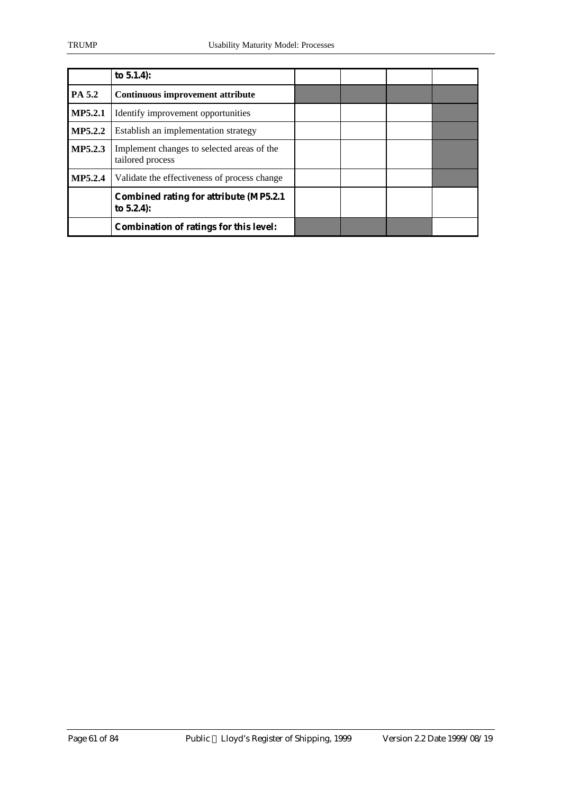|                | to $5.1.4$ :                                                   |  |  |
|----------------|----------------------------------------------------------------|--|--|
| PA 5.2         | <b>Continuous improvement attribute</b>                        |  |  |
| <b>MP5.2.1</b> | Identify improvement opportunities                             |  |  |
| <b>MP5.2.2</b> | Establish an implementation strategy                           |  |  |
| <b>MP5.2.3</b> | Implement changes to selected areas of the<br>tailored process |  |  |
| <b>MP5.2.4</b> | Validate the effectiveness of process change                   |  |  |
|                | <b>Combined rating for attribute (MP5.2.1)</b><br>to $5.2.4$ : |  |  |
|                | <b>Combination of ratings for this level:</b>                  |  |  |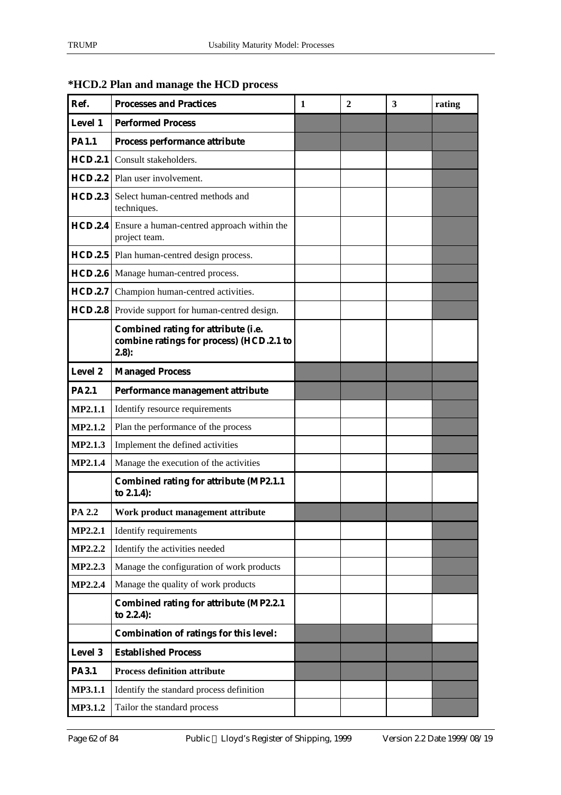| Ref.           | <b>Processes and Practices</b>                                                                    | 1 | 2 | 3 | rating |
|----------------|---------------------------------------------------------------------------------------------------|---|---|---|--------|
| <b>Level 1</b> | <b>Performed Process</b>                                                                          |   |   |   |        |
| <b>PA1.1</b>   | Process performance attribute                                                                     |   |   |   |        |
| HCD.2.1        | Consult stakeholders.                                                                             |   |   |   |        |
|                | <b>HCD.2.2</b> Plan user involvement.                                                             |   |   |   |        |
| HCD.2.3        | Select human-centred methods and<br>techniques.                                                   |   |   |   |        |
|                | <b>HCD.2.4</b> Ensure a human-centred approach within the<br>project team.                        |   |   |   |        |
|                | <b>HCD.2.5</b> Plan human-centred design process.                                                 |   |   |   |        |
|                | <b>HCD.2.6</b> Manage human-centred process.                                                      |   |   |   |        |
| HCD.2.7        | Champion human-centred activities.                                                                |   |   |   |        |
|                | <b>HCD.2.8</b> Provide support for human-centred design.                                          |   |   |   |        |
|                | <b>Combined rating for attribute (i.e.</b><br>combine ratings for process) (HCD.2.1 to<br>$2.8$ : |   |   |   |        |
| <b>Level 2</b> | <b>Managed Process</b>                                                                            |   |   |   |        |
| <b>PA2.1</b>   | Performance management attribute                                                                  |   |   |   |        |
| MP2.1.1        | Identify resource requirements                                                                    |   |   |   |        |
| MP2.1.2        | Plan the performance of the process                                                               |   |   |   |        |
| <b>MP2.1.3</b> | Implement the defined activities                                                                  |   |   |   |        |
| <b>MP2.1.4</b> | Manage the execution of the activities                                                            |   |   |   |        |
|                | <b>Combined rating for attribute (MP2.1.1)</b><br>to 2.1.4):                                      |   |   |   |        |
| PA 2.2         | Work product management attribute                                                                 |   |   |   |        |
| MP2.2.1        | Identify requirements                                                                             |   |   |   |        |
| <b>MP2.2.2</b> | Identify the activities needed                                                                    |   |   |   |        |
| <b>MP2.2.3</b> | Manage the configuration of work products                                                         |   |   |   |        |
| <b>MP2.2.4</b> | Manage the quality of work products                                                               |   |   |   |        |
|                | <b>Combined rating for attribute (MP2.2.1)</b><br>to 2.2.4):                                      |   |   |   |        |
|                | <b>Combination of ratings for this level:</b>                                                     |   |   |   |        |
| <b>Level 3</b> | <b>Established Process</b>                                                                        |   |   |   |        |
| <b>PA3.1</b>   | <b>Process definition attribute</b>                                                               |   |   |   |        |
| <b>MP3.1.1</b> | Identify the standard process definition                                                          |   |   |   |        |
| MP3.1.2        | Tailor the standard process                                                                       |   |   |   |        |

### **\*HCD.2 Plan and manage the HCD process**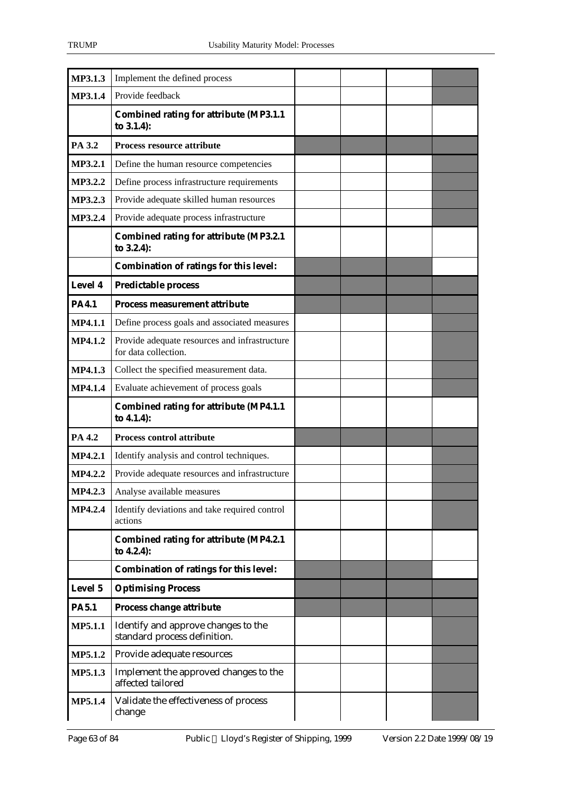| MP3.1.3        | Implement the defined process                                         |  |  |
|----------------|-----------------------------------------------------------------------|--|--|
| <b>MP3.1.4</b> | Provide feedback                                                      |  |  |
|                | <b>Combined rating for attribute (MP3.1.1)</b><br>to 3.1.4):          |  |  |
| PA 3.2         | Process resource attribute                                            |  |  |
| <b>MP3.2.1</b> | Define the human resource competencies                                |  |  |
| MP3.2.2        | Define process infrastructure requirements                            |  |  |
| MP3.2.3        | Provide adequate skilled human resources                              |  |  |
| MP3.2.4        | Provide adequate process infrastructure                               |  |  |
|                | <b>Combined rating for attribute (MP3.2.1)</b><br>to 3.2.4):          |  |  |
|                | <b>Combination of ratings for this level:</b>                         |  |  |
| <b>Level 4</b> | <b>Predictable process</b>                                            |  |  |
| <b>PA4.1</b>   | <b>Process measurement attribute</b>                                  |  |  |
| <b>MP4.1.1</b> | Define process goals and associated measures                          |  |  |
| <b>MP4.1.2</b> | Provide adequate resources and infrastructure<br>for data collection. |  |  |
| <b>MP4.1.3</b> | Collect the specified measurement data.                               |  |  |
| <b>MP4.1.4</b> | Evaluate achievement of process goals                                 |  |  |
|                | <b>Combined rating for attribute (MP4.1.1</b><br>to 4.1.4):           |  |  |
| PA 4.2         | <b>Process control attribute</b>                                      |  |  |
| <b>MP4.2.1</b> | Identify analysis and control techniques.                             |  |  |
| <b>MP4.2.2</b> | Provide adequate resources and infrastructure                         |  |  |
| MP4.2.3        | Analyse available measures                                            |  |  |
| <b>MP4.2.4</b> | Identify deviations and take required control<br>actions              |  |  |
|                | <b>Combined rating for attribute (MP4.2.1)</b><br>to 4.2.4):          |  |  |
|                | <b>Combination of ratings for this level:</b>                         |  |  |
| Level 5        | <b>Optimising Process</b>                                             |  |  |
| <b>PA5.1</b>   | Process change attribute                                              |  |  |
| <b>MP5.1.1</b> | Identify and approve changes to the<br>standard process definition.   |  |  |
| <b>MP5.1.2</b> | Provide adequate resources                                            |  |  |
| <b>MP5.1.3</b> | Implement the approved changes to the<br>affected tailored            |  |  |
| <b>MP5.1.4</b> | Validate the effectiveness of process<br>change                       |  |  |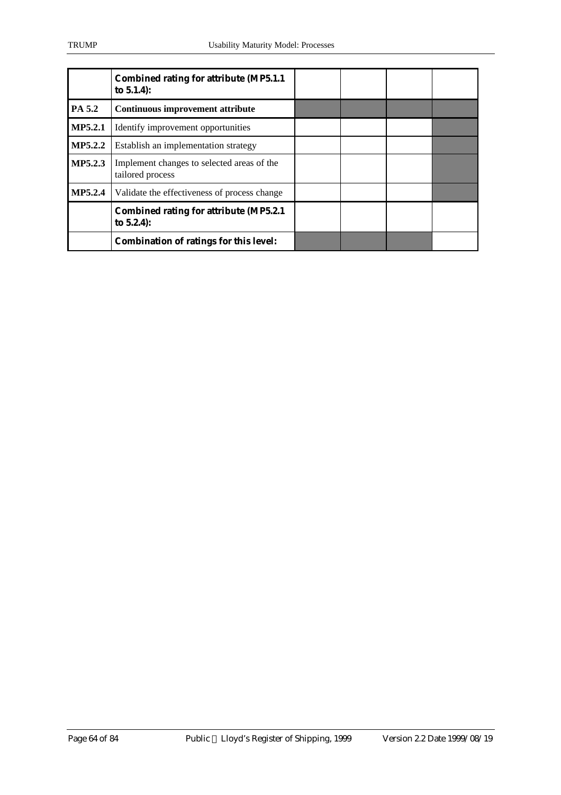|                | <b>Combined rating for attribute (MP5.1.1)</b><br>to $5.1.4$ : |  |  |
|----------------|----------------------------------------------------------------|--|--|
| PA 5.2         | Continuous improvement attribute                               |  |  |
| <b>MP5.2.1</b> | Identify improvement opportunities                             |  |  |
| <b>MP5.2.2</b> | Establish an implementation strategy                           |  |  |
| <b>MP5.2.3</b> | Implement changes to selected areas of the<br>tailored process |  |  |
| <b>MP5.2.4</b> | Validate the effectiveness of process change                   |  |  |
|                | <b>Combined rating for attribute (MP5.2.1)</b><br>to $5.2.4$ : |  |  |
|                | <b>Combination of ratings for this level:</b>                  |  |  |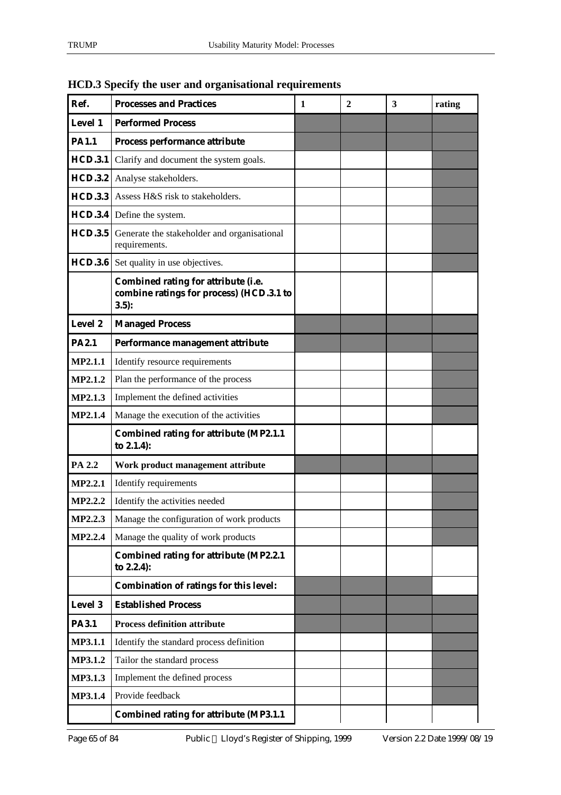| Ref.           | <b>Processes and Practices</b>                                                             | 1 | $\overline{2}$ | 3 | rating |
|----------------|--------------------------------------------------------------------------------------------|---|----------------|---|--------|
| <b>Level 1</b> | <b>Performed Process</b>                                                                   |   |                |   |        |
| <b>PA1.1</b>   | Process performance attribute                                                              |   |                |   |        |
| <b>HCD.3.1</b> | Clarify and document the system goals.                                                     |   |                |   |        |
| <b>HCD.3.2</b> | Analyse stakeholders.                                                                      |   |                |   |        |
| <b>HCD.3.3</b> | Assess H&S risk to stakeholders.                                                           |   |                |   |        |
|                | <b>HCD.3.4</b> Define the system.                                                          |   |                |   |        |
| <b>HCD.3.5</b> | Generate the stakeholder and organisational<br>requirements.                               |   |                |   |        |
|                | <b>HCD.3.6</b> Set quality in use objectives.                                              |   |                |   |        |
|                | Combined rating for attribute (i.e.<br>combine ratings for process) (HCD.3.1 to<br>$3.5$ : |   |                |   |        |
| <b>Level 2</b> | <b>Managed Process</b>                                                                     |   |                |   |        |
| <b>PA2.1</b>   | Performance management attribute                                                           |   |                |   |        |
| <b>MP2.1.1</b> | Identify resource requirements                                                             |   |                |   |        |
| <b>MP2.1.2</b> | Plan the performance of the process                                                        |   |                |   |        |
| <b>MP2.1.3</b> | Implement the defined activities                                                           |   |                |   |        |
| <b>MP2.1.4</b> | Manage the execution of the activities                                                     |   |                |   |        |
|                | <b>Combined rating for attribute (MP2.1.1)</b><br>to 2.1.4):                               |   |                |   |        |
| PA 2.2         | Work product management attribute                                                          |   |                |   |        |
| <b>MP2.2.1</b> | Identify requirements                                                                      |   |                |   |        |
| <b>MP2.2.2</b> | Identify the activities needed                                                             |   |                |   |        |
| <b>MP2.2.3</b> | Manage the configuration of work products                                                  |   |                |   |        |
| <b>MP2.2.4</b> | Manage the quality of work products                                                        |   |                |   |        |
|                | <b>Combined rating for attribute (MP2.2.1)</b><br>to 2.2.4):                               |   |                |   |        |
|                | <b>Combination of ratings for this level:</b>                                              |   |                |   |        |
| <b>Level 3</b> | <b>Established Process</b>                                                                 |   |                |   |        |
| <b>PA3.1</b>   | <b>Process definition attribute</b>                                                        |   |                |   |        |
| <b>MP3.1.1</b> | Identify the standard process definition                                                   |   |                |   |        |
| <b>MP3.1.2</b> | Tailor the standard process                                                                |   |                |   |        |
| <b>MP3.1.3</b> | Implement the defined process                                                              |   |                |   |        |
| <b>MP3.1.4</b> | Provide feedback                                                                           |   |                |   |        |
|                | <b>Combined rating for attribute (MP3.1.1)</b>                                             |   |                |   |        |

#### **HCD.3 Specify the user and organisational requirements**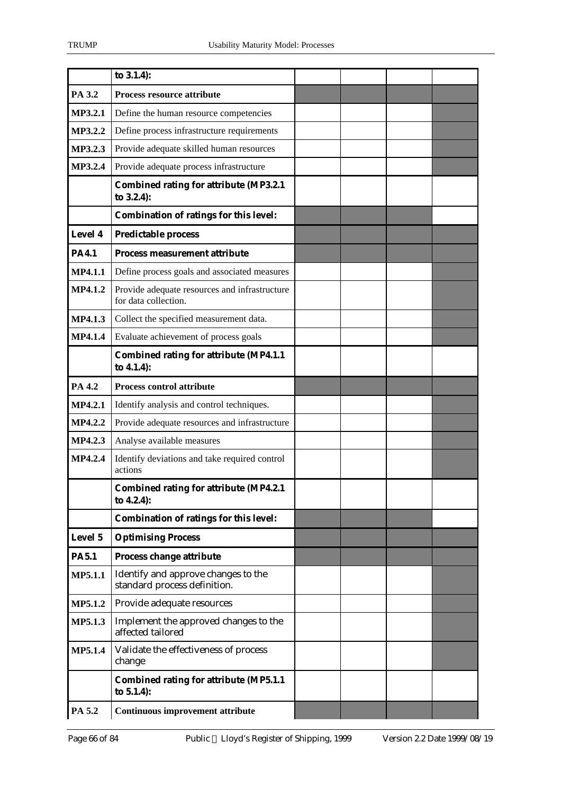|                | to 3.1.4):                                                            |  |  |
|----------------|-----------------------------------------------------------------------|--|--|
| PA 3.2         | Process resource attribute                                            |  |  |
| <b>MP3.2.1</b> | Define the human resource competencies                                |  |  |
| <b>MP3.2.2</b> | Define process infrastructure requirements                            |  |  |
| <b>MP3.2.3</b> | Provide adequate skilled human resources                              |  |  |
| <b>MP3.2.4</b> | Provide adequate process infrastructure                               |  |  |
|                | <b>Combined rating for attribute (MP3.2.1)</b><br>to 3.2.4):          |  |  |
|                | <b>Combination of ratings for this level:</b>                         |  |  |
| Level 4        | <b>Predictable process</b>                                            |  |  |
| <b>PA4.1</b>   | <b>Process measurement attribute</b>                                  |  |  |
| <b>MP4.1.1</b> | Define process goals and associated measures                          |  |  |
| <b>MP4.1.2</b> | Provide adequate resources and infrastructure<br>for data collection. |  |  |
| <b>MP4.1.3</b> | Collect the specified measurement data.                               |  |  |
| <b>MP4.1.4</b> | Evaluate achievement of process goals                                 |  |  |
|                | <b>Combined rating for attribute (MP4.1.1)</b><br>to 4.1.4):          |  |  |
| PA 4.2         | <b>Process control attribute</b>                                      |  |  |
| <b>MP4.2.1</b> | Identify analysis and control techniques.                             |  |  |
| <b>MP4.2.2</b> | Provide adequate resources and infrastructure                         |  |  |
| <b>MP4.2.3</b> | Analyse available measures                                            |  |  |
| <b>MP4.2.4</b> | Identify deviations and take required control<br>actions              |  |  |
|                | <b>Combined rating for attribute (MP4.2.1</b><br>to 4.2.4):           |  |  |
|                | <b>Combination of ratings for this level:</b>                         |  |  |
| <b>Level 5</b> | <b>Optimising Process</b>                                             |  |  |
| <b>PA5.1</b>   | <b>Process change attribute</b>                                       |  |  |
| <b>MP5.1.1</b> | Identify and approve changes to the<br>standard process definition.   |  |  |
| <b>MP5.1.2</b> | Provide adequate resources                                            |  |  |
| <b>MP5.1.3</b> | Implement the approved changes to the<br>affected tailored            |  |  |
| <b>MP5.1.4</b> | Validate the effectiveness of process<br>change                       |  |  |
|                | <b>Combined rating for attribute (MP5.1.1)</b><br>to 5.1.4):          |  |  |
| PA 5.2         | <b>Continuous improvement attribute</b>                               |  |  |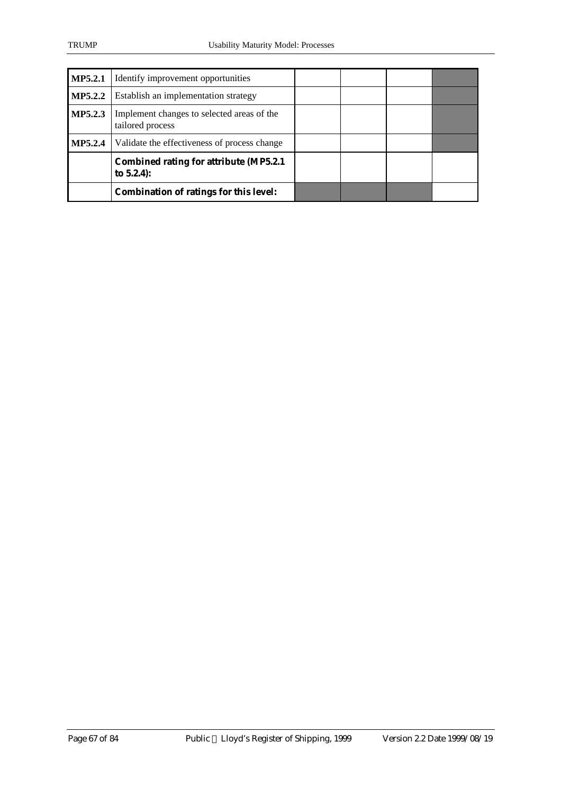| <b>MP5.2.1</b> | Identify improvement opportunities                             |  |  |
|----------------|----------------------------------------------------------------|--|--|
| <b>MP5.2.2</b> | Establish an implementation strategy                           |  |  |
| <b>MP5.2.3</b> | Implement changes to selected areas of the<br>tailored process |  |  |
| <b>MP5.2.4</b> | Validate the effectiveness of process change                   |  |  |
|                | <b>Combined rating for attribute (MP5.2.1)</b><br>to $5.2.4$ : |  |  |
|                | <b>Combination of ratings for this level:</b>                  |  |  |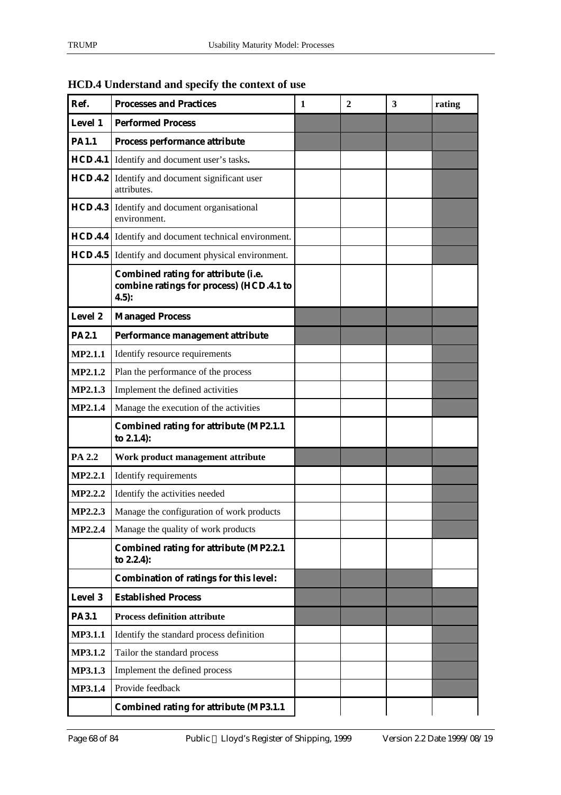| Ref.           | <b>Processes and Practices</b>                                                             | 1 | $\overline{2}$ | 3 | rating |
|----------------|--------------------------------------------------------------------------------------------|---|----------------|---|--------|
| Level 1        | <b>Performed Process</b>                                                                   |   |                |   |        |
| <b>PA1.1</b>   | Process performance attribute                                                              |   |                |   |        |
| HCD.4.1        | Identify and document user's tasks.                                                        |   |                |   |        |
| <b>HCD.4.2</b> | Identify and document significant user<br>attributes.                                      |   |                |   |        |
| HCD.4.3        | Identify and document organisational<br>environment.                                       |   |                |   |        |
|                | <b>HCD.4.4</b> Identify and document technical environment.                                |   |                |   |        |
|                | <b>HCD.4.5</b> Identify and document physical environment.                                 |   |                |   |        |
|                | Combined rating for attribute (i.e.<br>combine ratings for process) (HCD.4.1 to<br>$4.5$ : |   |                |   |        |
| Level 2        | <b>Managed Process</b>                                                                     |   |                |   |        |
| <b>PA2.1</b>   | Performance management attribute                                                           |   |                |   |        |
| <b>MP2.1.1</b> | Identify resource requirements                                                             |   |                |   |        |
| <b>MP2.1.2</b> | Plan the performance of the process                                                        |   |                |   |        |
| <b>MP2.1.3</b> | Implement the defined activities                                                           |   |                |   |        |
| <b>MP2.1.4</b> | Manage the execution of the activities                                                     |   |                |   |        |
|                | <b>Combined rating for attribute (MP2.1.1)</b><br>to 2.1.4):                               |   |                |   |        |
| PA 2.2         | Work product management attribute                                                          |   |                |   |        |
| <b>MP2.2.1</b> | Identify requirements                                                                      |   |                |   |        |
| <b>MP2.2.2</b> | Identify the activities needed                                                             |   |                |   |        |
| MP2.2.3        | Manage the configuration of work products                                                  |   |                |   |        |
| <b>MP2.2.4</b> | Manage the quality of work products                                                        |   |                |   |        |
|                | <b>Combined rating for attribute (MP2.2.1)</b><br>to 2.2.4):                               |   |                |   |        |
|                | <b>Combination of ratings for this level:</b>                                              |   |                |   |        |
| <b>Level 3</b> | <b>Established Process</b>                                                                 |   |                |   |        |
| <b>PA3.1</b>   | <b>Process definition attribute</b>                                                        |   |                |   |        |
| <b>MP3.1.1</b> | Identify the standard process definition                                                   |   |                |   |        |
| <b>MP3.1.2</b> | Tailor the standard process                                                                |   |                |   |        |
| <b>MP3.1.3</b> | Implement the defined process                                                              |   |                |   |        |
| <b>MP3.1.4</b> | Provide feedback                                                                           |   |                |   |        |
|                | <b>Combined rating for attribute (MP3.1.1)</b>                                             |   |                |   |        |

#### **HCD.4 Understand and specify the context of use**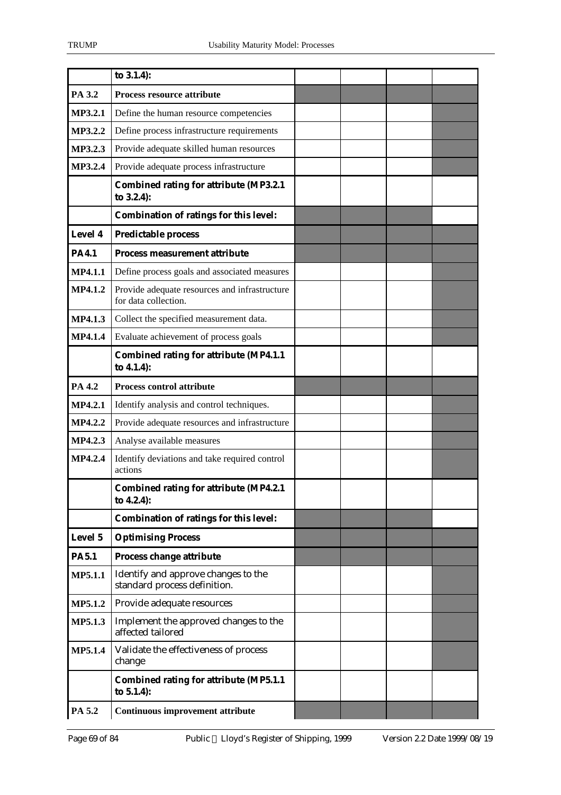|                | to 3.1.4):                                                            |  |  |
|----------------|-----------------------------------------------------------------------|--|--|
| PA 3.2         | Process resource attribute                                            |  |  |
| <b>MP3.2.1</b> | Define the human resource competencies                                |  |  |
| <b>MP3.2.2</b> | Define process infrastructure requirements                            |  |  |
| <b>MP3.2.3</b> | Provide adequate skilled human resources                              |  |  |
| <b>MP3.2.4</b> | Provide adequate process infrastructure                               |  |  |
|                | <b>Combined rating for attribute (MP3.2.1)</b><br>to 3.2.4):          |  |  |
|                | <b>Combination of ratings for this level:</b>                         |  |  |
| Level 4        | <b>Predictable process</b>                                            |  |  |
| <b>PA4.1</b>   | <b>Process measurement attribute</b>                                  |  |  |
| <b>MP4.1.1</b> | Define process goals and associated measures                          |  |  |
| <b>MP4.1.2</b> | Provide adequate resources and infrastructure<br>for data collection. |  |  |
| <b>MP4.1.3</b> | Collect the specified measurement data.                               |  |  |
| <b>MP4.1.4</b> | Evaluate achievement of process goals                                 |  |  |
|                | <b>Combined rating for attribute (MP4.1.1)</b><br>to 4.1.4):          |  |  |
| PA 4.2         | <b>Process control attribute</b>                                      |  |  |
| <b>MP4.2.1</b> | Identify analysis and control techniques.                             |  |  |
| <b>MP4.2.2</b> | Provide adequate resources and infrastructure                         |  |  |
| <b>MP4.2.3</b> | Analyse available measures                                            |  |  |
| <b>MP4.2.4</b> | Identify deviations and take required control<br>actions              |  |  |
|                | <b>Combined rating for attribute (MP4.2.1</b><br>to 4.2.4):           |  |  |
|                | <b>Combination of ratings for this level:</b>                         |  |  |
| <b>Level 5</b> | <b>Optimising Process</b>                                             |  |  |
| <b>PA5.1</b>   | <b>Process change attribute</b>                                       |  |  |
| <b>MP5.1.1</b> | Identify and approve changes to the<br>standard process definition.   |  |  |
| <b>MP5.1.2</b> | Provide adequate resources                                            |  |  |
| <b>MP5.1.3</b> | Implement the approved changes to the<br>affected tailored            |  |  |
| <b>MP5.1.4</b> | Validate the effectiveness of process<br>change                       |  |  |
|                | <b>Combined rating for attribute (MP5.1.1)</b><br>to 5.1.4):          |  |  |
| PA 5.2         | <b>Continuous improvement attribute</b>                               |  |  |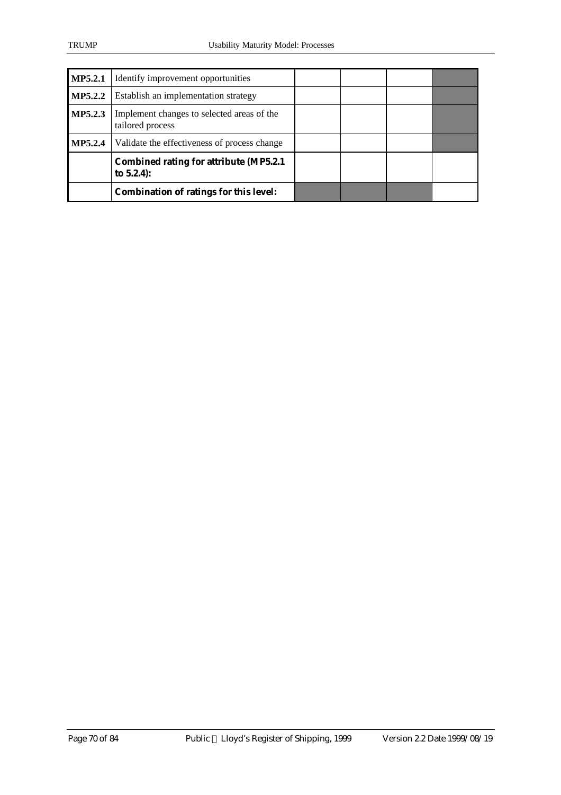| <b>MP5.2.1</b> | Identify improvement opportunities                             |  |  |
|----------------|----------------------------------------------------------------|--|--|
| <b>MP5.2.2</b> | Establish an implementation strategy                           |  |  |
| <b>MP5.2.3</b> | Implement changes to selected areas of the<br>tailored process |  |  |
| <b>MP5.2.4</b> | Validate the effectiveness of process change                   |  |  |
|                | <b>Combined rating for attribute (MP5.2.1)</b><br>to $5.2.4$ : |  |  |
|                | <b>Combination of ratings for this level:</b>                  |  |  |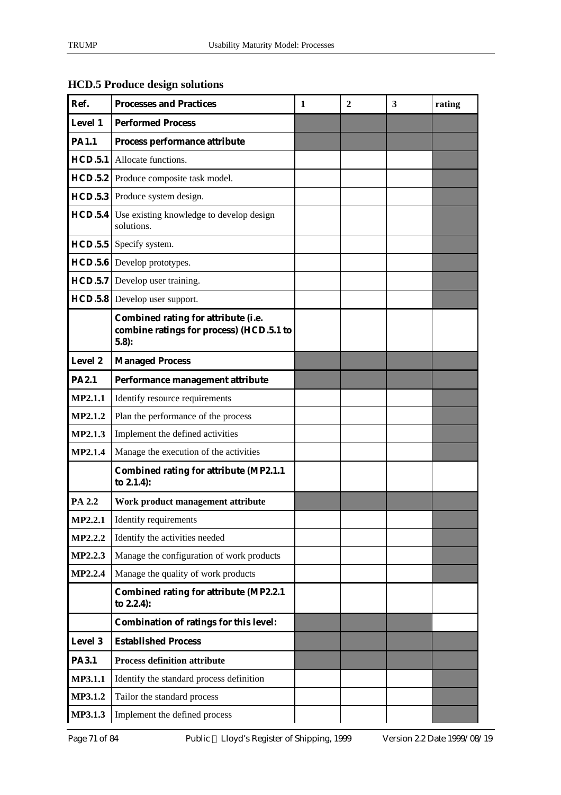| Ref.           | <b>Processes and Practices</b>                                                             | 1 | $\overline{2}$ | 3 | rating |
|----------------|--------------------------------------------------------------------------------------------|---|----------------|---|--------|
| <b>Level 1</b> | <b>Performed Process</b>                                                                   |   |                |   |        |
| <b>PA1.1</b>   | Process performance attribute                                                              |   |                |   |        |
| <b>HCD.5.1</b> | Allocate functions.                                                                        |   |                |   |        |
|                | <b>HCD.5.2</b> Produce composite task model.                                               |   |                |   |        |
|                | <b>HCD.5.3</b> Produce system design.                                                      |   |                |   |        |
| HCD.5.4        | Use existing knowledge to develop design<br>solutions.                                     |   |                |   |        |
|                | HCD.5.5 Specify system.                                                                    |   |                |   |        |
|                | <b>HCD.5.6</b> Develop prototypes.                                                         |   |                |   |        |
|                | <b>HCD.5.7</b> Develop user training.                                                      |   |                |   |        |
|                | <b>HCD.5.8</b> Develop user support.                                                       |   |                |   |        |
|                | Combined rating for attribute (i.e.<br>combine ratings for process) (HCD.5.1 to<br>$5.8$ : |   |                |   |        |
| Level 2        | <b>Managed Process</b>                                                                     |   |                |   |        |
| <b>PA2.1</b>   | Performance management attribute                                                           |   |                |   |        |
| <b>MP2.1.1</b> | Identify resource requirements                                                             |   |                |   |        |
| <b>MP2.1.2</b> | Plan the performance of the process                                                        |   |                |   |        |
| <b>MP2.1.3</b> | Implement the defined activities                                                           |   |                |   |        |
| <b>MP2.1.4</b> | Manage the execution of the activities                                                     |   |                |   |        |
|                | <b>Combined rating for attribute (MP2.1.1)</b><br>to 2.1.4):                               |   |                |   |        |
| PA 2.2         | Work product management attribute                                                          |   |                |   |        |
| <b>MP2.2.1</b> | Identify requirements                                                                      |   |                |   |        |
| <b>MP2.2.2</b> | Identify the activities needed                                                             |   |                |   |        |
| <b>MP2.2.3</b> | Manage the configuration of work products                                                  |   |                |   |        |
| <b>MP2.2.4</b> | Manage the quality of work products                                                        |   |                |   |        |
|                | <b>Combined rating for attribute (MP2.2.1)</b><br>to 2.2.4):                               |   |                |   |        |
|                | <b>Combination of ratings for this level:</b>                                              |   |                |   |        |
| <b>Level 3</b> | <b>Established Process</b>                                                                 |   |                |   |        |
| <b>PA3.1</b>   | <b>Process definition attribute</b>                                                        |   |                |   |        |
| <b>MP3.1.1</b> | Identify the standard process definition                                                   |   |                |   |        |
| <b>MP3.1.2</b> | Tailor the standard process                                                                |   |                |   |        |
| <b>MP3.1.3</b> | Implement the defined process                                                              |   |                |   |        |

### **HCD.5 Produce design solutions**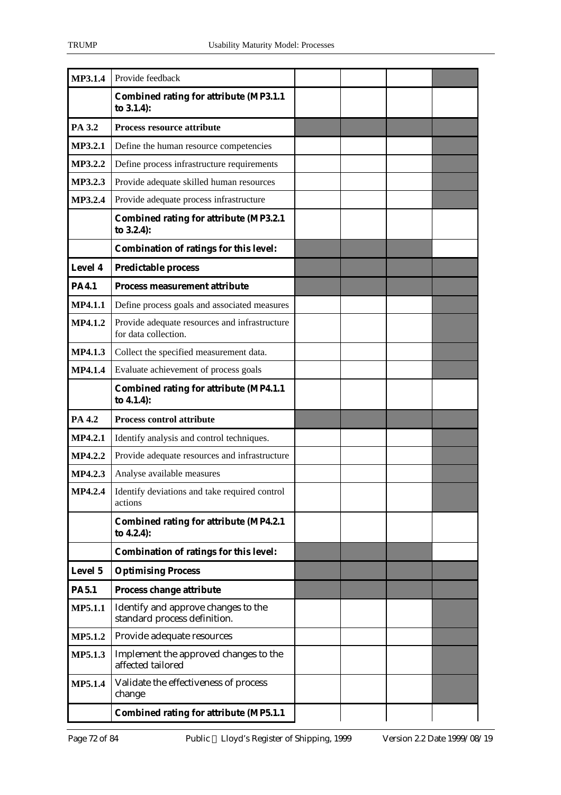| <b>MP3.1.4</b> | Provide feedback                                                      |  |  |
|----------------|-----------------------------------------------------------------------|--|--|
|                | <b>Combined rating for attribute (MP3.1.1)</b><br>to 3.1.4):          |  |  |
| PA 3.2         | <b>Process resource attribute</b>                                     |  |  |
| MP3.2.1        | Define the human resource competencies                                |  |  |
| <b>MP3.2.2</b> | Define process infrastructure requirements                            |  |  |
| MP3.2.3        | Provide adequate skilled human resources                              |  |  |
| MP3.2.4        | Provide adequate process infrastructure                               |  |  |
|                | <b>Combined rating for attribute (MP3.2.1)</b><br>to 3.2.4):          |  |  |
|                | <b>Combination of ratings for this level:</b>                         |  |  |
| Level 4        | <b>Predictable process</b>                                            |  |  |
| <b>PA4.1</b>   | <b>Process measurement attribute</b>                                  |  |  |
| <b>MP4.1.1</b> | Define process goals and associated measures                          |  |  |
| <b>MP4.1.2</b> | Provide adequate resources and infrastructure<br>for data collection. |  |  |
| <b>MP4.1.3</b> | Collect the specified measurement data.                               |  |  |
| <b>MP4.1.4</b> | Evaluate achievement of process goals                                 |  |  |
|                | <b>Combined rating for attribute (MP4.1.1</b><br>to 4.1.4):           |  |  |
| PA 4.2         | <b>Process control attribute</b>                                      |  |  |
| <b>MP4.2.1</b> | Identify analysis and control techniques.                             |  |  |
| <b>MP4.2.2</b> | Provide adequate resources and infrastructure                         |  |  |
| MP4.2.3        | Analyse available measures                                            |  |  |
| MP4.2.4        | Identify deviations and take required control<br>actions              |  |  |
|                | <b>Combined rating for attribute (MP4.2.1)</b><br>to 4.2.4):          |  |  |
|                | <b>Combination of ratings for this level:</b>                         |  |  |
| <b>Level 5</b> | <b>Optimising Process</b>                                             |  |  |
| <b>PA5.1</b>   | <b>Process change attribute</b>                                       |  |  |
| <b>MP5.1.1</b> | Identify and approve changes to the<br>standard process definition.   |  |  |
| <b>MP5.1.2</b> | Provide adequate resources                                            |  |  |
| <b>MP5.1.3</b> | Implement the approved changes to the<br>affected tailored            |  |  |
| <b>MP5.1.4</b> | Validate the effectiveness of process<br>change                       |  |  |
|                | <b>Combined rating for attribute (MP5.1.1)</b>                        |  |  |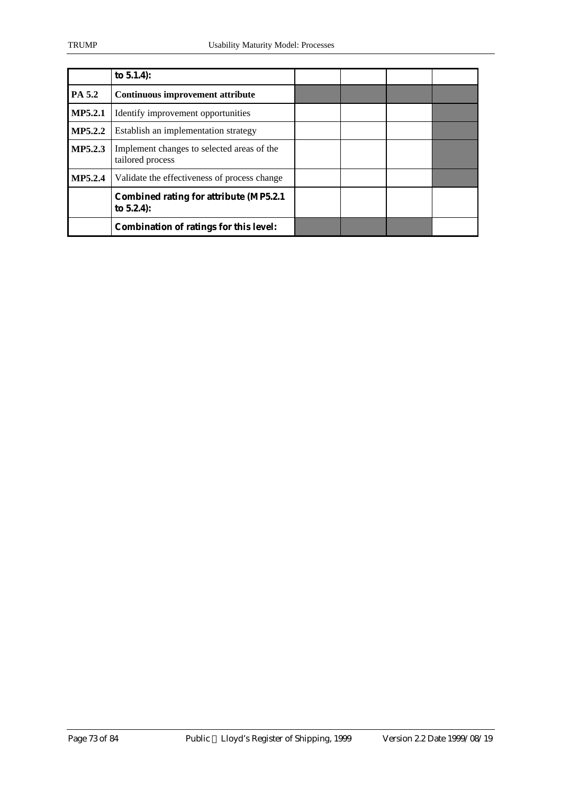|                | to $5.1.4$ :                                                   |  |  |
|----------------|----------------------------------------------------------------|--|--|
| PA 5.2         | <b>Continuous improvement attribute</b>                        |  |  |
| <b>MP5.2.1</b> | Identify improvement opportunities                             |  |  |
| <b>MP5.2.2</b> | Establish an implementation strategy                           |  |  |
| <b>MP5.2.3</b> | Implement changes to selected areas of the<br>tailored process |  |  |
| <b>MP5.2.4</b> | Validate the effectiveness of process change                   |  |  |
|                | <b>Combined rating for attribute (MP5.2.1)</b><br>to $5.2.4$ : |  |  |
|                | <b>Combination of ratings for this level:</b>                  |  |  |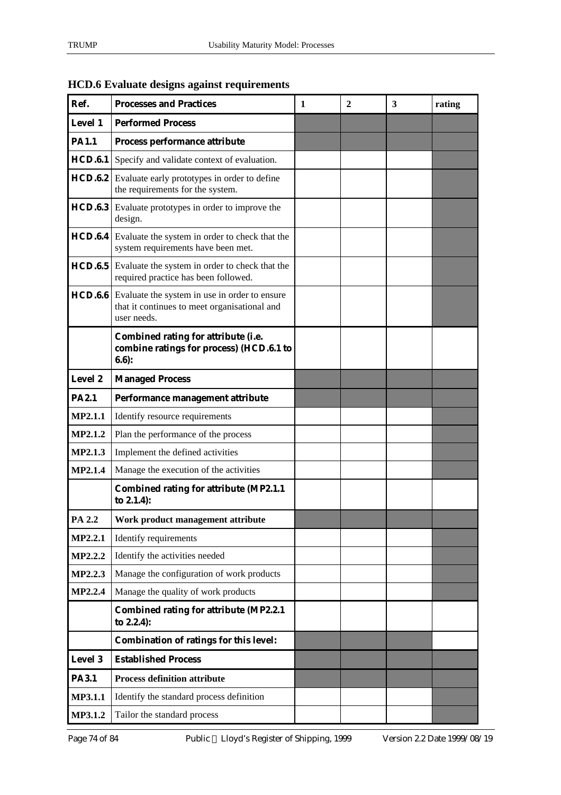| Ref.           | <b>Processes and Practices</b>                                                                                              | 1 | $\overline{2}$ | 3 | rating |
|----------------|-----------------------------------------------------------------------------------------------------------------------------|---|----------------|---|--------|
| <b>Level 1</b> | <b>Performed Process</b>                                                                                                    |   |                |   |        |
| <b>PA1.1</b>   | Process performance attribute                                                                                               |   |                |   |        |
| <b>HCD.6.1</b> | Specify and validate context of evaluation.                                                                                 |   |                |   |        |
| HCD.6.2        | Evaluate early prototypes in order to define<br>the requirements for the system.                                            |   |                |   |        |
|                | <b>HCD.6.3</b> Evaluate prototypes in order to improve the<br>design.                                                       |   |                |   |        |
|                | <b>HCD.6.4</b> Evaluate the system in order to check that the<br>system requirements have been met.                         |   |                |   |        |
|                | <b>HCD.6.5</b> Evaluate the system in order to check that the<br>required practice has been followed.                       |   |                |   |        |
|                | <b>HCD.6.6</b> Evaluate the system in use in order to ensure<br>that it continues to meet organisational and<br>user needs. |   |                |   |        |
|                | <b>Combined rating for attribute (i.e.</b><br>combine ratings for process) (HCD.6.1 to<br>$6.6$ ):                          |   |                |   |        |
| <b>Level 2</b> | <b>Managed Process</b>                                                                                                      |   |                |   |        |
| <b>PA2.1</b>   | Performance management attribute                                                                                            |   |                |   |        |
| <b>MP2.1.1</b> | Identify resource requirements                                                                                              |   |                |   |        |
| <b>MP2.1.2</b> | Plan the performance of the process                                                                                         |   |                |   |        |
| <b>MP2.1.3</b> | Implement the defined activities                                                                                            |   |                |   |        |
| <b>MP2.1.4</b> | Manage the execution of the activities                                                                                      |   |                |   |        |
|                | <b>Combined rating for attribute (MP2.1.1)</b><br>to $2.1.4$ :                                                              |   |                |   |        |
| PA 2.2         | Work product management attribute                                                                                           |   |                |   |        |
| <b>MP2.2.1</b> | Identify requirements                                                                                                       |   |                |   |        |
| <b>MP2.2.2</b> | Identify the activities needed                                                                                              |   |                |   |        |
| <b>MP2.2.3</b> | Manage the configuration of work products                                                                                   |   |                |   |        |
| <b>MP2.2.4</b> | Manage the quality of work products                                                                                         |   |                |   |        |
|                | <b>Combined rating for attribute (MP2.2.1)</b><br>to 2.2.4):                                                                |   |                |   |        |
|                | <b>Combination of ratings for this level:</b>                                                                               |   |                |   |        |
| <b>Level 3</b> | <b>Established Process</b>                                                                                                  |   |                |   |        |
| <b>PA3.1</b>   | <b>Process definition attribute</b>                                                                                         |   |                |   |        |
| MP3.1.1        | Identify the standard process definition                                                                                    |   |                |   |        |
| <b>MP3.1.2</b> | Tailor the standard process                                                                                                 |   |                |   |        |

# **HCD.6 Evaluate designs against requirements**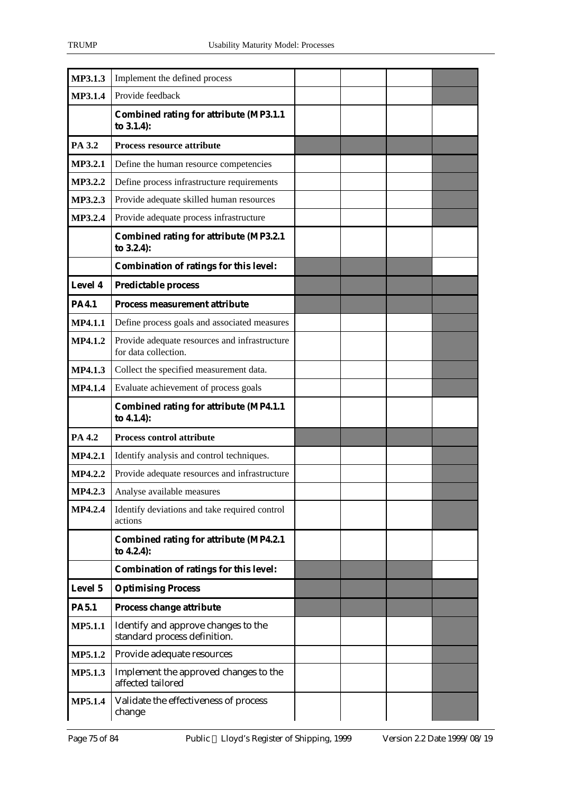| <b>MP3.1.3</b> | Implement the defined process                                         |  |  |
|----------------|-----------------------------------------------------------------------|--|--|
| <b>MP3.1.4</b> | Provide feedback                                                      |  |  |
|                | <b>Combined rating for attribute (MP3.1.1</b><br>to 3.1.4):           |  |  |
| PA 3.2         | Process resource attribute                                            |  |  |
| <b>MP3.2.1</b> | Define the human resource competencies                                |  |  |
| <b>MP3.2.2</b> | Define process infrastructure requirements                            |  |  |
| <b>MP3.2.3</b> | Provide adequate skilled human resources                              |  |  |
| MP3.2.4        | Provide adequate process infrastructure                               |  |  |
|                | <b>Combined rating for attribute (MP3.2.1</b><br>to 3.2.4):           |  |  |
|                | <b>Combination of ratings for this level:</b>                         |  |  |
| Level 4        | <b>Predictable process</b>                                            |  |  |
| <b>PA4.1</b>   | <b>Process measurement attribute</b>                                  |  |  |
| <b>MP4.1.1</b> | Define process goals and associated measures                          |  |  |
| <b>MP4.1.2</b> | Provide adequate resources and infrastructure<br>for data collection. |  |  |
| <b>MP4.1.3</b> | Collect the specified measurement data.                               |  |  |
| <b>MP4.1.4</b> | Evaluate achievement of process goals                                 |  |  |
|                | <b>Combined rating for attribute (MP4.1.1</b><br>to 4.1.4):           |  |  |
| PA 4.2         | <b>Process control attribute</b>                                      |  |  |
| <b>MP4.2.1</b> | Identify analysis and control techniques.                             |  |  |
| <b>MP4.2.2</b> | Provide adequate resources and infrastructure                         |  |  |
| MP4.2.3        | Analyse available measures                                            |  |  |
| <b>MP4.2.4</b> | Identify deviations and take required control<br>actions              |  |  |
|                | <b>Combined rating for attribute (MP4.2.1</b><br>to 4.2.4):           |  |  |
|                | <b>Combination of ratings for this level:</b>                         |  |  |
| Level 5        | <b>Optimising Process</b>                                             |  |  |
| <b>PA5.1</b>   | Process change attribute                                              |  |  |
| <b>MP5.1.1</b> | Identify and approve changes to the<br>standard process definition.   |  |  |
| <b>MP5.1.2</b> | Provide adequate resources                                            |  |  |
| <b>MP5.1.3</b> | Implement the approved changes to the<br>affected tailored            |  |  |
|                |                                                                       |  |  |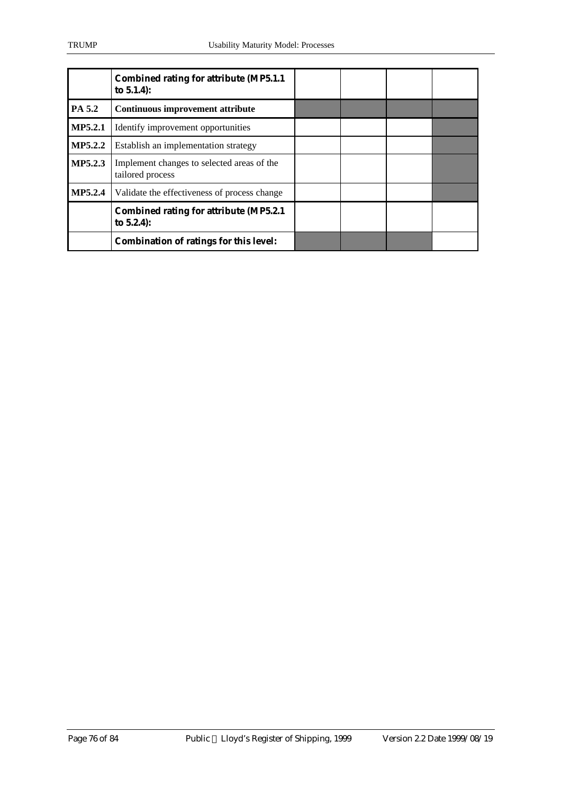|                | <b>Combined rating for attribute (MP5.1.1)</b><br>to $5.1.4$ : |  |  |
|----------------|----------------------------------------------------------------|--|--|
| PA 5.2         | Continuous improvement attribute                               |  |  |
| <b>MP5.2.1</b> | Identify improvement opportunities                             |  |  |
| <b>MP5.2.2</b> | Establish an implementation strategy                           |  |  |
| <b>MP5.2.3</b> | Implement changes to selected areas of the<br>tailored process |  |  |
| <b>MP5.2.4</b> | Validate the effectiveness of process change                   |  |  |
|                | <b>Combined rating for attribute (MP5.2.1)</b><br>to $5.2.4$ : |  |  |
|                | <b>Combination of ratings for this level:</b>                  |  |  |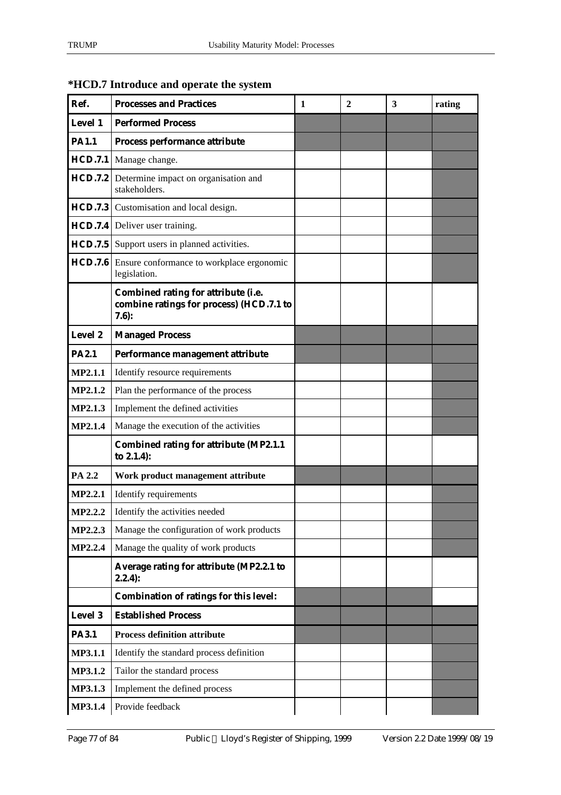| Ref.           | <b>Processes and Practices</b>                                                             | 1 | $\mathbf{2}$ | 3 | rating |
|----------------|--------------------------------------------------------------------------------------------|---|--------------|---|--------|
| <b>Level 1</b> | <b>Performed Process</b>                                                                   |   |              |   |        |
| <b>PA1.1</b>   | Process performance attribute                                                              |   |              |   |        |
| HCD.7.1        | Manage change.                                                                             |   |              |   |        |
| <b>HCD.7.2</b> | Determine impact on organisation and<br>stakeholders.                                      |   |              |   |        |
|                | <b>HCD.7.3</b> Customisation and local design.                                             |   |              |   |        |
|                | <b>HCD.7.4</b> Deliver user training.                                                      |   |              |   |        |
|                | HCD.7.5 Support users in planned activities.                                               |   |              |   |        |
|                | HCD.7.6 Ensure conformance to workplace ergonomic<br>legislation.                          |   |              |   |        |
|                | Combined rating for attribute (i.e.<br>combine ratings for process) (HCD.7.1 to<br>$7.6$ : |   |              |   |        |
| <b>Level 2</b> | <b>Managed Process</b>                                                                     |   |              |   |        |
| <b>PA2.1</b>   | Performance management attribute                                                           |   |              |   |        |
| <b>MP2.1.1</b> | Identify resource requirements                                                             |   |              |   |        |
| <b>MP2.1.2</b> | Plan the performance of the process                                                        |   |              |   |        |
| <b>MP2.1.3</b> | Implement the defined activities                                                           |   |              |   |        |
| <b>MP2.1.4</b> | Manage the execution of the activities                                                     |   |              |   |        |
|                | <b>Combined rating for attribute (MP2.1.1)</b><br>to 2.1.4):                               |   |              |   |        |
| <b>PA 2.2</b>  | Work product management attribute                                                          |   |              |   |        |
| <b>MP2.2.1</b> | Identify requirements                                                                      |   |              |   |        |
| MP2.2.2        | Identify the activities needed                                                             |   |              |   |        |
| <b>MP2.2.3</b> | Manage the configuration of work products                                                  |   |              |   |        |
| <b>MP2.2.4</b> | Manage the quality of work products                                                        |   |              |   |        |
|                | Average rating for attribute (MP2.2.1 to<br>$2.2.4$ :                                      |   |              |   |        |
|                | <b>Combination of ratings for this level:</b>                                              |   |              |   |        |
| <b>Level 3</b> | <b>Established Process</b>                                                                 |   |              |   |        |
| <b>PA3.1</b>   | <b>Process definition attribute</b>                                                        |   |              |   |        |
| <b>MP3.1.1</b> | Identify the standard process definition                                                   |   |              |   |        |
| <b>MP3.1.2</b> | Tailor the standard process                                                                |   |              |   |        |
| <b>MP3.1.3</b> | Implement the defined process                                                              |   |              |   |        |
| <b>MP3.1.4</b> | Provide feedback                                                                           |   |              |   |        |

# **\*HCD.7 Introduce and operate the system**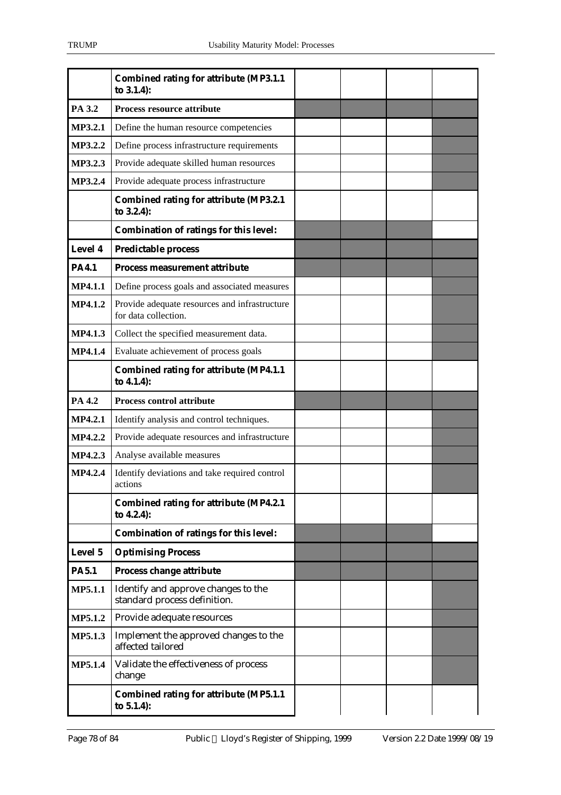|                | <b>Combined rating for attribute (MP3.1.1</b><br>to $3.1.4$ :         |  |  |
|----------------|-----------------------------------------------------------------------|--|--|
| PA 3.2         | <b>Process resource attribute</b>                                     |  |  |
| <b>MP3.2.1</b> | Define the human resource competencies                                |  |  |
| <b>MP3.2.2</b> | Define process infrastructure requirements                            |  |  |
| MP3.2.3        | Provide adequate skilled human resources                              |  |  |
| <b>MP3.2.4</b> | Provide adequate process infrastructure                               |  |  |
|                | <b>Combined rating for attribute (MP3.2.1)</b><br>to 3.2.4):          |  |  |
|                | <b>Combination of ratings for this level:</b>                         |  |  |
| Level 4        | <b>Predictable process</b>                                            |  |  |
| <b>PA4.1</b>   | <b>Process measurement attribute</b>                                  |  |  |
| <b>MP4.1.1</b> | Define process goals and associated measures                          |  |  |
| <b>MP4.1.2</b> | Provide adequate resources and infrastructure<br>for data collection. |  |  |
| <b>MP4.1.3</b> | Collect the specified measurement data.                               |  |  |
| <b>MP4.1.4</b> | Evaluate achievement of process goals                                 |  |  |
|                | <b>Combined rating for attribute (MP4.1.1</b><br>to 4.1.4):           |  |  |
| PA 4.2         | <b>Process control attribute</b>                                      |  |  |
|                |                                                                       |  |  |
| <b>MP4.2.1</b> | Identify analysis and control techniques.                             |  |  |
| <b>MP4.2.2</b> | Provide adequate resources and infrastructure                         |  |  |
| <b>MP4.2.3</b> | Analyse available measures                                            |  |  |
| <b>MP4.2.4</b> | Identify deviations and take required control<br>actions              |  |  |
|                | <b>Combined rating for attribute (MP4.2.1)</b><br>to 4.2.4):          |  |  |
|                | <b>Combination of ratings for this level:</b>                         |  |  |
| <b>Level 5</b> | <b>Optimising Process</b>                                             |  |  |
| <b>PA5.1</b>   | <b>Process change attribute</b>                                       |  |  |
| <b>MP5.1.1</b> | Identify and approve changes to the<br>standard process definition.   |  |  |
| <b>MP5.1.2</b> | Provide adequate resources                                            |  |  |
| <b>MP5.1.3</b> | Implement the approved changes to the<br>affected tailored            |  |  |
| <b>MP5.1.4</b> | Validate the effectiveness of process<br>change                       |  |  |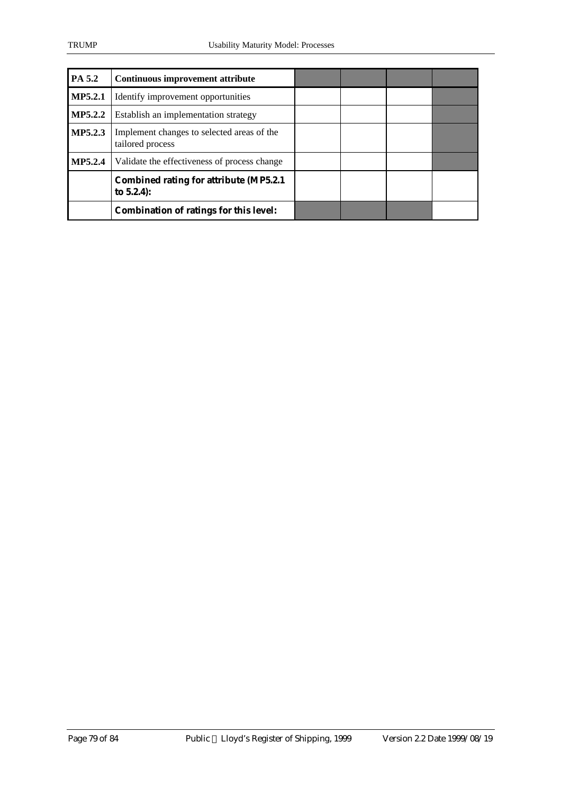| <b>PA 5.2</b>  | <b>Continuous improvement attribute</b>                        |  |  |
|----------------|----------------------------------------------------------------|--|--|
| <b>MP5.2.1</b> | Identify improvement opportunities                             |  |  |
| <b>MP5.2.2</b> | Establish an implementation strategy                           |  |  |
| <b>MP5.2.3</b> | Implement changes to selected areas of the<br>tailored process |  |  |
| <b>MP5.2.4</b> | Validate the effectiveness of process change                   |  |  |
|                | <b>Combined rating for attribute (MP5.2.1)</b><br>to $5.2.4$ : |  |  |
|                | <b>Combination of ratings for this level:</b>                  |  |  |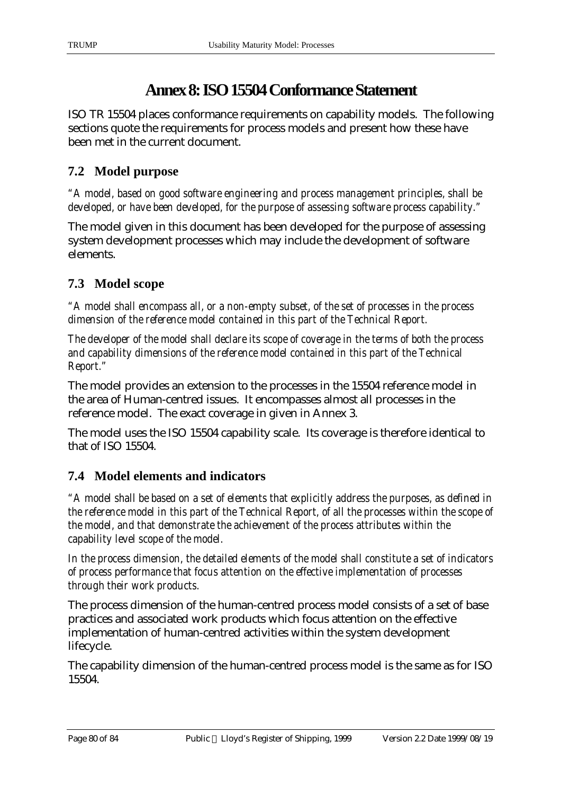# **Annex 8: ISO 15504 Conformance Statement**

ISO TR 15504 places conformance requirements on capability models. The following sections quote the requirements for process models and present how these have been met in the current document.

# **7.2 Model purpose**

*"A model, based on good software engineering and process management principles, shall be developed, or have been developed, for the purpose of assessing software process capability."*

The model given in this document has been developed for the purpose of assessing system development processes which may include the development of software elements.

# **7.3 Model scope**

*"A model shall encompass all, or a non-empty subset, of the set of processes in the process dimension of the reference model contained in this part of the Technical Report.*

*The developer of the model shall declare its scope of coverage in the terms of both the process and capability dimensions of the reference model contained in this part of the Technical Report."*

The model provides an extension to the processes in the 15504 reference model in the area of Human-centred issues. It encompasses almost all processes in the reference model. The exact coverage in given in Annex 3.

The model uses the ISO 15504 capability scale. Its coverage is therefore identical to that of ISO 15504.

# **7.4 Model elements and indicators**

*"A model shall be based on a set of elements that explicitly address the purposes, as defined in the reference model in this part of the Technical Report, of all the processes within the scope of the model, and that demonstrate the achievement of the process attributes within the capability level scope of the model.*

*In the process dimension, the detailed elements of the model shall constitute a set of indicators of process performance that focus attention on the effective implementation of processes through their work products.*

The process dimension of the human-centred process model consists of a set of base practices and associated work products which focus attention on the effective implementation of human-centred activities within the system development lifecycle.

The capability dimension of the human-centred process model is the same as for ISO 15504.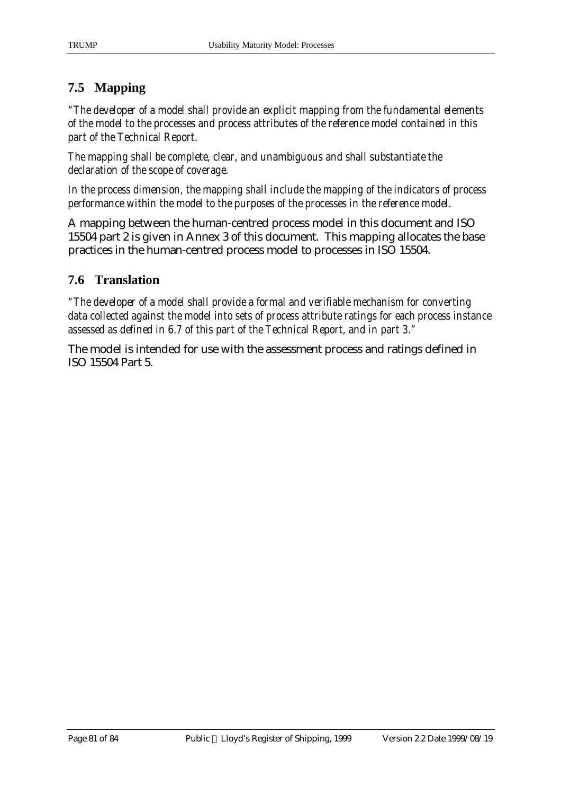# **7.5 Mapping**

*"The developer of a model shall provide an explicit mapping from the fundamental elements of the model to the processes and process attributes of the reference model contained in this part of the Technical Report.*

*The mapping shall be complete, clear, and unambiguous and shall substantiate the declaration of the scope of coverage.*

*In the process dimension, the mapping shall include the mapping of the indicators of process performance within the model to the purposes of the processes in the reference model.*

A mapping between the human-centred process model in this document and ISO 15504 part 2 is given in Annex 3 of this document. This mapping allocates the base practices in the human-centred process model to processes in ISO 15504.

#### **7.6 Translation**

*"The developer of a model shall provide a formal and verifiable mechanism for converting data collected against the model into sets of process attribute ratings for each process instance assessed as defined in 6.7 of this part of the Technical Report, and in part 3."*

The model is intended for use with the assessment process and ratings defined in ISO 15504 Part 5.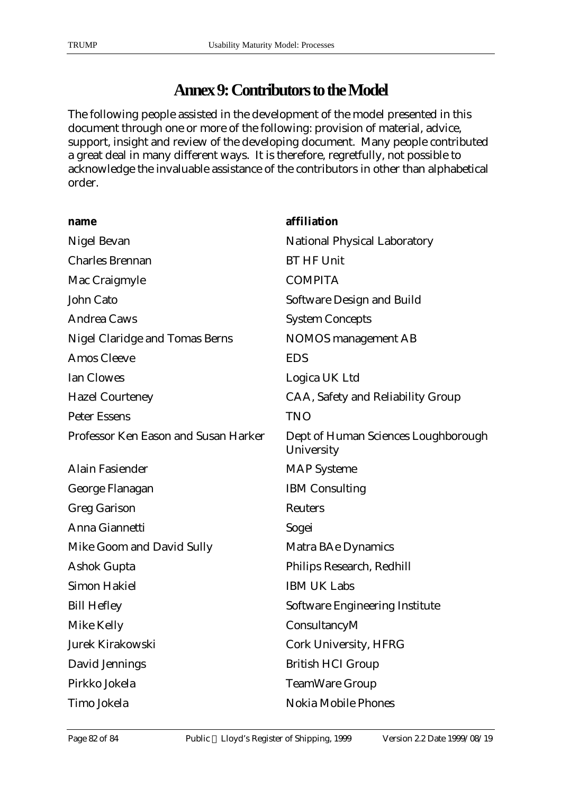# **Annex 9: Contributors to the Model**

The following people assisted in the development of the model presented in this document through one or more of the following: provision of material, advice, support, insight and review of the developing document. Many people contributed a great deal in many different ways. It is therefore, regretfully, not possible to acknowledge the invaluable assistance of the contributors in other than alphabetical order.

| name                                  | affiliation                                       |
|---------------------------------------|---------------------------------------------------|
| Nigel Bevan                           | <b>National Physical Laboratory</b>               |
| <b>Charles Brennan</b>                | <b>BT HF Unit</b>                                 |
| Mac Craigmyle                         | <b>COMPITA</b>                                    |
| John Cato                             | <b>Software Design and Build</b>                  |
| <b>Andrea Caws</b>                    | <b>System Concepts</b>                            |
| <b>Nigel Claridge and Tomas Berns</b> | <b>NOMOS</b> management AB                        |
| <b>Amos Cleeve</b>                    | <b>EDS</b>                                        |
| <b>Ian Clowes</b>                     | Logica UK Ltd                                     |
| <b>Hazel Courteney</b>                | CAA, Safety and Reliability Group                 |
| <b>Peter Essens</b>                   | <b>TNO</b>                                        |
| Professor Ken Eason and Susan Harker  | Dept of Human Sciences Loughborough<br>University |
| <b>Alain Fasiender</b>                | <b>MAP Systeme</b>                                |
| George Flanagan                       | <b>IBM Consulting</b>                             |
| <b>Greg Garison</b>                   | <b>Reuters</b>                                    |
| Anna Giannetti                        | Sogei                                             |
| Mike Goom and David Sully             | Matra BAe Dynamics                                |
| <b>Ashok Gupta</b>                    | Philips Research, Redhill                         |
| <b>Simon Hakiel</b>                   | <b>IBM UK Labs</b>                                |
| <b>Bill Hefley</b>                    | <b>Software Engineering Institute</b>             |
| Mike Kelly                            | ConsultancyM                                      |
| Jurek Kirakowski                      | Cork University, HFRG                             |
| David Jennings                        | <b>British HCI Group</b>                          |
| Pirkko Jokela                         | <b>TeamWare Group</b>                             |
| Timo Jokela                           | <b>Nokia Mobile Phones</b>                        |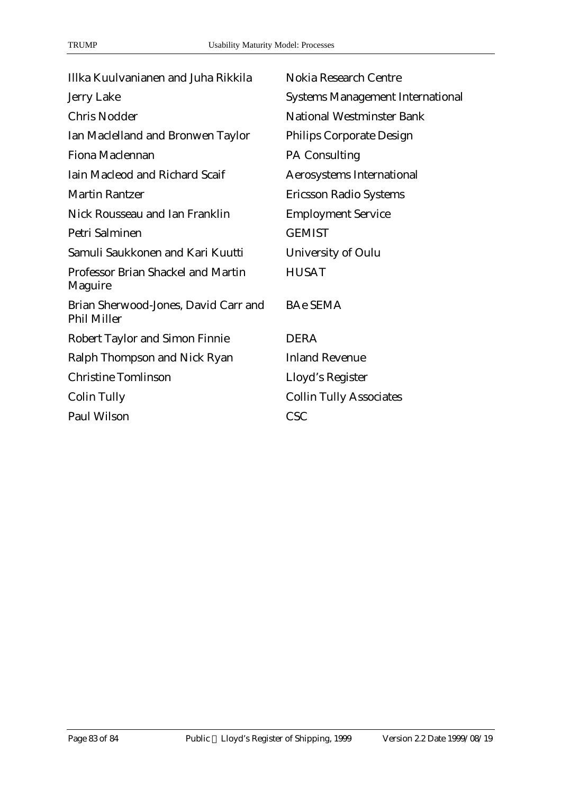| Illka Kuulvanianen and Juha Rikkila                        | <b>Nokia Research Centre</b>            |
|------------------------------------------------------------|-----------------------------------------|
| <b>Jerry Lake</b>                                          | <b>Systems Management International</b> |
| <b>Chris Nodder</b>                                        | <b>National Westminster Bank</b>        |
| Ian Maclelland and Bronwen Taylor                          | <b>Philips Corporate Design</b>         |
| Fiona Maclennan                                            | <b>PA Consulting</b>                    |
| Iain Macleod and Richard Scaif                             | <b>Aerosystems International</b>        |
| <b>Martin Rantzer</b>                                      | <b>Ericsson Radio Systems</b>           |
| Nick Rousseau and Ian Franklin                             | <b>Employment Service</b>               |
| Petri Salminen                                             | <b>GEMIST</b>                           |
| Samuli Saukkonen and Kari Kuutti                           | University of Oulu                      |
| Professor Brian Shackel and Martin<br>Maguire              | <b>HUSAT</b>                            |
| Brian Sherwood-Jones, David Carr and<br><b>Phil Miller</b> | <b>BAe SEMA</b>                         |
| <b>Robert Taylor and Simon Finnie</b>                      | <b>DERA</b>                             |
| Ralph Thompson and Nick Ryan                               | <b>Inland Revenue</b>                   |
| <b>Christine Tomlinson</b>                                 | Lloyd's Register                        |
| <b>Colin Tully</b>                                         | <b>Collin Tully Associates</b>          |
| Paul Wilson                                                | <b>CSC</b>                              |
|                                                            |                                         |